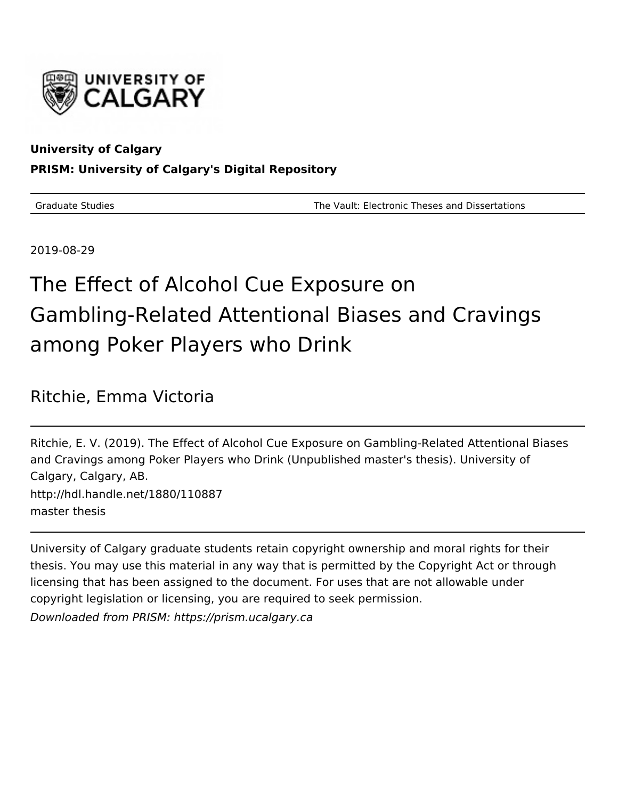

## **University of Calgary**

## **PRISM: University of Calgary's Digital Repository**

Graduate Studies The Vault: Electronic Theses and Dissertations

2019-08-29

# The Effect of Alcohol Cue Exposure on Gambling-Related Attentional Biases and Cravings among Poker Players who Drink

# Ritchie, Emma Victoria

Ritchie, E. V. (2019). The Effect of Alcohol Cue Exposure on Gambling-Related Attentional Biases and Cravings among Poker Players who Drink (Unpublished master's thesis). University of Calgary, Calgary, AB. http://hdl.handle.net/1880/110887 master thesis

University of Calgary graduate students retain copyright ownership and moral rights for their thesis. You may use this material in any way that is permitted by the Copyright Act or through licensing that has been assigned to the document. For uses that are not allowable under copyright legislation or licensing, you are required to seek permission. Downloaded from PRISM: https://prism.ucalgary.ca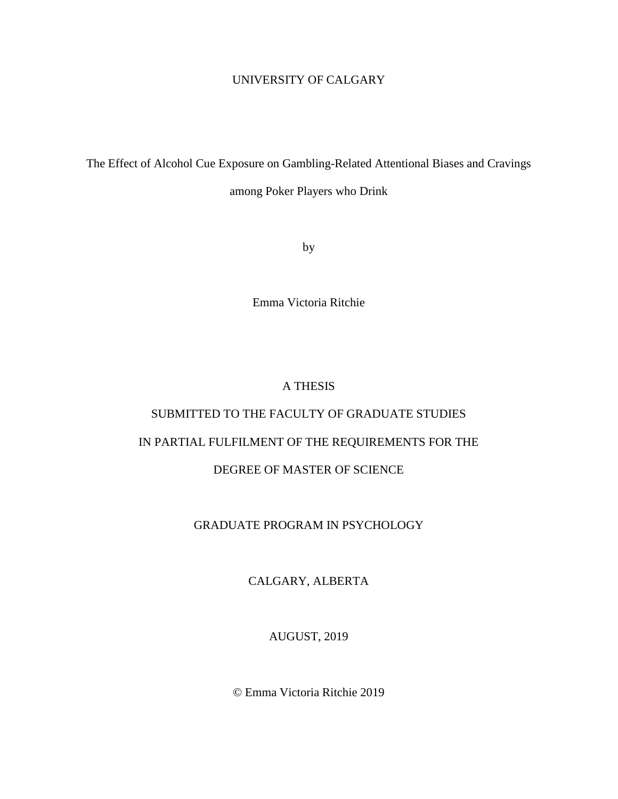## UNIVERSITY OF CALGARY

The Effect of Alcohol Cue Exposure on Gambling-Related Attentional Biases and Cravings among Poker Players who Drink

by

Emma Victoria Ritchie

### A THESIS

# SUBMITTED TO THE FACULTY OF GRADUATE STUDIES IN PARTIAL FULFILMENT OF THE REQUIREMENTS FOR THE DEGREE OF MASTER OF SCIENCE

### GRADUATE PROGRAM IN PSYCHOLOGY

CALGARY, ALBERTA

AUGUST, 2019

© Emma Victoria Ritchie 2019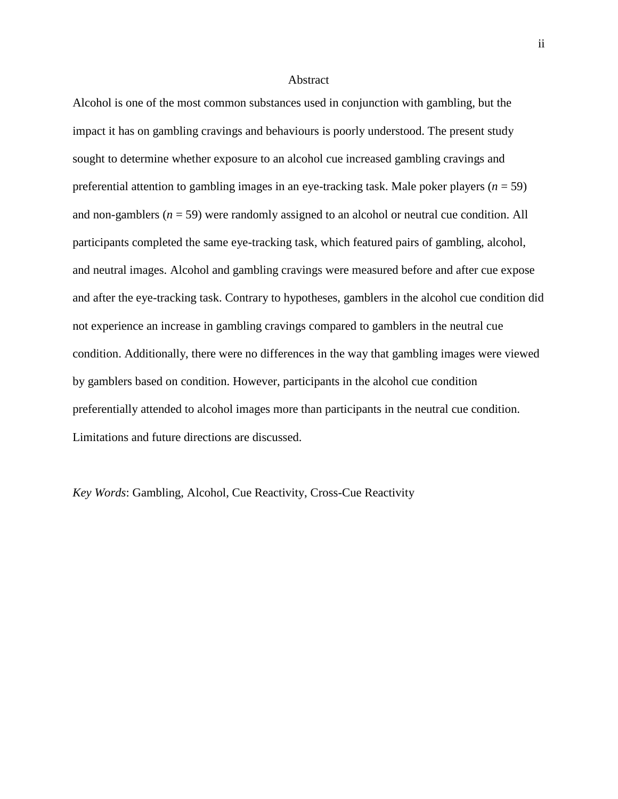#### **Abstract**

Alcohol is one of the most common substances used in conjunction with gambling, but the impact it has on gambling cravings and behaviours is poorly understood. The present study sought to determine whether exposure to an alcohol cue increased gambling cravings and preferential attention to gambling images in an eye-tracking task. Male poker players  $(n = 59)$ and non-gamblers  $(n = 59)$  were randomly assigned to an alcohol or neutral cue condition. All participants completed the same eye-tracking task, which featured pairs of gambling, alcohol, and neutral images. Alcohol and gambling cravings were measured before and after cue expose and after the eye-tracking task. Contrary to hypotheses, gamblers in the alcohol cue condition did not experience an increase in gambling cravings compared to gamblers in the neutral cue condition. Additionally, there were no differences in the way that gambling images were viewed by gamblers based on condition. However, participants in the alcohol cue condition preferentially attended to alcohol images more than participants in the neutral cue condition. Limitations and future directions are discussed.

*Key Words*: Gambling, Alcohol, Cue Reactivity, Cross-Cue Reactivity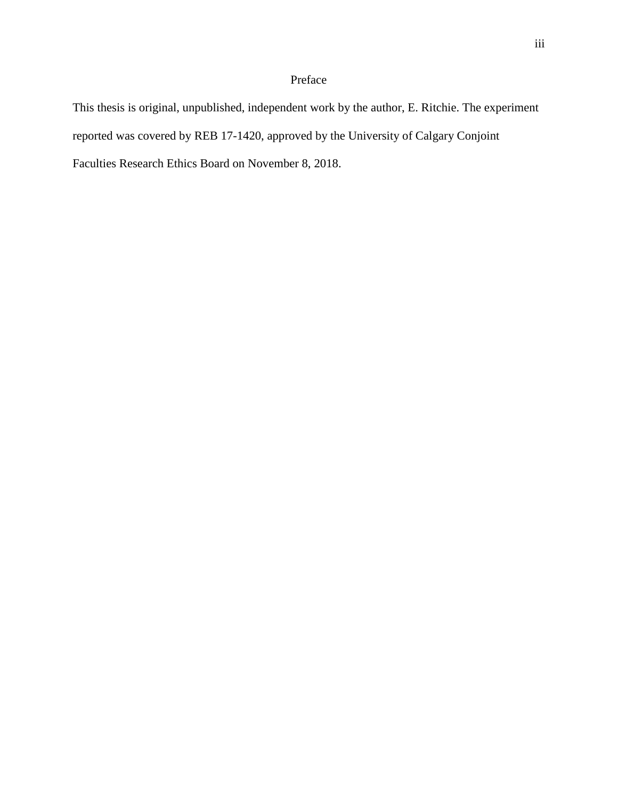## Preface

This thesis is original, unpublished, independent work by the author, E. Ritchie. The experiment reported was covered by REB 17-1420, approved by the University of Calgary Conjoint Faculties Research Ethics Board on November 8, 2018.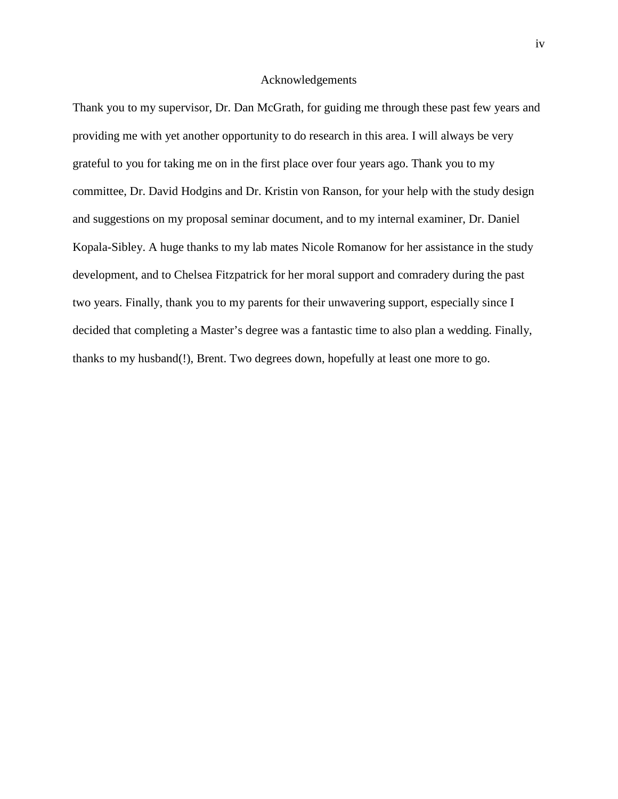#### Acknowledgements

Thank you to my supervisor, Dr. Dan McGrath, for guiding me through these past few years and providing me with yet another opportunity to do research in this area. I will always be very grateful to you for taking me on in the first place over four years ago. Thank you to my committee, Dr. David Hodgins and Dr. Kristin von Ranson, for your help with the study design and suggestions on my proposal seminar document, and to my internal examiner, Dr. Daniel Kopala-Sibley. A huge thanks to my lab mates Nicole Romanow for her assistance in the study development, and to Chelsea Fitzpatrick for her moral support and comradery during the past two years. Finally, thank you to my parents for their unwavering support, especially since I decided that completing a Master's degree was a fantastic time to also plan a wedding. Finally, thanks to my husband(!), Brent. Two degrees down, hopefully at least one more to go.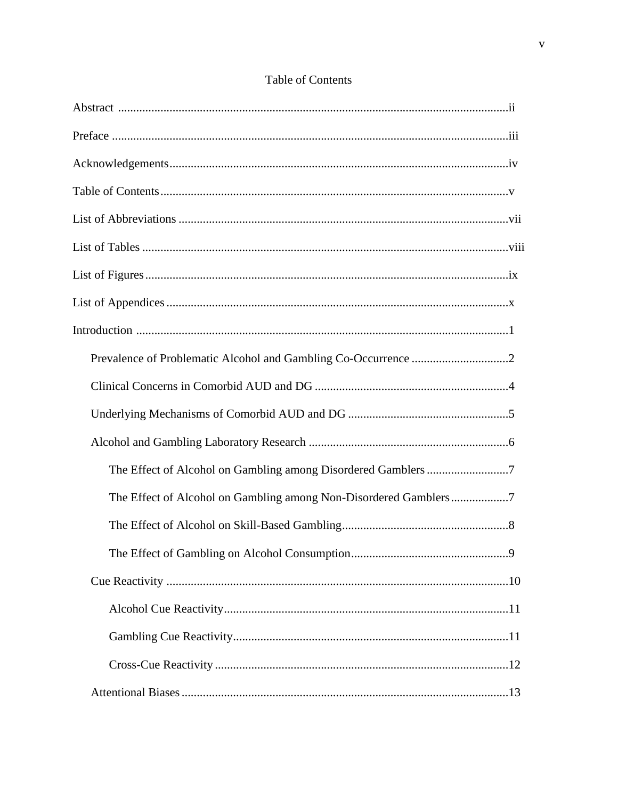| The Effect of Alcohol on Gambling among Non-Disordered Gamblers7 |
|------------------------------------------------------------------|
|                                                                  |
| .9                                                               |
|                                                                  |
|                                                                  |
|                                                                  |
|                                                                  |
|                                                                  |

## Table of Contents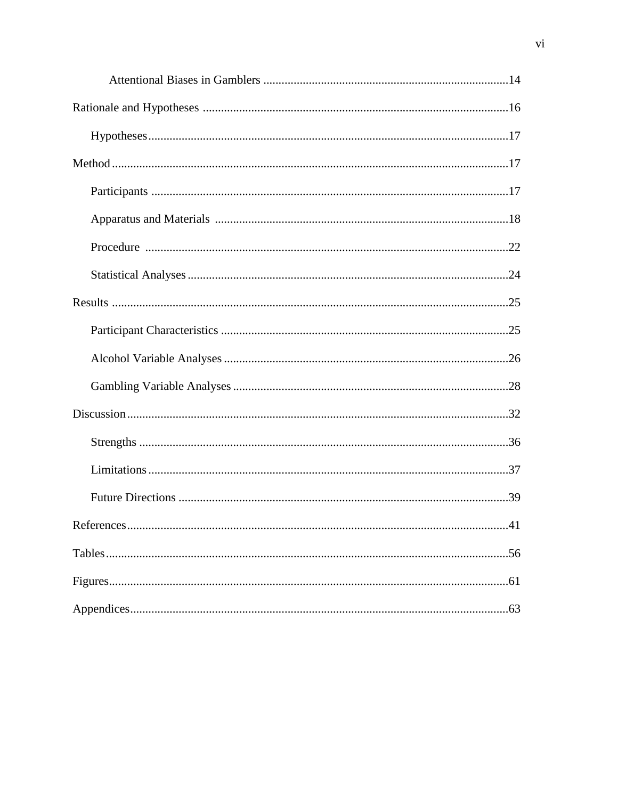| .41 |
|-----|
|     |
|     |
|     |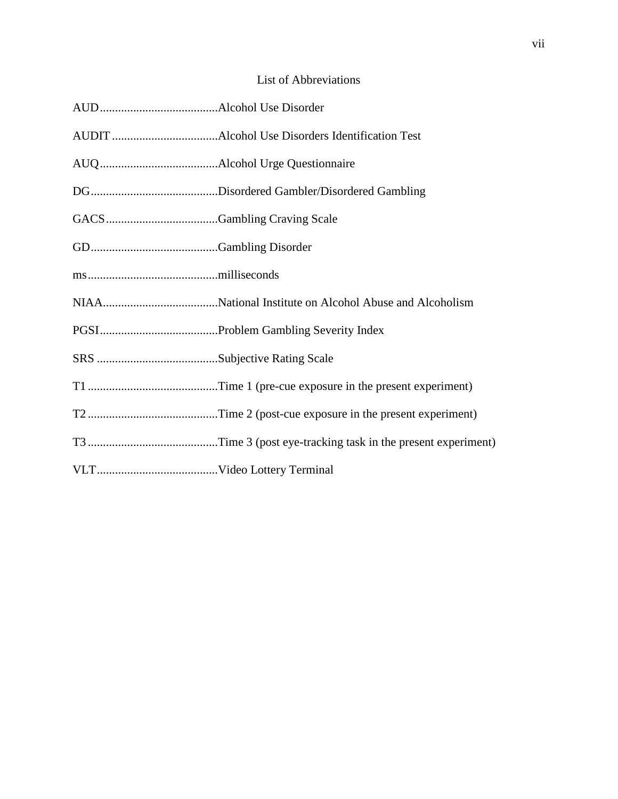## List of Abbreviations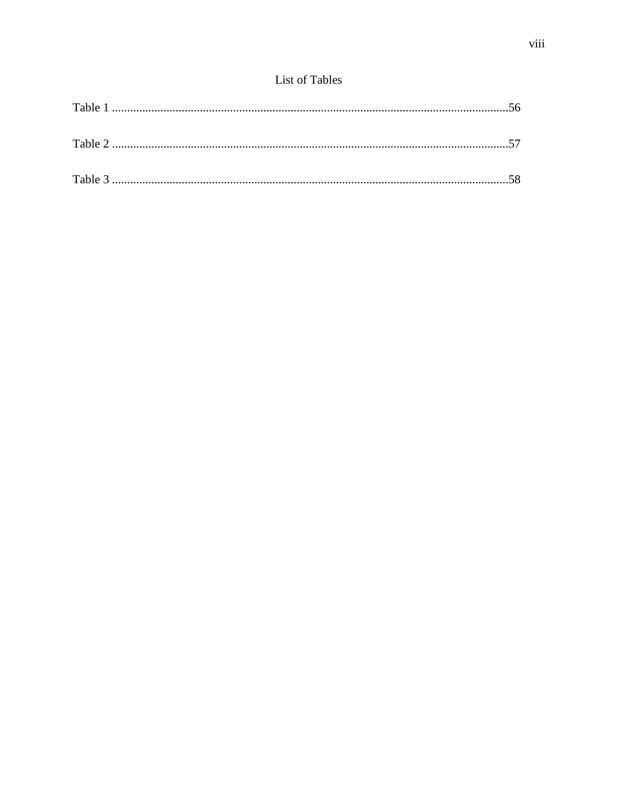## List of Tables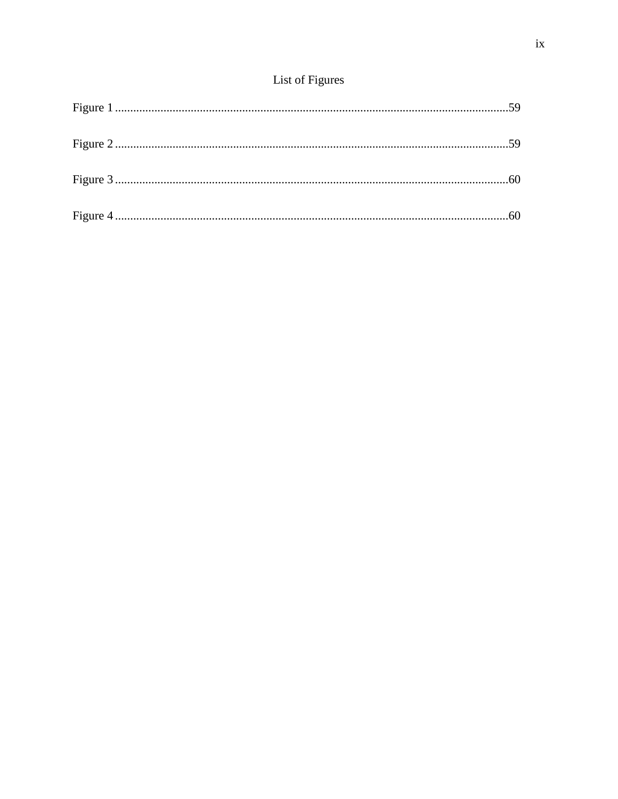## List of Figures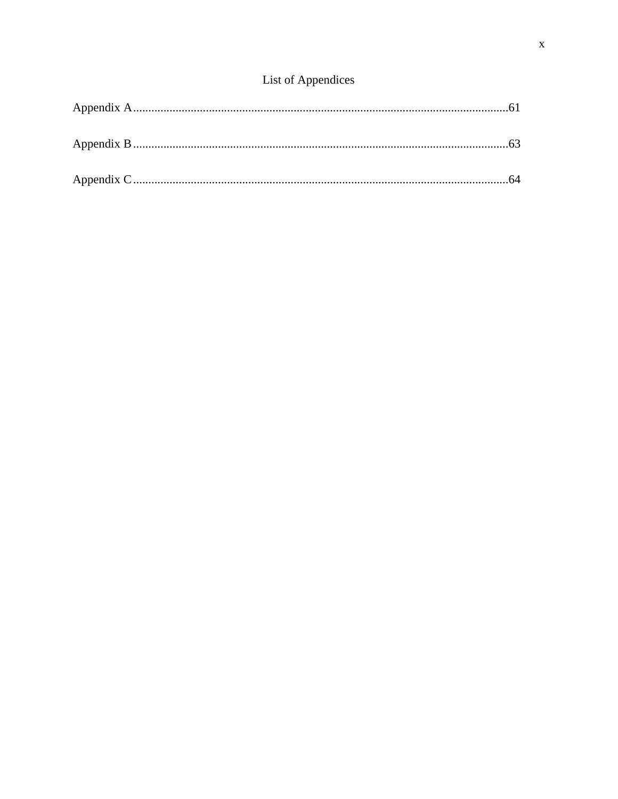## List of Appendices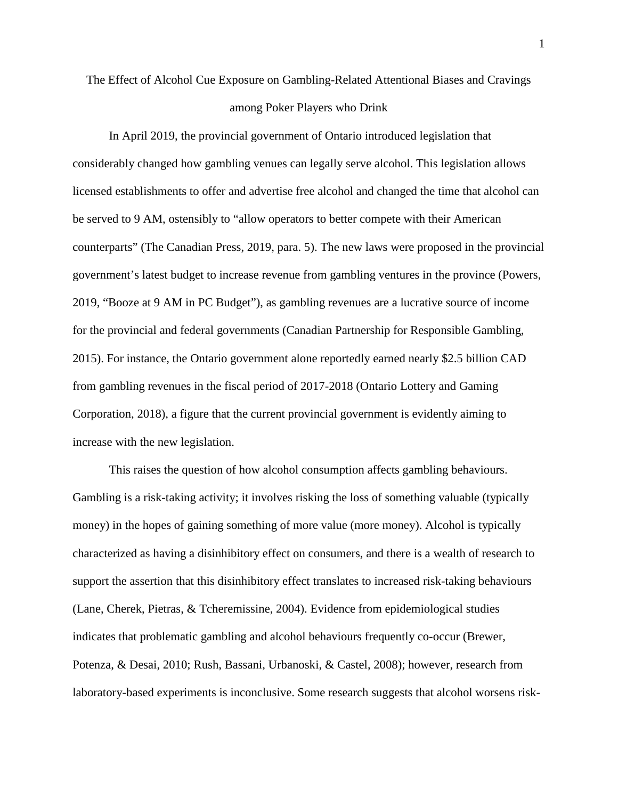# The Effect of Alcohol Cue Exposure on Gambling-Related Attentional Biases and Cravings among Poker Players who Drink

In April 2019, the provincial government of Ontario introduced legislation that considerably changed how gambling venues can legally serve alcohol. This legislation allows licensed establishments to offer and advertise free alcohol and changed the time that alcohol can be served to 9 AM, ostensibly to "allow operators to better compete with their American counterparts" (The Canadian Press, 2019, para. 5). The new laws were proposed in the provincial government's latest budget to increase revenue from gambling ventures in the province (Powers, 2019, "Booze at 9 AM in PC Budget"), as gambling revenues are a lucrative source of income for the provincial and federal governments (Canadian Partnership for Responsible Gambling, 2015). For instance, the Ontario government alone reportedly earned nearly \$2.5 billion CAD from gambling revenues in the fiscal period of 2017-2018 (Ontario Lottery and Gaming Corporation, 2018), a figure that the current provincial government is evidently aiming to increase with the new legislation.

This raises the question of how alcohol consumption affects gambling behaviours. Gambling is a risk-taking activity; it involves risking the loss of something valuable (typically money) in the hopes of gaining something of more value (more money). Alcohol is typically characterized as having a disinhibitory effect on consumers, and there is a wealth of research to support the assertion that this disinhibitory effect translates to increased risk-taking behaviours (Lane, Cherek, Pietras, & Tcheremissine, 2004). Evidence from epidemiological studies indicates that problematic gambling and alcohol behaviours frequently co-occur (Brewer, Potenza, & Desai, 2010; Rush, Bassani, Urbanoski, & Castel, 2008); however, research from laboratory-based experiments is inconclusive. Some research suggests that alcohol worsens risk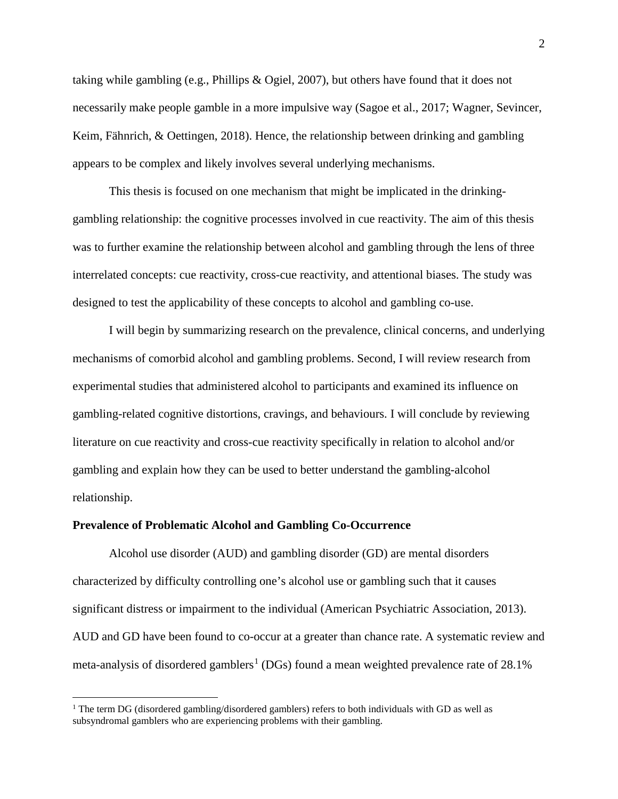taking while gambling (e.g., Phillips & Ogiel, 2007), but others have found that it does not necessarily make people gamble in a more impulsive way (Sagoe et al., 2017; Wagner, Sevincer, Keim, Fähnrich, & Oettingen, 2018). Hence, the relationship between drinking and gambling appears to be complex and likely involves several underlying mechanisms.

This thesis is focused on one mechanism that might be implicated in the drinkinggambling relationship: the cognitive processes involved in cue reactivity. The aim of this thesis was to further examine the relationship between alcohol and gambling through the lens of three interrelated concepts: cue reactivity, cross-cue reactivity, and attentional biases. The study was designed to test the applicability of these concepts to alcohol and gambling co-use.

I will begin by summarizing research on the prevalence, clinical concerns, and underlying mechanisms of comorbid alcohol and gambling problems. Second, I will review research from experimental studies that administered alcohol to participants and examined its influence on gambling-related cognitive distortions, cravings, and behaviours. I will conclude by reviewing literature on cue reactivity and cross-cue reactivity specifically in relation to alcohol and/or gambling and explain how they can be used to better understand the gambling-alcohol relationship.

#### **Prevalence of Problematic Alcohol and Gambling Co-Occurrence**

l

Alcohol use disorder (AUD) and gambling disorder (GD) are mental disorders characterized by difficulty controlling one's alcohol use or gambling such that it causes significant distress or impairment to the individual (American Psychiatric Association, 2013). AUD and GD have been found to co-occur at a greater than chance rate. A systematic review and meta-analysis of disordered gamblers<sup>[1](#page-12-0)</sup> (DGs) found a mean weighted prevalence rate of  $28.1\%$ 

<span id="page-12-0"></span> $1$  The term DG (disordered gambling/disordered gamblers) refers to both individuals with GD as well as subsyndromal gamblers who are experiencing problems with their gambling.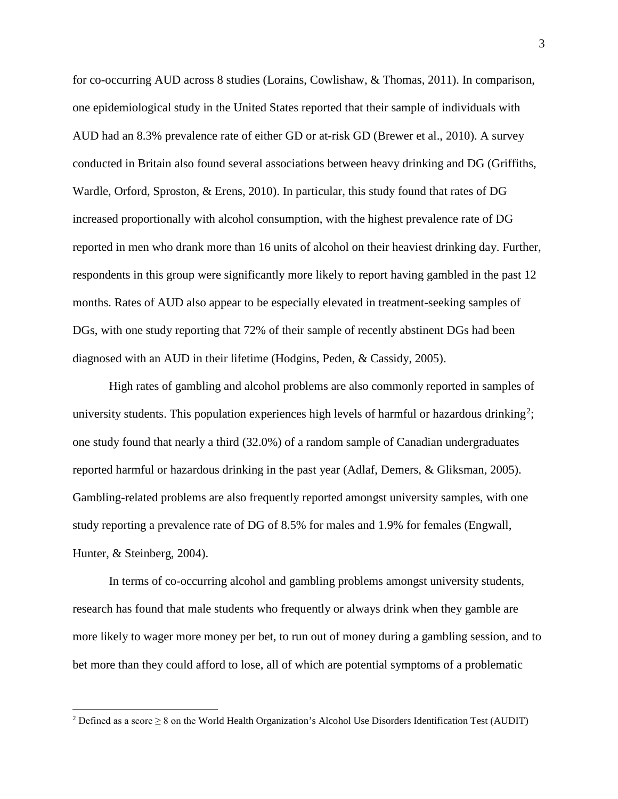for co-occurring AUD across 8 studies (Lorains, Cowlishaw, & Thomas, 2011). In comparison, one epidemiological study in the United States reported that their sample of individuals with AUD had an 8.3% prevalence rate of either GD or at-risk GD (Brewer et al., 2010). A survey conducted in Britain also found several associations between heavy drinking and DG (Griffiths, Wardle, Orford, Sproston, & Erens, 2010). In particular, this study found that rates of DG increased proportionally with alcohol consumption, with the highest prevalence rate of DG reported in men who drank more than 16 units of alcohol on their heaviest drinking day. Further, respondents in this group were significantly more likely to report having gambled in the past 12 months. Rates of AUD also appear to be especially elevated in treatment-seeking samples of DGs, with one study reporting that 72% of their sample of recently abstinent DGs had been diagnosed with an AUD in their lifetime (Hodgins, Peden, & Cassidy, 2005).

High rates of gambling and alcohol problems are also commonly reported in samples of university students. This population experiences high levels of harmful or hazardous drinking<sup>[2](#page-13-0)</sup>; one study found that nearly a third (32.0%) of a random sample of Canadian undergraduates reported harmful or hazardous drinking in the past year (Adlaf, Demers, & Gliksman, 2005). Gambling-related problems are also frequently reported amongst university samples, with one study reporting a prevalence rate of DG of 8.5% for males and 1.9% for females (Engwall, Hunter, & Steinberg, 2004).

In terms of co-occurring alcohol and gambling problems amongst university students, research has found that male students who frequently or always drink when they gamble are more likely to wager more money per bet, to run out of money during a gambling session, and to bet more than they could afford to lose, all of which are potential symptoms of a problematic

l

<span id="page-13-0"></span><sup>&</sup>lt;sup>2</sup> Defined as a score  $\geq 8$  on the World Health Organization's Alcohol Use Disorders Identification Test (AUDIT)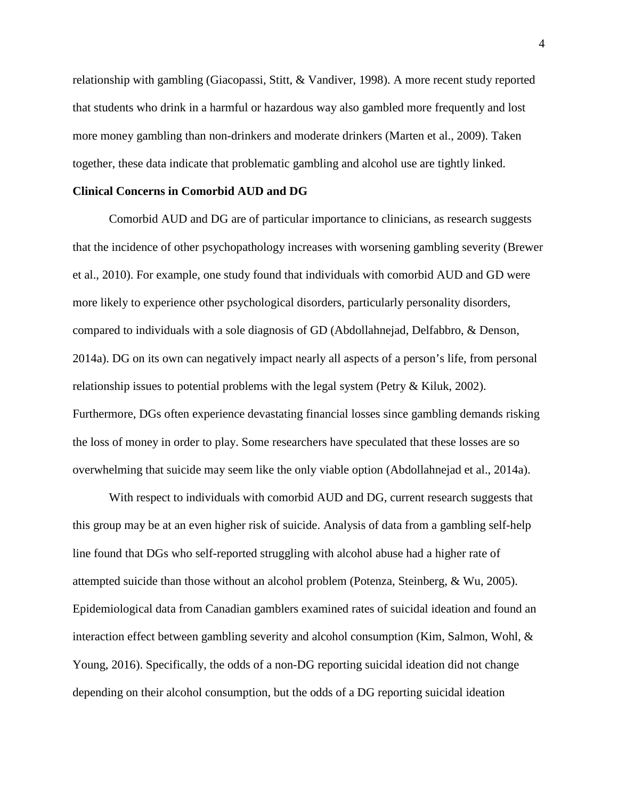relationship with gambling (Giacopassi, Stitt, & Vandiver, 1998). A more recent study reported that students who drink in a harmful or hazardous way also gambled more frequently and lost more money gambling than non-drinkers and moderate drinkers (Marten et al., 2009). Taken together, these data indicate that problematic gambling and alcohol use are tightly linked.

#### **Clinical Concerns in Comorbid AUD and DG**

Comorbid AUD and DG are of particular importance to clinicians, as research suggests that the incidence of other psychopathology increases with worsening gambling severity (Brewer et al., 2010). For example, one study found that individuals with comorbid AUD and GD were more likely to experience other psychological disorders, particularly personality disorders, compared to individuals with a sole diagnosis of GD (Abdollahnejad, Delfabbro, & Denson, 2014a). DG on its own can negatively impact nearly all aspects of a person's life, from personal relationship issues to potential problems with the legal system (Petry  $\&$  Kiluk, 2002). Furthermore, DGs often experience devastating financial losses since gambling demands risking the loss of money in order to play. Some researchers have speculated that these losses are so overwhelming that suicide may seem like the only viable option (Abdollahnejad et al., 2014a).

With respect to individuals with comorbid AUD and DG, current research suggests that this group may be at an even higher risk of suicide. Analysis of data from a gambling self-help line found that DGs who self-reported struggling with alcohol abuse had a higher rate of attempted suicide than those without an alcohol problem (Potenza, Steinberg, & Wu, 2005). Epidemiological data from Canadian gamblers examined rates of suicidal ideation and found an interaction effect between gambling severity and alcohol consumption (Kim, Salmon, Wohl, & Young, 2016). Specifically, the odds of a non-DG reporting suicidal ideation did not change depending on their alcohol consumption, but the odds of a DG reporting suicidal ideation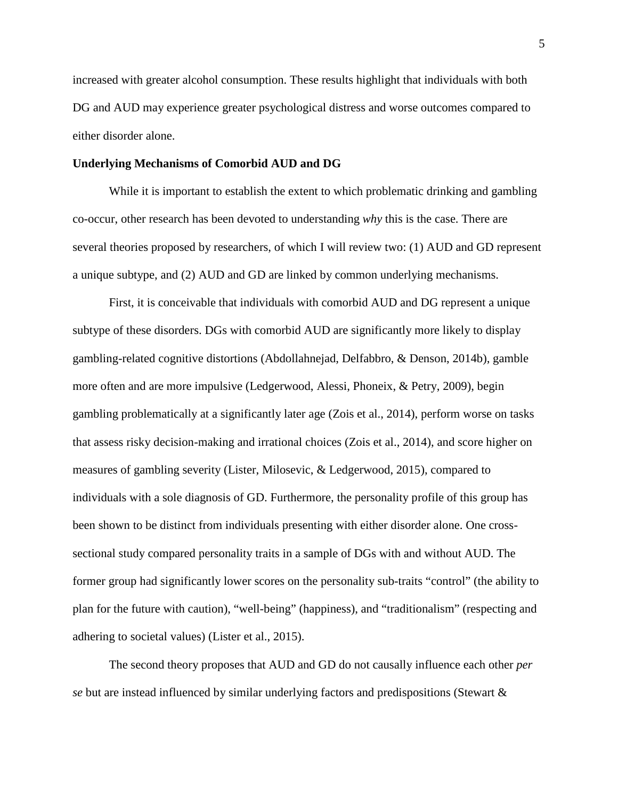increased with greater alcohol consumption. These results highlight that individuals with both DG and AUD may experience greater psychological distress and worse outcomes compared to either disorder alone.

#### **Underlying Mechanisms of Comorbid AUD and DG**

While it is important to establish the extent to which problematic drinking and gambling co-occur, other research has been devoted to understanding *why* this is the case. There are several theories proposed by researchers, of which I will review two: (1) AUD and GD represent a unique subtype, and (2) AUD and GD are linked by common underlying mechanisms.

First, it is conceivable that individuals with comorbid AUD and DG represent a unique subtype of these disorders. DGs with comorbid AUD are significantly more likely to display gambling-related cognitive distortions (Abdollahnejad, Delfabbro, & Denson, 2014b), gamble more often and are more impulsive (Ledgerwood, Alessi, Phoneix, & Petry, 2009), begin gambling problematically at a significantly later age (Zois et al., 2014), perform worse on tasks that assess risky decision-making and irrational choices (Zois et al., 2014), and score higher on measures of gambling severity (Lister, Milosevic, & Ledgerwood, 2015), compared to individuals with a sole diagnosis of GD. Furthermore, the personality profile of this group has been shown to be distinct from individuals presenting with either disorder alone. One crosssectional study compared personality traits in a sample of DGs with and without AUD. The former group had significantly lower scores on the personality sub-traits "control" (the ability to plan for the future with caution), "well-being" (happiness), and "traditionalism" (respecting and adhering to societal values) (Lister et al., 2015).

The second theory proposes that AUD and GD do not causally influence each other *per se* but are instead influenced by similar underlying factors and predispositions (Stewart &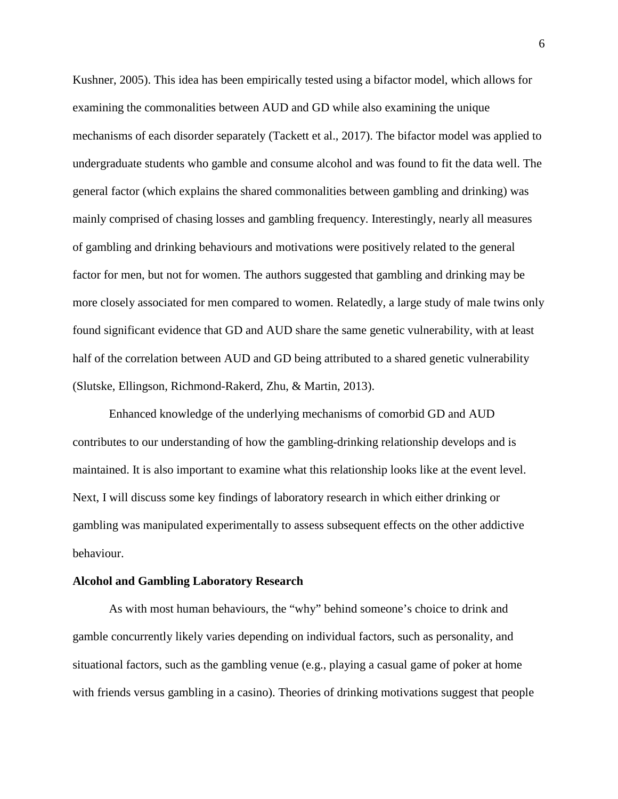Kushner, 2005). This idea has been empirically tested using a bifactor model, which allows for examining the commonalities between AUD and GD while also examining the unique mechanisms of each disorder separately (Tackett et al., 2017). The bifactor model was applied to undergraduate students who gamble and consume alcohol and was found to fit the data well. The general factor (which explains the shared commonalities between gambling and drinking) was mainly comprised of chasing losses and gambling frequency. Interestingly, nearly all measures of gambling and drinking behaviours and motivations were positively related to the general factor for men, but not for women. The authors suggested that gambling and drinking may be more closely associated for men compared to women. Relatedly, a large study of male twins only found significant evidence that GD and AUD share the same genetic vulnerability, with at least half of the correlation between AUD and GD being attributed to a shared genetic vulnerability (Slutske, Ellingson, Richmond-Rakerd, Zhu, & Martin, 2013).

Enhanced knowledge of the underlying mechanisms of comorbid GD and AUD contributes to our understanding of how the gambling-drinking relationship develops and is maintained. It is also important to examine what this relationship looks like at the event level. Next, I will discuss some key findings of laboratory research in which either drinking or gambling was manipulated experimentally to assess subsequent effects on the other addictive behaviour.

#### **Alcohol and Gambling Laboratory Research**

As with most human behaviours, the "why" behind someone's choice to drink and gamble concurrently likely varies depending on individual factors, such as personality, and situational factors, such as the gambling venue (e.g., playing a casual game of poker at home with friends versus gambling in a casino). Theories of drinking motivations suggest that people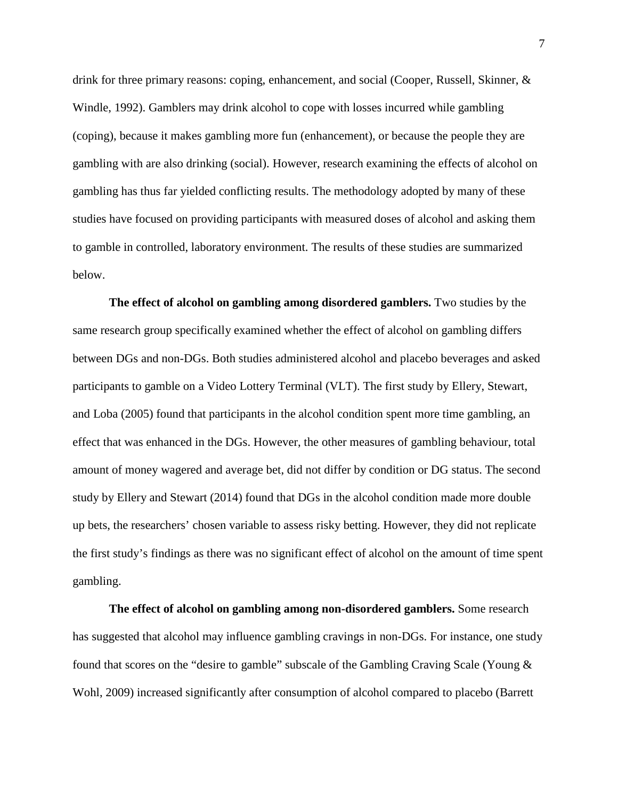drink for three primary reasons: coping, enhancement, and social (Cooper, Russell, Skinner, & Windle, 1992). Gamblers may drink alcohol to cope with losses incurred while gambling (coping), because it makes gambling more fun (enhancement), or because the people they are gambling with are also drinking (social). However, research examining the effects of alcohol on gambling has thus far yielded conflicting results. The methodology adopted by many of these studies have focused on providing participants with measured doses of alcohol and asking them to gamble in controlled, laboratory environment. The results of these studies are summarized below.

**The effect of alcohol on gambling among disordered gamblers.** Two studies by the same research group specifically examined whether the effect of alcohol on gambling differs between DGs and non-DGs. Both studies administered alcohol and placebo beverages and asked participants to gamble on a Video Lottery Terminal (VLT). The first study by Ellery, Stewart, and Loba (2005) found that participants in the alcohol condition spent more time gambling, an effect that was enhanced in the DGs. However, the other measures of gambling behaviour, total amount of money wagered and average bet, did not differ by condition or DG status. The second study by Ellery and Stewart (2014) found that DGs in the alcohol condition made more double up bets, the researchers' chosen variable to assess risky betting. However, they did not replicate the first study's findings as there was no significant effect of alcohol on the amount of time spent gambling.

**The effect of alcohol on gambling among non-disordered gamblers.** Some research has suggested that alcohol may influence gambling cravings in non-DGs. For instance, one study found that scores on the "desire to gamble" subscale of the Gambling Craving Scale (Young & Wohl, 2009) increased significantly after consumption of alcohol compared to placebo (Barrett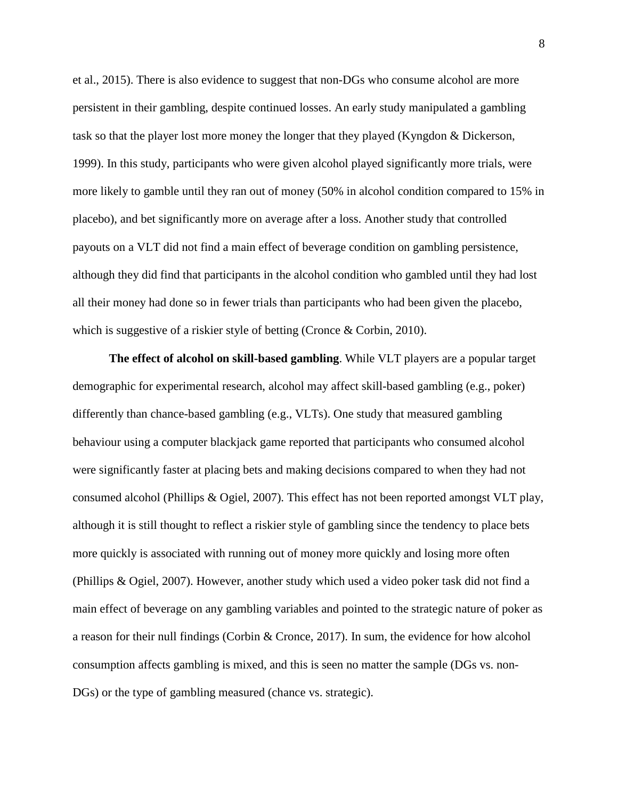et al., 2015). There is also evidence to suggest that non-DGs who consume alcohol are more persistent in their gambling, despite continued losses. An early study manipulated a gambling task so that the player lost more money the longer that they played (Kyngdon & Dickerson, 1999). In this study, participants who were given alcohol played significantly more trials, were more likely to gamble until they ran out of money (50% in alcohol condition compared to 15% in placebo), and bet significantly more on average after a loss. Another study that controlled payouts on a VLT did not find a main effect of beverage condition on gambling persistence, although they did find that participants in the alcohol condition who gambled until they had lost all their money had done so in fewer trials than participants who had been given the placebo, which is suggestive of a riskier style of betting (Cronce & Corbin, 2010).

**The effect of alcohol on skill-based gambling**. While VLT players are a popular target demographic for experimental research, alcohol may affect skill-based gambling (e.g., poker) differently than chance-based gambling (e.g., VLTs). One study that measured gambling behaviour using a computer blackjack game reported that participants who consumed alcohol were significantly faster at placing bets and making decisions compared to when they had not consumed alcohol (Phillips & Ogiel, 2007). This effect has not been reported amongst VLT play, although it is still thought to reflect a riskier style of gambling since the tendency to place bets more quickly is associated with running out of money more quickly and losing more often (Phillips & Ogiel, 2007). However, another study which used a video poker task did not find a main effect of beverage on any gambling variables and pointed to the strategic nature of poker as a reason for their null findings (Corbin & Cronce, 2017). In sum, the evidence for how alcohol consumption affects gambling is mixed, and this is seen no matter the sample (DGs vs. non-DGs) or the type of gambling measured (chance vs. strategic).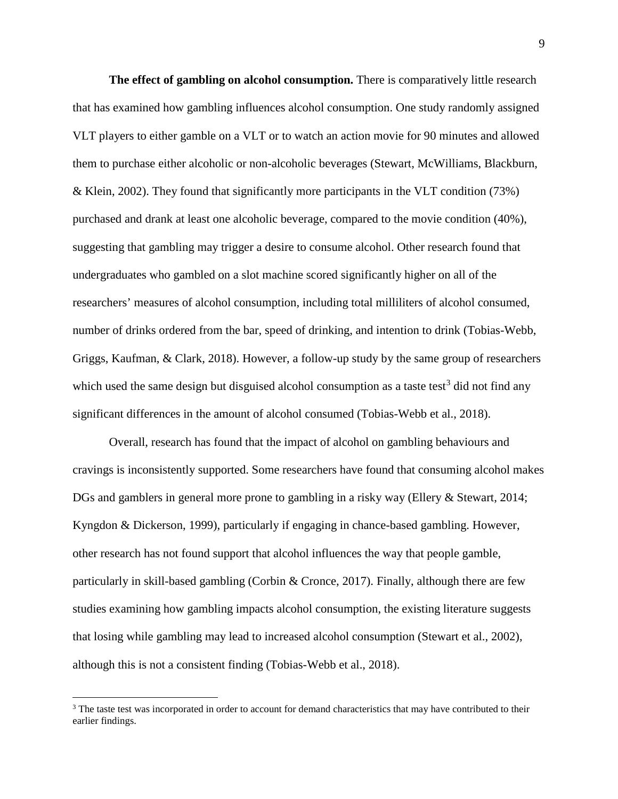**The effect of gambling on alcohol consumption.** There is comparatively little research that has examined how gambling influences alcohol consumption. One study randomly assigned VLT players to either gamble on a VLT or to watch an action movie for 90 minutes and allowed them to purchase either alcoholic or non-alcoholic beverages (Stewart, McWilliams, Blackburn, & Klein, 2002). They found that significantly more participants in the VLT condition (73%) purchased and drank at least one alcoholic beverage, compared to the movie condition (40%), suggesting that gambling may trigger a desire to consume alcohol. Other research found that undergraduates who gambled on a slot machine scored significantly higher on all of the researchers' measures of alcohol consumption, including total milliliters of alcohol consumed, number of drinks ordered from the bar, speed of drinking, and intention to drink (Tobias-Webb, Griggs, Kaufman, & Clark, 2018). However, a follow-up study by the same group of researchers which used the same design but disguised alcohol consumption as a taste test<sup>[3](#page-19-0)</sup> did not find any significant differences in the amount of alcohol consumed (Tobias-Webb et al., 2018).

Overall, research has found that the impact of alcohol on gambling behaviours and cravings is inconsistently supported. Some researchers have found that consuming alcohol makes DGs and gamblers in general more prone to gambling in a risky way (Ellery & Stewart, 2014; Kyngdon & Dickerson, 1999), particularly if engaging in chance-based gambling. However, other research has not found support that alcohol influences the way that people gamble, particularly in skill-based gambling (Corbin & Cronce, 2017). Finally, although there are few studies examining how gambling impacts alcohol consumption, the existing literature suggests that losing while gambling may lead to increased alcohol consumption (Stewart et al., 2002), although this is not a consistent finding (Tobias-Webb et al., 2018).

l

<span id="page-19-0"></span><sup>&</sup>lt;sup>3</sup> The taste test was incorporated in order to account for demand characteristics that may have contributed to their earlier findings.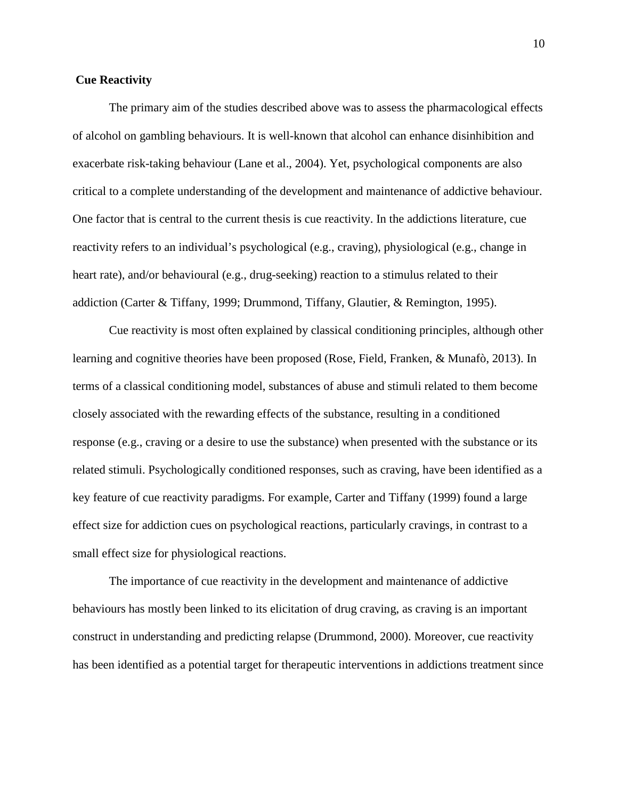#### **Cue Reactivity**

The primary aim of the studies described above was to assess the pharmacological effects of alcohol on gambling behaviours. It is well-known that alcohol can enhance disinhibition and exacerbate risk-taking behaviour (Lane et al., 2004). Yet, psychological components are also critical to a complete understanding of the development and maintenance of addictive behaviour. One factor that is central to the current thesis is cue reactivity. In the addictions literature, cue reactivity refers to an individual's psychological (e.g., craving), physiological (e.g., change in heart rate), and/or behavioural (e.g., drug-seeking) reaction to a stimulus related to their addiction (Carter & Tiffany, 1999; Drummond, Tiffany, Glautier, & Remington, 1995).

Cue reactivity is most often explained by classical conditioning principles, although other learning and cognitive theories have been proposed (Rose, Field, Franken, & Munafò, 2013). In terms of a classical conditioning model, substances of abuse and stimuli related to them become closely associated with the rewarding effects of the substance, resulting in a conditioned response (e.g., craving or a desire to use the substance) when presented with the substance or its related stimuli. Psychologically conditioned responses, such as craving, have been identified as a key feature of cue reactivity paradigms. For example, Carter and Tiffany (1999) found a large effect size for addiction cues on psychological reactions, particularly cravings, in contrast to a small effect size for physiological reactions.

The importance of cue reactivity in the development and maintenance of addictive behaviours has mostly been linked to its elicitation of drug craving, as craving is an important construct in understanding and predicting relapse (Drummond, 2000). Moreover, cue reactivity has been identified as a potential target for therapeutic interventions in addictions treatment since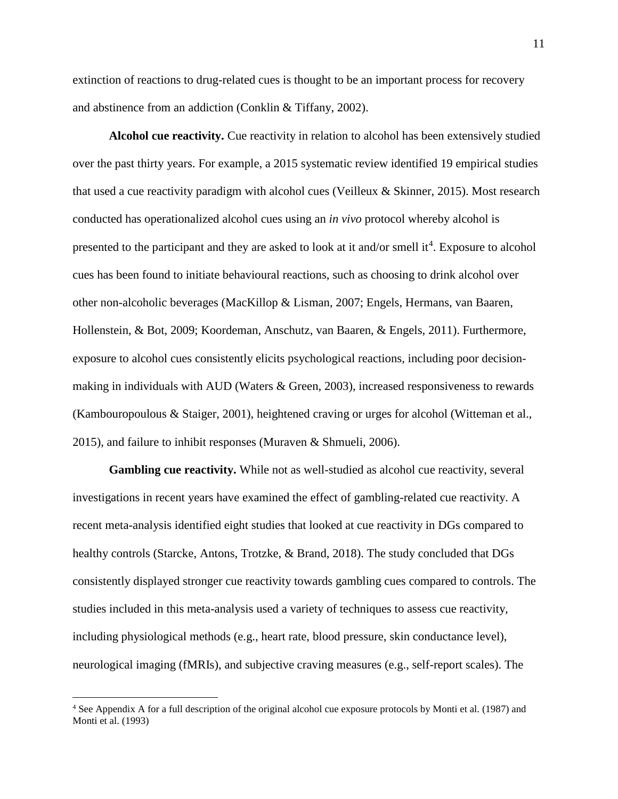extinction of reactions to drug-related cues is thought to be an important process for recovery and abstinence from an addiction (Conklin & Tiffany, 2002).

**Alcohol cue reactivity.** Cue reactivity in relation to alcohol has been extensively studied over the past thirty years. For example, a 2015 systematic review identified 19 empirical studies that used a cue reactivity paradigm with alcohol cues (Veilleux & Skinner, 2015). Most research conducted has operationalized alcohol cues using an *in vivo* protocol whereby alcohol is presented to the participant and they are asked to look at it and/or smell it<sup>[4](#page-21-0)</sup>. Exposure to alcohol cues has been found to initiate behavioural reactions, such as choosing to drink alcohol over other non-alcoholic beverages (MacKillop & Lisman, 2007; Engels, Hermans, van Baaren, Hollenstein, & Bot, 2009; Koordeman, Anschutz, van Baaren, & Engels, 2011). Furthermore, exposure to alcohol cues consistently elicits psychological reactions, including poor decisionmaking in individuals with AUD (Waters & Green, 2003), increased responsiveness to rewards (Kambouropoulous & Staiger, 2001), heightened craving or urges for alcohol (Witteman et al., 2015), and failure to inhibit responses (Muraven & Shmueli, 2006).

**Gambling cue reactivity.** While not as well-studied as alcohol cue reactivity, several investigations in recent years have examined the effect of gambling-related cue reactivity. A recent meta-analysis identified eight studies that looked at cue reactivity in DGs compared to healthy controls (Starcke, Antons, Trotzke, & Brand, 2018). The study concluded that DGs consistently displayed stronger cue reactivity towards gambling cues compared to controls. The studies included in this meta-analysis used a variety of techniques to assess cue reactivity, including physiological methods (e.g., heart rate, blood pressure, skin conductance level), neurological imaging (fMRIs), and subjective craving measures (e.g., self-report scales). The

l

<span id="page-21-0"></span><sup>4</sup> See Appendix A for a full description of the original alcohol cue exposure protocols by Monti et al. (1987) and Monti et al. (1993)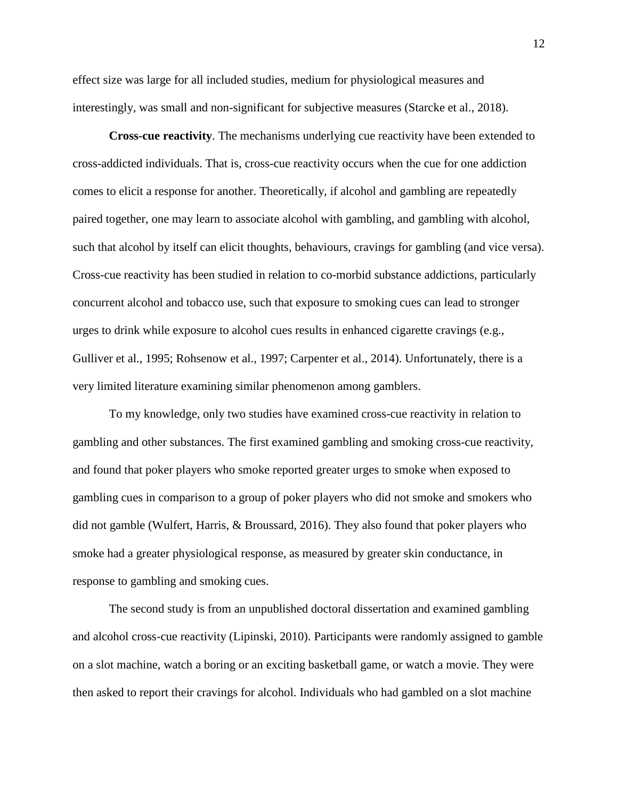effect size was large for all included studies, medium for physiological measures and interestingly, was small and non-significant for subjective measures (Starcke et al., 2018).

**Cross-cue reactivity**. The mechanisms underlying cue reactivity have been extended to cross-addicted individuals. That is, cross-cue reactivity occurs when the cue for one addiction comes to elicit a response for another. Theoretically, if alcohol and gambling are repeatedly paired together, one may learn to associate alcohol with gambling, and gambling with alcohol, such that alcohol by itself can elicit thoughts, behaviours, cravings for gambling (and vice versa). Cross-cue reactivity has been studied in relation to co-morbid substance addictions, particularly concurrent alcohol and tobacco use, such that exposure to smoking cues can lead to stronger urges to drink while exposure to alcohol cues results in enhanced cigarette cravings (e.g., Gulliver et al., 1995; Rohsenow et al., 1997; Carpenter et al., 2014). Unfortunately, there is a very limited literature examining similar phenomenon among gamblers.

To my knowledge, only two studies have examined cross-cue reactivity in relation to gambling and other substances. The first examined gambling and smoking cross-cue reactivity, and found that poker players who smoke reported greater urges to smoke when exposed to gambling cues in comparison to a group of poker players who did not smoke and smokers who did not gamble (Wulfert, Harris, & Broussard, 2016). They also found that poker players who smoke had a greater physiological response, as measured by greater skin conductance, in response to gambling and smoking cues.

The second study is from an unpublished doctoral dissertation and examined gambling and alcohol cross-cue reactivity (Lipinski, 2010). Participants were randomly assigned to gamble on a slot machine, watch a boring or an exciting basketball game, or watch a movie. They were then asked to report their cravings for alcohol. Individuals who had gambled on a slot machine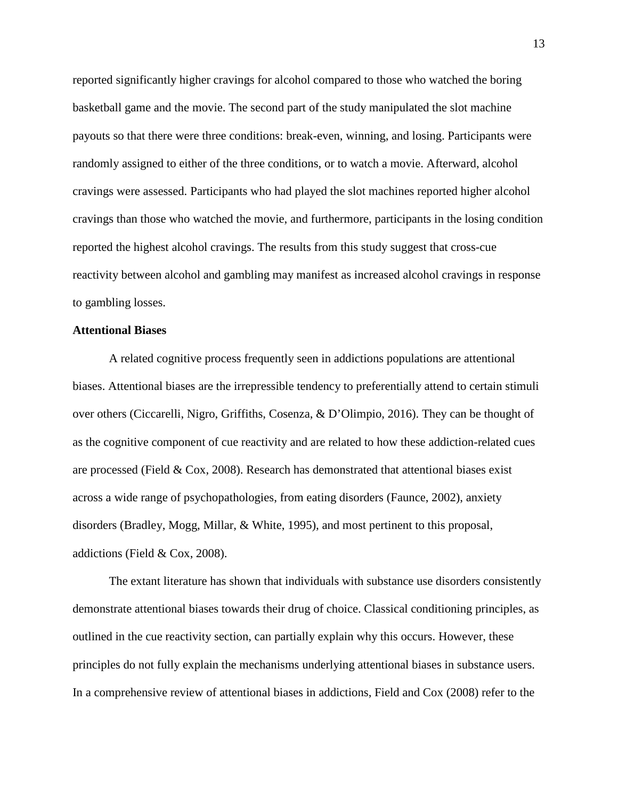reported significantly higher cravings for alcohol compared to those who watched the boring basketball game and the movie. The second part of the study manipulated the slot machine payouts so that there were three conditions: break-even, winning, and losing. Participants were randomly assigned to either of the three conditions, or to watch a movie. Afterward, alcohol cravings were assessed. Participants who had played the slot machines reported higher alcohol cravings than those who watched the movie, and furthermore, participants in the losing condition reported the highest alcohol cravings. The results from this study suggest that cross-cue reactivity between alcohol and gambling may manifest as increased alcohol cravings in response to gambling losses.

#### **Attentional Biases**

A related cognitive process frequently seen in addictions populations are attentional biases. Attentional biases are the irrepressible tendency to preferentially attend to certain stimuli over others (Ciccarelli, Nigro, Griffiths, Cosenza, & D'Olimpio, 2016). They can be thought of as the cognitive component of cue reactivity and are related to how these addiction-related cues are processed (Field & Cox, 2008). Research has demonstrated that attentional biases exist across a wide range of psychopathologies, from eating disorders (Faunce, 2002), anxiety disorders (Bradley, Mogg, Millar, & White, 1995), and most pertinent to this proposal, addictions (Field & Cox, 2008).

The extant literature has shown that individuals with substance use disorders consistently demonstrate attentional biases towards their drug of choice. Classical conditioning principles, as outlined in the cue reactivity section, can partially explain why this occurs. However, these principles do not fully explain the mechanisms underlying attentional biases in substance users. In a comprehensive review of attentional biases in addictions, Field and Cox (2008) refer to the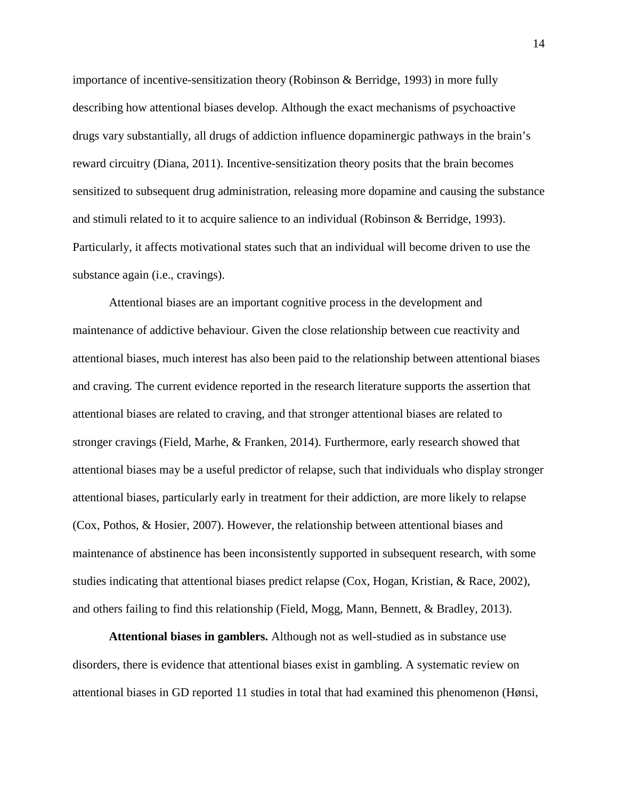importance of incentive-sensitization theory (Robinson & Berridge, 1993) in more fully describing how attentional biases develop. Although the exact mechanisms of psychoactive drugs vary substantially, all drugs of addiction influence dopaminergic pathways in the brain's reward circuitry (Diana, 2011). Incentive-sensitization theory posits that the brain becomes sensitized to subsequent drug administration, releasing more dopamine and causing the substance and stimuli related to it to acquire salience to an individual (Robinson & Berridge, 1993). Particularly, it affects motivational states such that an individual will become driven to use the substance again (i.e., cravings).

Attentional biases are an important cognitive process in the development and maintenance of addictive behaviour. Given the close relationship between cue reactivity and attentional biases, much interest has also been paid to the relationship between attentional biases and craving. The current evidence reported in the research literature supports the assertion that attentional biases are related to craving, and that stronger attentional biases are related to stronger cravings (Field, Marhe, & Franken, 2014). Furthermore, early research showed that attentional biases may be a useful predictor of relapse, such that individuals who display stronger attentional biases, particularly early in treatment for their addiction, are more likely to relapse (Cox, Pothos, & Hosier, 2007). However, the relationship between attentional biases and maintenance of abstinence has been inconsistently supported in subsequent research, with some studies indicating that attentional biases predict relapse (Cox, Hogan, Kristian, & Race, 2002), and others failing to find this relationship (Field, Mogg, Mann, Bennett, & Bradley, 2013).

**Attentional biases in gamblers.** Although not as well-studied as in substance use disorders, there is evidence that attentional biases exist in gambling. A systematic review on attentional biases in GD reported 11 studies in total that had examined this phenomenon (Hønsi,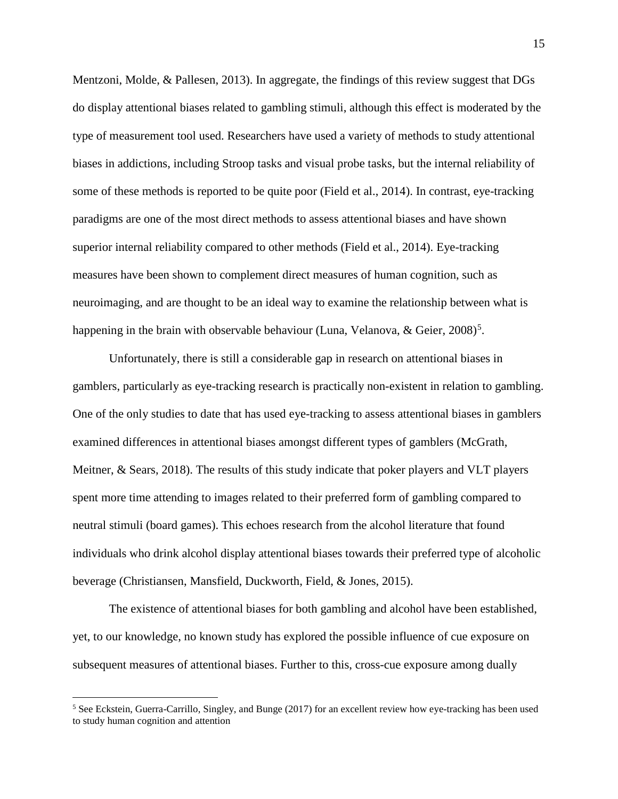Mentzoni, Molde, & Pallesen, 2013). In aggregate, the findings of this review suggest that DGs do display attentional biases related to gambling stimuli, although this effect is moderated by the type of measurement tool used. Researchers have used a variety of methods to study attentional biases in addictions, including Stroop tasks and visual probe tasks, but the internal reliability of some of these methods is reported to be quite poor (Field et al., 2014). In contrast, eye-tracking paradigms are one of the most direct methods to assess attentional biases and have shown superior internal reliability compared to other methods (Field et al., 2014). Eye-tracking measures have been shown to complement direct measures of human cognition, such as neuroimaging, and are thought to be an ideal way to examine the relationship between what is happening in the brain with observable behaviour (Luna, Velanova, & Geier, 2008)<sup>[5](#page-25-0)</sup>.

Unfortunately, there is still a considerable gap in research on attentional biases in gamblers, particularly as eye-tracking research is practically non-existent in relation to gambling. One of the only studies to date that has used eye-tracking to assess attentional biases in gamblers examined differences in attentional biases amongst different types of gamblers (McGrath, Meitner, & Sears, 2018). The results of this study indicate that poker players and VLT players spent more time attending to images related to their preferred form of gambling compared to neutral stimuli (board games). This echoes research from the alcohol literature that found individuals who drink alcohol display attentional biases towards their preferred type of alcoholic beverage (Christiansen, Mansfield, Duckworth, Field, & Jones, 2015).

The existence of attentional biases for both gambling and alcohol have been established, yet, to our knowledge, no known study has explored the possible influence of cue exposure on subsequent measures of attentional biases. Further to this, cross-cue exposure among dually

l

<span id="page-25-0"></span><sup>&</sup>lt;sup>5</sup> See Eckstein, Guerra-Carrillo, Singley, and Bunge (2017) for an excellent review how eye-tracking has been used to study human cognition and attention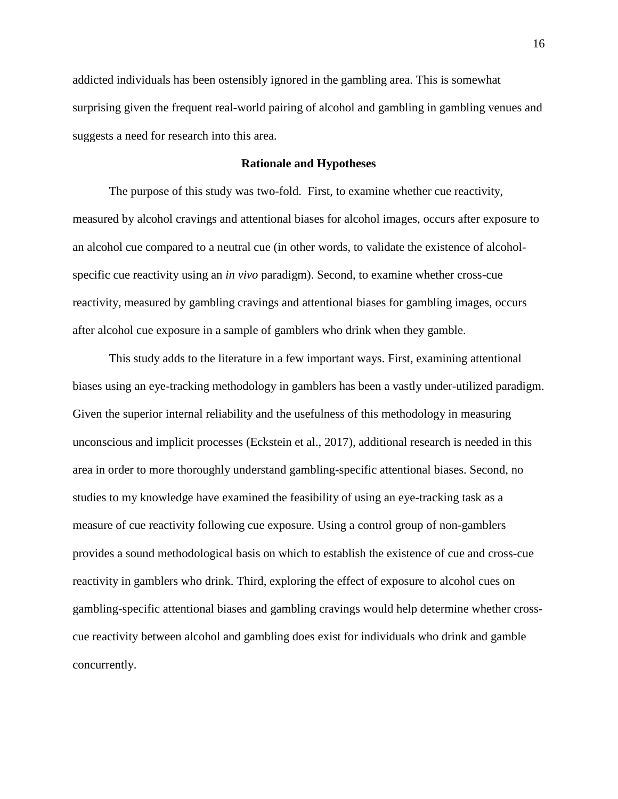addicted individuals has been ostensibly ignored in the gambling area. This is somewhat surprising given the frequent real-world pairing of alcohol and gambling in gambling venues and suggests a need for research into this area.

#### **Rationale and Hypotheses**

The purpose of this study was two-fold. First, to examine whether cue reactivity, measured by alcohol cravings and attentional biases for alcohol images, occurs after exposure to an alcohol cue compared to a neutral cue (in other words, to validate the existence of alcoholspecific cue reactivity using an *in vivo* paradigm). Second, to examine whether cross-cue reactivity, measured by gambling cravings and attentional biases for gambling images, occurs after alcohol cue exposure in a sample of gamblers who drink when they gamble.

This study adds to the literature in a few important ways. First, examining attentional biases using an eye-tracking methodology in gamblers has been a vastly under-utilized paradigm. Given the superior internal reliability and the usefulness of this methodology in measuring unconscious and implicit processes (Eckstein et al., 2017), additional research is needed in this area in order to more thoroughly understand gambling-specific attentional biases. Second, no studies to my knowledge have examined the feasibility of using an eye-tracking task as a measure of cue reactivity following cue exposure. Using a control group of non-gamblers provides a sound methodological basis on which to establish the existence of cue and cross-cue reactivity in gamblers who drink. Third, exploring the effect of exposure to alcohol cues on gambling-specific attentional biases and gambling cravings would help determine whether crosscue reactivity between alcohol and gambling does exist for individuals who drink and gamble concurrently.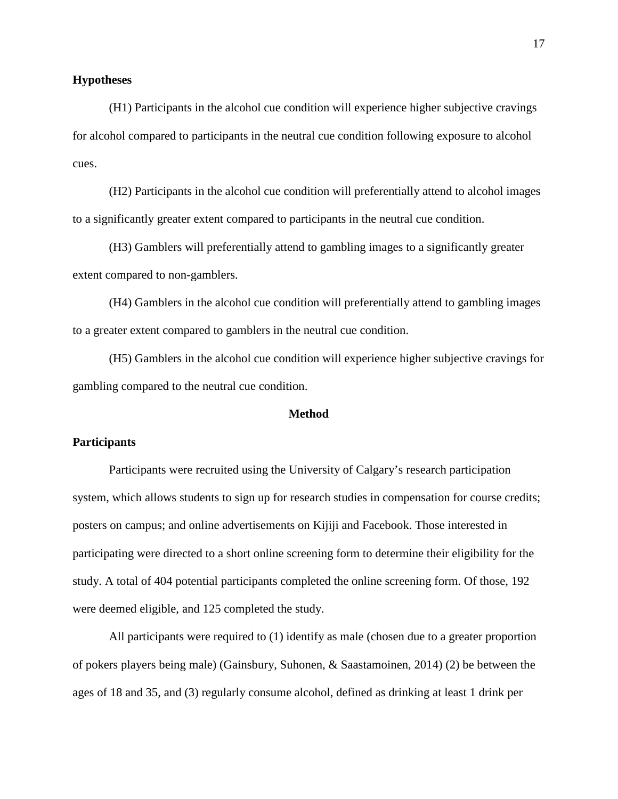#### **Hypotheses**

(H1) Participants in the alcohol cue condition will experience higher subjective cravings for alcohol compared to participants in the neutral cue condition following exposure to alcohol cues.

(H2) Participants in the alcohol cue condition will preferentially attend to alcohol images to a significantly greater extent compared to participants in the neutral cue condition.

(H3) Gamblers will preferentially attend to gambling images to a significantly greater extent compared to non-gamblers.

(H4) Gamblers in the alcohol cue condition will preferentially attend to gambling images to a greater extent compared to gamblers in the neutral cue condition.

(H5) Gamblers in the alcohol cue condition will experience higher subjective cravings for gambling compared to the neutral cue condition.

#### **Method**

#### **Participants**

Participants were recruited using the University of Calgary's research participation system, which allows students to sign up for research studies in compensation for course credits; posters on campus; and online advertisements on Kijiji and Facebook. Those interested in participating were directed to a short online screening form to determine their eligibility for the study. A total of 404 potential participants completed the online screening form. Of those, 192 were deemed eligible, and 125 completed the study.

All participants were required to (1) identify as male (chosen due to a greater proportion of pokers players being male) (Gainsbury, Suhonen, & Saastamoinen, 2014) (2) be between the ages of 18 and 35, and (3) regularly consume alcohol, defined as drinking at least 1 drink per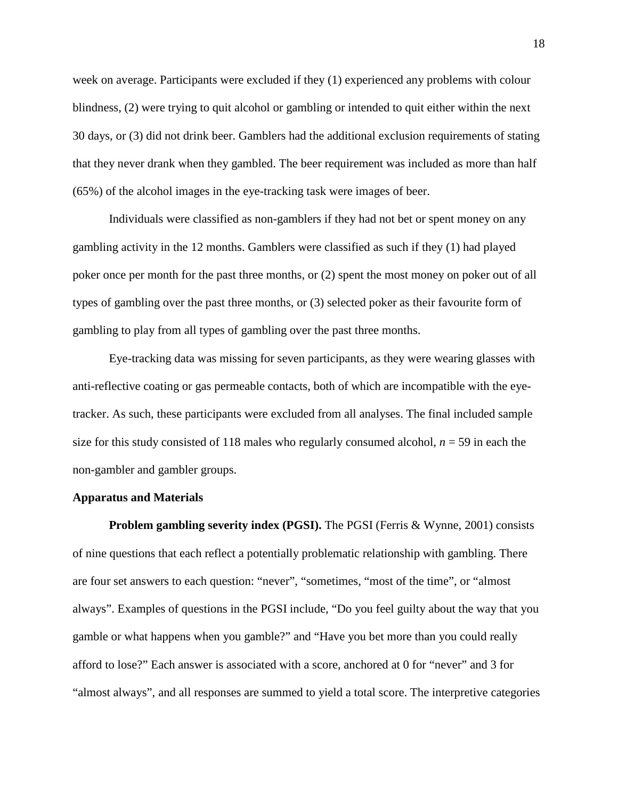week on average. Participants were excluded if they (1) experienced any problems with colour blindness, (2) were trying to quit alcohol or gambling or intended to quit either within the next 30 days, or (3) did not drink beer. Gamblers had the additional exclusion requirements of stating that they never drank when they gambled. The beer requirement was included as more than half (65%) of the alcohol images in the eye-tracking task were images of beer.

Individuals were classified as non-gamblers if they had not bet or spent money on any gambling activity in the 12 months. Gamblers were classified as such if they (1) had played poker once per month for the past three months, or (2) spent the most money on poker out of all types of gambling over the past three months, or (3) selected poker as their favourite form of gambling to play from all types of gambling over the past three months.

Eye-tracking data was missing for seven participants, as they were wearing glasses with anti-reflective coating or gas permeable contacts, both of which are incompatible with the eyetracker. As such, these participants were excluded from all analyses. The final included sample size for this study consisted of 118 males who regularly consumed alcohol, *n* = 59 in each the non-gambler and gambler groups.

#### **Apparatus and Materials**

**Problem gambling severity index (PGSI).** The PGSI (Ferris & Wynne, 2001) consists of nine questions that each reflect a potentially problematic relationship with gambling. There are four set answers to each question: "never", "sometimes, "most of the time", or "almost always". Examples of questions in the PGSI include, "Do you feel guilty about the way that you gamble or what happens when you gamble?" and "Have you bet more than you could really afford to lose?" Each answer is associated with a score, anchored at 0 for "never" and 3 for "almost always", and all responses are summed to yield a total score. The interpretive categories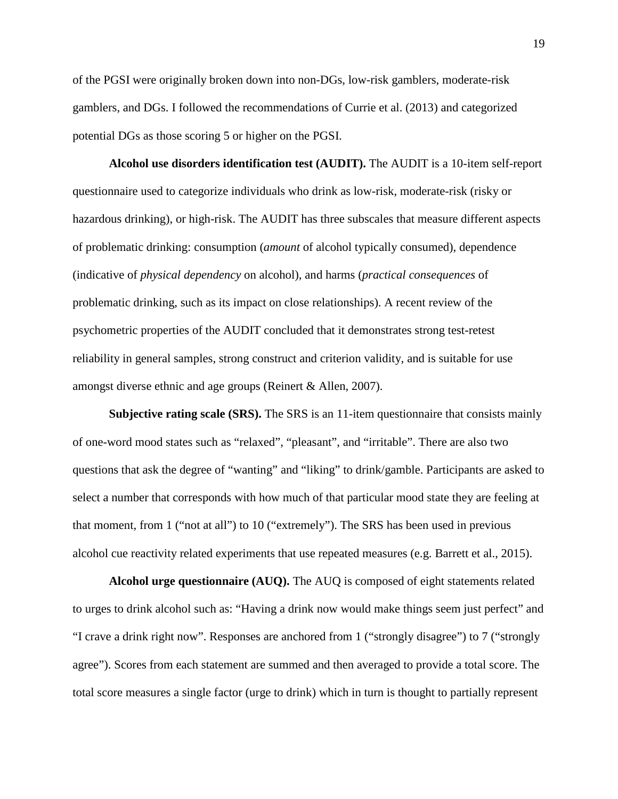of the PGSI were originally broken down into non-DGs, low-risk gamblers, moderate-risk gamblers, and DGs. I followed the recommendations of Currie et al. (2013) and categorized potential DGs as those scoring 5 or higher on the PGSI.

**Alcohol use disorders identification test (AUDIT).** The AUDIT is a 10-item self-report questionnaire used to categorize individuals who drink as low-risk, moderate-risk (risky or hazardous drinking), or high-risk. The AUDIT has three subscales that measure different aspects of problematic drinking: consumption (*amount* of alcohol typically consumed), dependence (indicative of *physical dependency* on alcohol), and harms (*practical consequences* of problematic drinking, such as its impact on close relationships). A recent review of the psychometric properties of the AUDIT concluded that it demonstrates strong test-retest reliability in general samples, strong construct and criterion validity, and is suitable for use amongst diverse ethnic and age groups (Reinert & Allen, 2007).

**Subjective rating scale (SRS).** The SRS is an 11-item questionnaire that consists mainly of one-word mood states such as "relaxed", "pleasant", and "irritable". There are also two questions that ask the degree of "wanting" and "liking" to drink/gamble. Participants are asked to select a number that corresponds with how much of that particular mood state they are feeling at that moment, from 1 ("not at all") to 10 ("extremely"). The SRS has been used in previous alcohol cue reactivity related experiments that use repeated measures (e.g. Barrett et al., 2015).

**Alcohol urge questionnaire (AUQ).** The AUQ is composed of eight statements related to urges to drink alcohol such as: "Having a drink now would make things seem just perfect" and "I crave a drink right now". Responses are anchored from 1 ("strongly disagree") to 7 ("strongly agree"). Scores from each statement are summed and then averaged to provide a total score. The total score measures a single factor (urge to drink) which in turn is thought to partially represent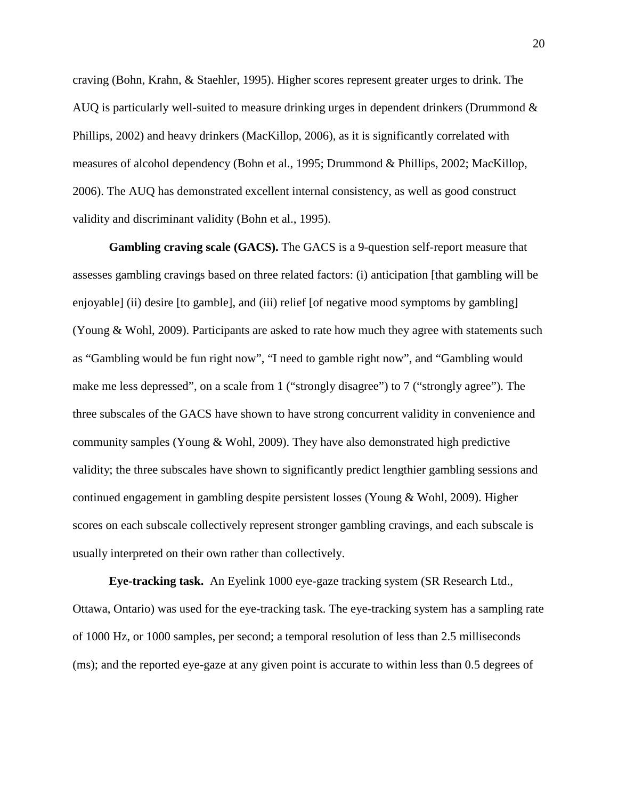craving (Bohn, Krahn, & Staehler, 1995). Higher scores represent greater urges to drink. The AUQ is particularly well-suited to measure drinking urges in dependent drinkers (Drummond & Phillips, 2002) and heavy drinkers (MacKillop, 2006), as it is significantly correlated with measures of alcohol dependency (Bohn et al., 1995; Drummond & Phillips, 2002; MacKillop, 2006). The AUQ has demonstrated excellent internal consistency, as well as good construct validity and discriminant validity (Bohn et al., 1995).

**Gambling craving scale (GACS).** The GACS is a 9-question self-report measure that assesses gambling cravings based on three related factors: (i) anticipation [that gambling will be enjoyable] (ii) desire [to gamble], and (iii) relief [of negative mood symptoms by gambling] (Young & Wohl, 2009). Participants are asked to rate how much they agree with statements such as "Gambling would be fun right now", "I need to gamble right now", and "Gambling would make me less depressed", on a scale from 1 ("strongly disagree") to 7 ("strongly agree"). The three subscales of the GACS have shown to have strong concurrent validity in convenience and community samples (Young & Wohl, 2009). They have also demonstrated high predictive validity; the three subscales have shown to significantly predict lengthier gambling sessions and continued engagement in gambling despite persistent losses (Young & Wohl, 2009). Higher scores on each subscale collectively represent stronger gambling cravings, and each subscale is usually interpreted on their own rather than collectively.

**Eye-tracking task.** An Eyelink 1000 eye-gaze tracking system (SR Research Ltd., Ottawa, Ontario) was used for the eye-tracking task. The eye-tracking system has a sampling rate of 1000 Hz, or 1000 samples, per second; a temporal resolution of less than 2.5 milliseconds (ms); and the reported eye-gaze at any given point is accurate to within less than 0.5 degrees of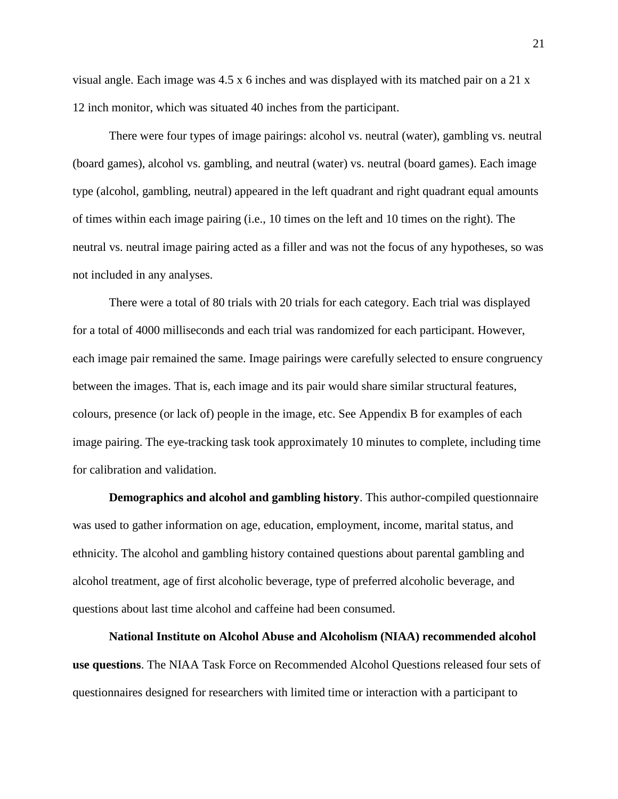visual angle. Each image was 4.5 x 6 inches and was displayed with its matched pair on a 21 x 12 inch monitor, which was situated 40 inches from the participant.

There were four types of image pairings: alcohol vs. neutral (water), gambling vs. neutral (board games), alcohol vs. gambling, and neutral (water) vs. neutral (board games). Each image type (alcohol, gambling, neutral) appeared in the left quadrant and right quadrant equal amounts of times within each image pairing (i.e., 10 times on the left and 10 times on the right). The neutral vs. neutral image pairing acted as a filler and was not the focus of any hypotheses, so was not included in any analyses.

There were a total of 80 trials with 20 trials for each category. Each trial was displayed for a total of 4000 milliseconds and each trial was randomized for each participant. However, each image pair remained the same. Image pairings were carefully selected to ensure congruency between the images. That is, each image and its pair would share similar structural features, colours, presence (or lack of) people in the image, etc. See Appendix B for examples of each image pairing. The eye-tracking task took approximately 10 minutes to complete, including time for calibration and validation.

**Demographics and alcohol and gambling history**. This author-compiled questionnaire was used to gather information on age, education, employment, income, marital status, and ethnicity. The alcohol and gambling history contained questions about parental gambling and alcohol treatment, age of first alcoholic beverage, type of preferred alcoholic beverage, and questions about last time alcohol and caffeine had been consumed.

**National Institute on Alcohol Abuse and Alcoholism (NIAA) recommended alcohol use questions**. The NIAA Task Force on Recommended Alcohol Questions released four sets of questionnaires designed for researchers with limited time or interaction with a participant to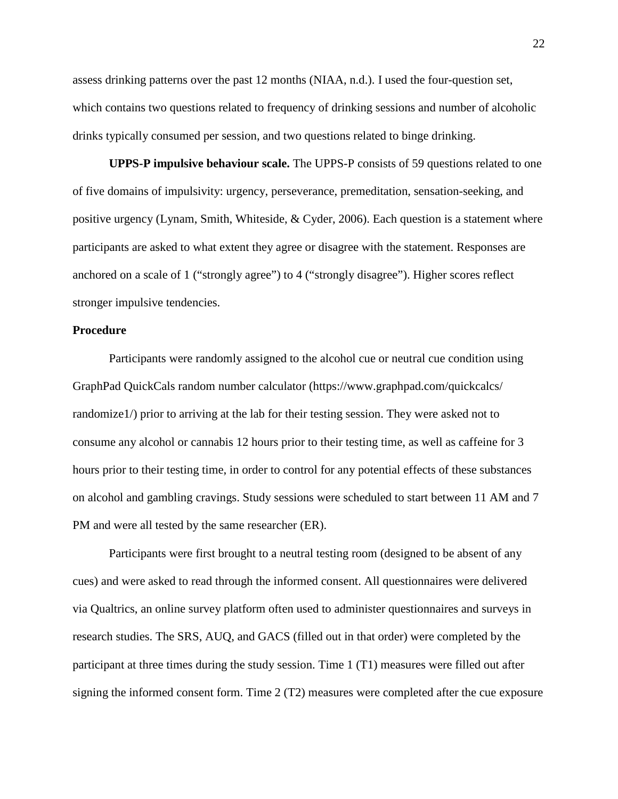assess drinking patterns over the past 12 months (NIAA, n.d.). I used the four-question set, which contains two questions related to frequency of drinking sessions and number of alcoholic drinks typically consumed per session, and two questions related to binge drinking.

**UPPS-P impulsive behaviour scale.** The UPPS-P consists of 59 questions related to one of five domains of impulsivity: urgency, perseverance, premeditation, sensation-seeking, and positive urgency (Lynam, Smith, Whiteside, & Cyder, 2006). Each question is a statement where participants are asked to what extent they agree or disagree with the statement. Responses are anchored on a scale of 1 ("strongly agree") to 4 ("strongly disagree"). Higher scores reflect stronger impulsive tendencies.

#### **Procedure**

Participants were randomly assigned to the alcohol cue or neutral cue condition using GraphPad QuickCals random number calculator (https://www.graphpad.com/quickcalcs/ randomize1/) prior to arriving at the lab for their testing session. They were asked not to consume any alcohol or cannabis 12 hours prior to their testing time, as well as caffeine for 3 hours prior to their testing time, in order to control for any potential effects of these substances on alcohol and gambling cravings. Study sessions were scheduled to start between 11 AM and 7 PM and were all tested by the same researcher (ER).

Participants were first brought to a neutral testing room (designed to be absent of any cues) and were asked to read through the informed consent. All questionnaires were delivered via Qualtrics, an online survey platform often used to administer questionnaires and surveys in research studies. The SRS, AUQ, and GACS (filled out in that order) were completed by the participant at three times during the study session. Time 1 (T1) measures were filled out after signing the informed consent form. Time 2 (T2) measures were completed after the cue exposure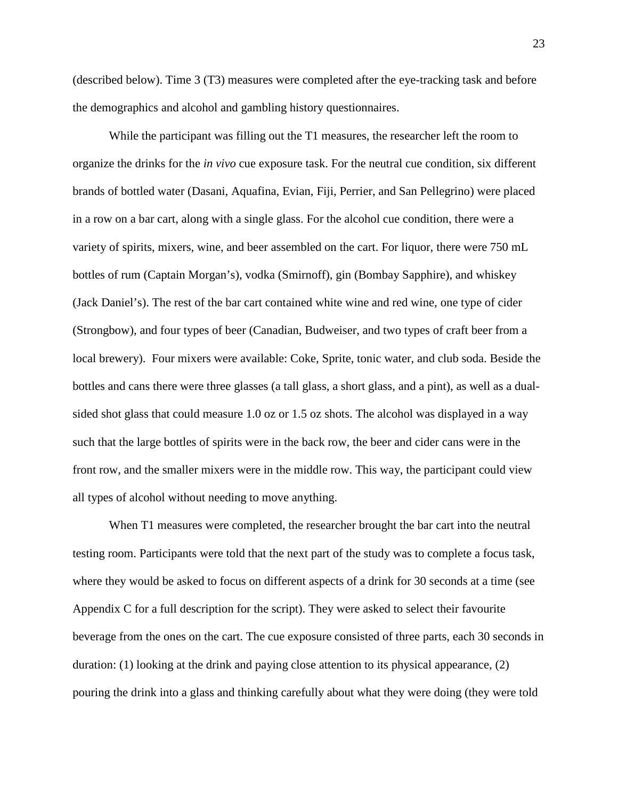(described below). Time 3 (T3) measures were completed after the eye-tracking task and before the demographics and alcohol and gambling history questionnaires.

While the participant was filling out the T1 measures, the researcher left the room to organize the drinks for the *in vivo* cue exposure task. For the neutral cue condition, six different brands of bottled water (Dasani, Aquafina, Evian, Fiji, Perrier, and San Pellegrino) were placed in a row on a bar cart, along with a single glass. For the alcohol cue condition, there were a variety of spirits, mixers, wine, and beer assembled on the cart. For liquor, there were 750 mL bottles of rum (Captain Morgan's), vodka (Smirnoff), gin (Bombay Sapphire), and whiskey (Jack Daniel's). The rest of the bar cart contained white wine and red wine, one type of cider (Strongbow), and four types of beer (Canadian, Budweiser, and two types of craft beer from a local brewery). Four mixers were available: Coke, Sprite, tonic water, and club soda. Beside the bottles and cans there were three glasses (a tall glass, a short glass, and a pint), as well as a dualsided shot glass that could measure 1.0 oz or 1.5 oz shots. The alcohol was displayed in a way such that the large bottles of spirits were in the back row, the beer and cider cans were in the front row, and the smaller mixers were in the middle row. This way, the participant could view all types of alcohol without needing to move anything.

When T1 measures were completed, the researcher brought the bar cart into the neutral testing room. Participants were told that the next part of the study was to complete a focus task, where they would be asked to focus on different aspects of a drink for 30 seconds at a time (see Appendix C for a full description for the script). They were asked to select their favourite beverage from the ones on the cart. The cue exposure consisted of three parts, each 30 seconds in duration: (1) looking at the drink and paying close attention to its physical appearance, (2) pouring the drink into a glass and thinking carefully about what they were doing (they were told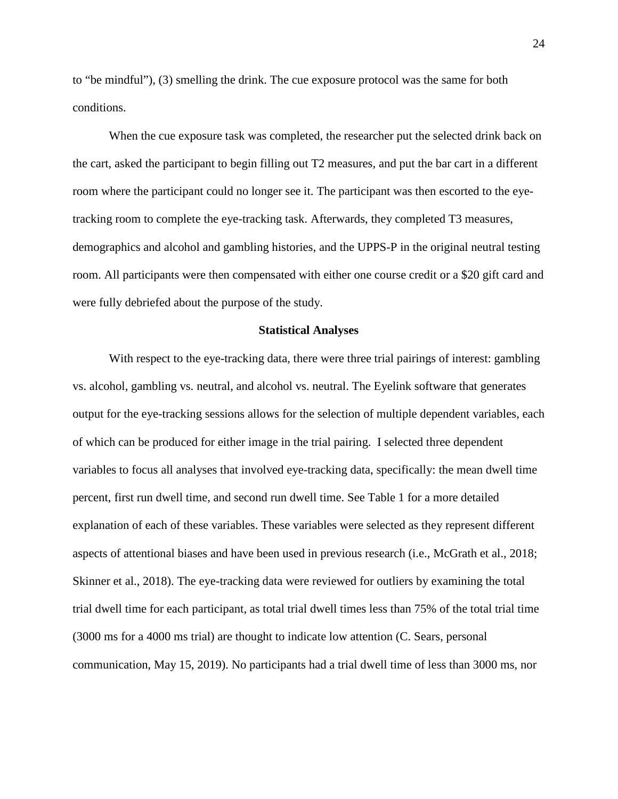to "be mindful"), (3) smelling the drink. The cue exposure protocol was the same for both conditions.

When the cue exposure task was completed, the researcher put the selected drink back on the cart, asked the participant to begin filling out T2 measures, and put the bar cart in a different room where the participant could no longer see it. The participant was then escorted to the eyetracking room to complete the eye-tracking task. Afterwards, they completed T3 measures, demographics and alcohol and gambling histories, and the UPPS-P in the original neutral testing room. All participants were then compensated with either one course credit or a \$20 gift card and were fully debriefed about the purpose of the study.

#### **Statistical Analyses**

With respect to the eye-tracking data, there were three trial pairings of interest: gambling vs. alcohol, gambling vs. neutral, and alcohol vs. neutral. The Eyelink software that generates output for the eye-tracking sessions allows for the selection of multiple dependent variables, each of which can be produced for either image in the trial pairing. I selected three dependent variables to focus all analyses that involved eye-tracking data, specifically: the mean dwell time percent, first run dwell time, and second run dwell time. See Table 1 for a more detailed explanation of each of these variables. These variables were selected as they represent different aspects of attentional biases and have been used in previous research (i.e., McGrath et al., 2018; Skinner et al., 2018). The eye-tracking data were reviewed for outliers by examining the total trial dwell time for each participant, as total trial dwell times less than 75% of the total trial time (3000 ms for a 4000 ms trial) are thought to indicate low attention (C. Sears, personal communication, May 15, 2019). No participants had a trial dwell time of less than 3000 ms, nor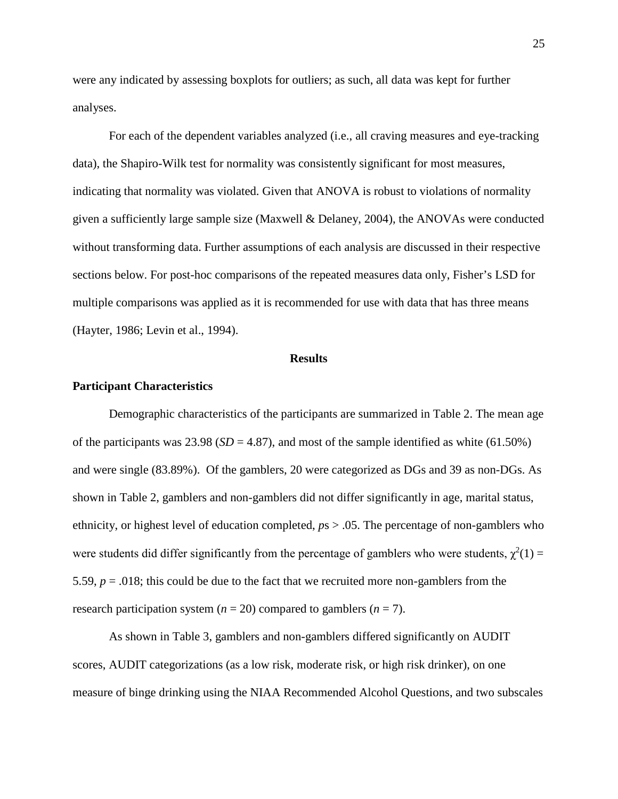were any indicated by assessing boxplots for outliers; as such, all data was kept for further analyses.

For each of the dependent variables analyzed (i.e., all craving measures and eye-tracking data), the Shapiro-Wilk test for normality was consistently significant for most measures, indicating that normality was violated. Given that ANOVA is robust to violations of normality given a sufficiently large sample size (Maxwell & Delaney, 2004), the ANOVAs were conducted without transforming data. Further assumptions of each analysis are discussed in their respective sections below. For post-hoc comparisons of the repeated measures data only, Fisher's LSD for multiple comparisons was applied as it is recommended for use with data that has three means (Hayter, 1986; Levin et al., 1994).

#### **Results**

#### **Participant Characteristics**

Demographic characteristics of the participants are summarized in Table 2. The mean age of the participants was  $23.98$  (*SD* = 4.87), and most of the sample identified as white (61.50%) and were single (83.89%). Of the gamblers, 20 were categorized as DGs and 39 as non-DGs. As shown in Table 2, gamblers and non-gamblers did not differ significantly in age, marital status, ethnicity, or highest level of education completed, *p*s > .05. The percentage of non-gamblers who were students did differ significantly from the percentage of gamblers who were students,  $\chi^2(1)$  = 5.59,  $p = .018$ ; this could be due to the fact that we recruited more non-gamblers from the research participation system  $(n = 20)$  compared to gamblers  $(n = 7)$ .

As shown in Table 3, gamblers and non-gamblers differed significantly on AUDIT scores, AUDIT categorizations (as a low risk, moderate risk, or high risk drinker), on one measure of binge drinking using the NIAA Recommended Alcohol Questions, and two subscales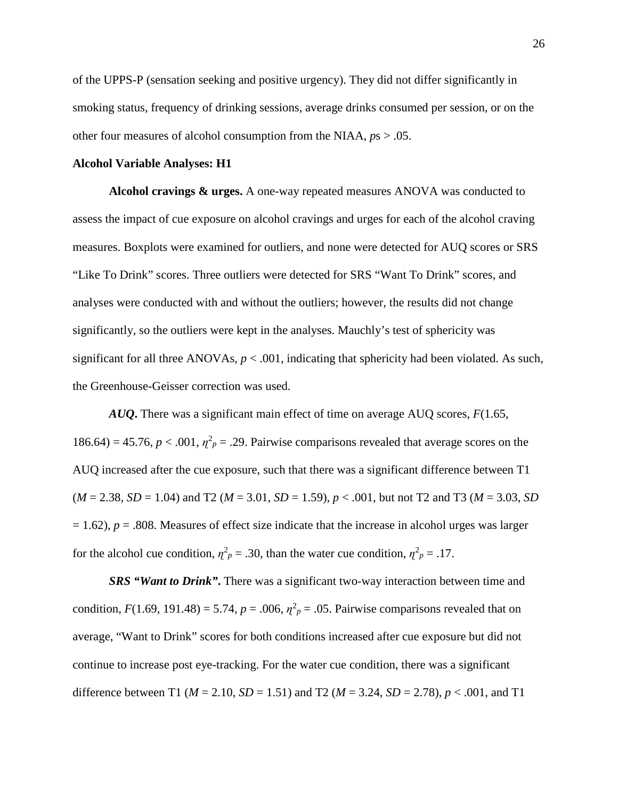of the UPPS-P (sensation seeking and positive urgency). They did not differ significantly in smoking status, frequency of drinking sessions, average drinks consumed per session, or on the other four measures of alcohol consumption from the NIAA, *p*s > .05.

#### **Alcohol Variable Analyses: H1**

**Alcohol cravings & urges.** A one-way repeated measures ANOVA was conducted to assess the impact of cue exposure on alcohol cravings and urges for each of the alcohol craving measures. Boxplots were examined for outliers, and none were detected for AUQ scores or SRS "Like To Drink" scores. Three outliers were detected for SRS "Want To Drink" scores, and analyses were conducted with and without the outliers; however, the results did not change significantly, so the outliers were kept in the analyses. Mauchly's test of sphericity was significant for all three ANOVAs,  $p < .001$ , indicating that sphericity had been violated. As such, the Greenhouse-Geisser correction was used.

*AUQ***.** There was a significant main effect of time on average AUQ scores, *F*(1.65, 186.64) = 45.76,  $p < .001$ ,  $\eta^2 p = .29$ . Pairwise comparisons revealed that average scores on the AUQ increased after the cue exposure, such that there was a significant difference between T1  $(M = 2.38, SD = 1.04)$  and T2 ( $M = 3.01, SD = 1.59$ ),  $p < .001$ , but not T2 and T3 ( $M = 3.03, SD$  $= 1.62$ ),  $p = .808$ . Measures of effect size indicate that the increase in alcohol urges was larger for the alcohol cue condition,  $\eta_p^2 = 0.30$ , than the water cue condition,  $\eta_p^2 = 0.17$ .

**SRS "Want to Drink".** There was a significant two-way interaction between time and condition,  $F(1.69, 191.48) = 5.74$ ,  $p = .006$ ,  $\eta^2 p = .05$ . Pairwise comparisons revealed that on average, "Want to Drink" scores for both conditions increased after cue exposure but did not continue to increase post eye-tracking. For the water cue condition, there was a significant difference between T1 (*M* = 2.10, *SD* = 1.51) and T2 (*M* = 3.24, *SD* = 2.78), *p* < .001, and T1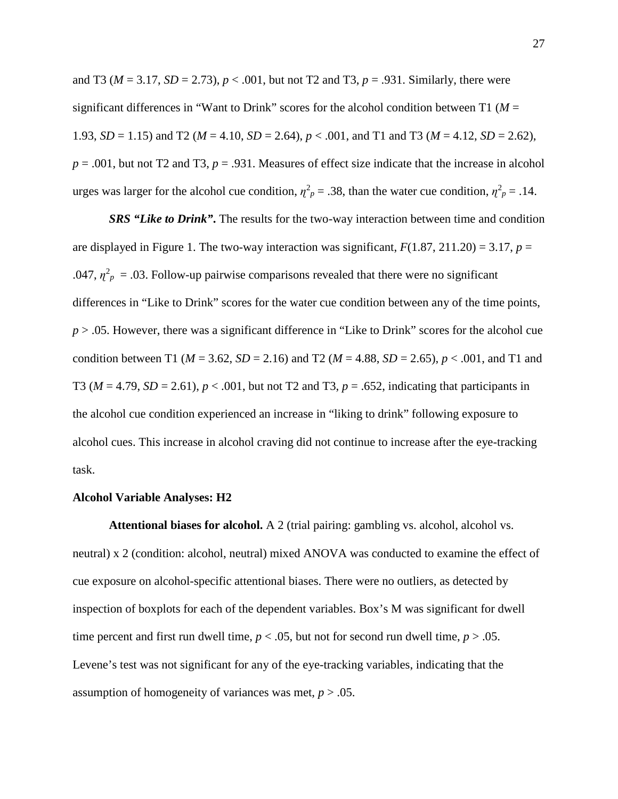and T3 ( $M = 3.17$ ,  $SD = 2.73$ ),  $p < .001$ , but not T2 and T3,  $p = .931$ . Similarly, there were significant differences in "Want to Drink" scores for the alcohol condition between T1 ( $M =$ 1.93, *SD* = 1.15) and T2 (*M* = 4.10, *SD* = 2.64),  $p < .001$ , and T1 and T3 (*M* = 4.12, *SD* = 2.62),  $p = .001$ , but not T2 and T3,  $p = .931$ . Measures of effect size indicate that the increase in alcohol urges was larger for the alcohol cue condition,  $\eta^2 p = 0.38$ , than the water cue condition,  $\eta^2 p = 0.14$ .

*SRS "Like to Drink"***.** The results for the two-way interaction between time and condition are displayed in Figure 1. The two-way interaction was significant,  $F(1.87, 211.20) = 3.17$ ,  $p =$ .047,  $\eta^2$ <sub>*p*</sub> = .03. Follow-up pairwise comparisons revealed that there were no significant differences in "Like to Drink" scores for the water cue condition between any of the time points, *p* > .05. However, there was a significant difference in "Like to Drink" scores for the alcohol cue condition between T1 ( $M = 3.62$ ,  $SD = 2.16$ ) and T2 ( $M = 4.88$ ,  $SD = 2.65$ ),  $p < .001$ , and T1 and T3 ( $M = 4.79$ ,  $SD = 2.61$ ),  $p < .001$ , but not T2 and T3,  $p = .652$ , indicating that participants in the alcohol cue condition experienced an increase in "liking to drink" following exposure to alcohol cues. This increase in alcohol craving did not continue to increase after the eye-tracking task.

#### **Alcohol Variable Analyses: H2**

**Attentional biases for alcohol.** A 2 (trial pairing: gambling vs. alcohol, alcohol vs. neutral) x 2 (condition: alcohol, neutral) mixed ANOVA was conducted to examine the effect of cue exposure on alcohol-specific attentional biases. There were no outliers, as detected by inspection of boxplots for each of the dependent variables. Box's M was significant for dwell time percent and first run dwell time,  $p < .05$ , but not for second run dwell time,  $p > .05$ . Levene's test was not significant for any of the eye-tracking variables, indicating that the assumption of homogeneity of variances was met, *p* > .05.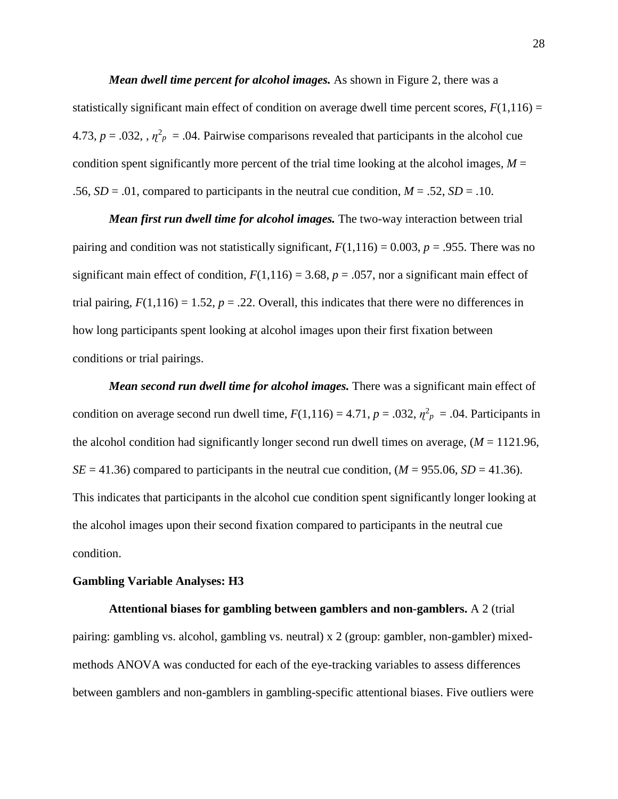*Mean dwell time percent for alcohol images.* As shown in Figure 2, there was a statistically significant main effect of condition on average dwell time percent scores,  $F(1,116) =$ 4.73,  $p = .032$ ,  $\eta^2$  = .04. Pairwise comparisons revealed that participants in the alcohol cue condition spent significantly more percent of the trial time looking at the alcohol images,  $M =$ .56,  $SD = .01$ , compared to participants in the neutral cue condition,  $M = .52$ ,  $SD = .10$ .

*Mean first run dwell time for alcohol images.* The two-way interaction between trial pairing and condition was not statistically significant,  $F(1,116) = 0.003$ ,  $p = .955$ . There was no significant main effect of condition,  $F(1,116) = 3.68$ ,  $p = .057$ , nor a significant main effect of trial pairing,  $F(1,116) = 1.52$ ,  $p = .22$ . Overall, this indicates that there were no differences in how long participants spent looking at alcohol images upon their first fixation between conditions or trial pairings.

*Mean second run dwell time for alcohol images.* There was a significant main effect of condition on average second run dwell time,  $F(1,116) = 4.71$ ,  $p = .032$ ,  $\eta^2_p = .04$ . Participants in the alcohol condition had significantly longer second run dwell times on average,  $(M = 1121.96$ ,  $SE = 41.36$  compared to participants in the neutral cue condition,  $(M = 955.06, SD = 41.36)$ . This indicates that participants in the alcohol cue condition spent significantly longer looking at the alcohol images upon their second fixation compared to participants in the neutral cue condition.

#### **Gambling Variable Analyses: H3**

**Attentional biases for gambling between gamblers and non-gamblers.** A 2 (trial pairing: gambling vs. alcohol, gambling vs. neutral) x 2 (group: gambler, non-gambler) mixedmethods ANOVA was conducted for each of the eye-tracking variables to assess differences between gamblers and non-gamblers in gambling-specific attentional biases. Five outliers were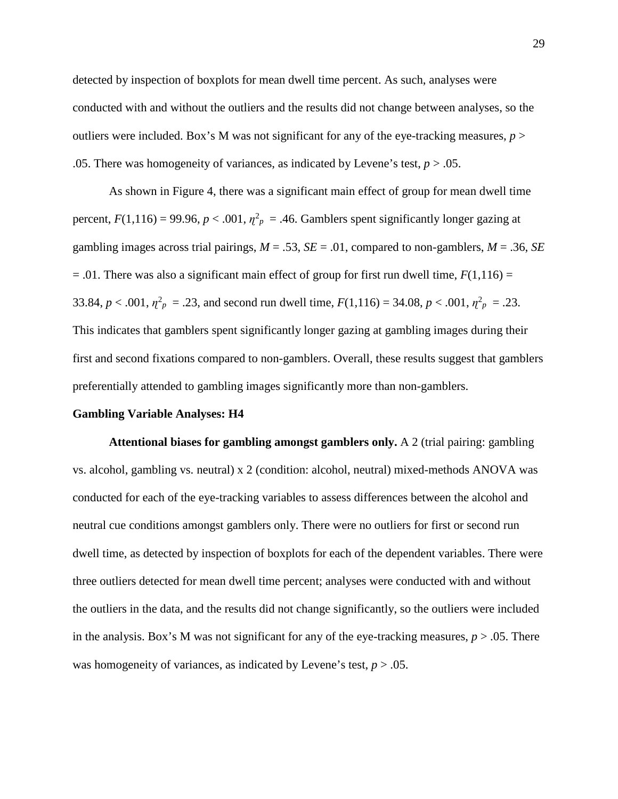detected by inspection of boxplots for mean dwell time percent. As such, analyses were conducted with and without the outliers and the results did not change between analyses, so the outliers were included. Box's M was not significant for any of the eye-tracking measures, *p* > .05. There was homogeneity of variances, as indicated by Levene's test,  $p > .05$ .

As shown in Figure 4, there was a significant main effect of group for mean dwell time percent,  $F(1,116) = 99.96$ ,  $p < .001$ ,  $\eta^2_p = .46$ . Gamblers spent significantly longer gazing at gambling images across trial pairings,  $M = .53$ ,  $SE = .01$ , compared to non-gamblers,  $M = .36$ ,  $SE$  $= 0.01$ . There was also a significant main effect of group for first run dwell time,  $F(1,116) =$ 33.84,  $p < .001$ ,  $\eta^2_p = .23$ , and second run dwell time,  $F(1,116) = 34.08$ ,  $p < .001$ ,  $\eta^2_p = .23$ . This indicates that gamblers spent significantly longer gazing at gambling images during their first and second fixations compared to non-gamblers. Overall, these results suggest that gamblers preferentially attended to gambling images significantly more than non-gamblers.

#### **Gambling Variable Analyses: H4**

**Attentional biases for gambling amongst gamblers only.** A 2 (trial pairing: gambling vs. alcohol, gambling vs. neutral) x 2 (condition: alcohol, neutral) mixed-methods ANOVA was conducted for each of the eye-tracking variables to assess differences between the alcohol and neutral cue conditions amongst gamblers only. There were no outliers for first or second run dwell time, as detected by inspection of boxplots for each of the dependent variables. There were three outliers detected for mean dwell time percent; analyses were conducted with and without the outliers in the data, and the results did not change significantly, so the outliers were included in the analysis. Box's M was not significant for any of the eye-tracking measures,  $p > .05$ . There was homogeneity of variances, as indicated by Levene's test,  $p > .05$ .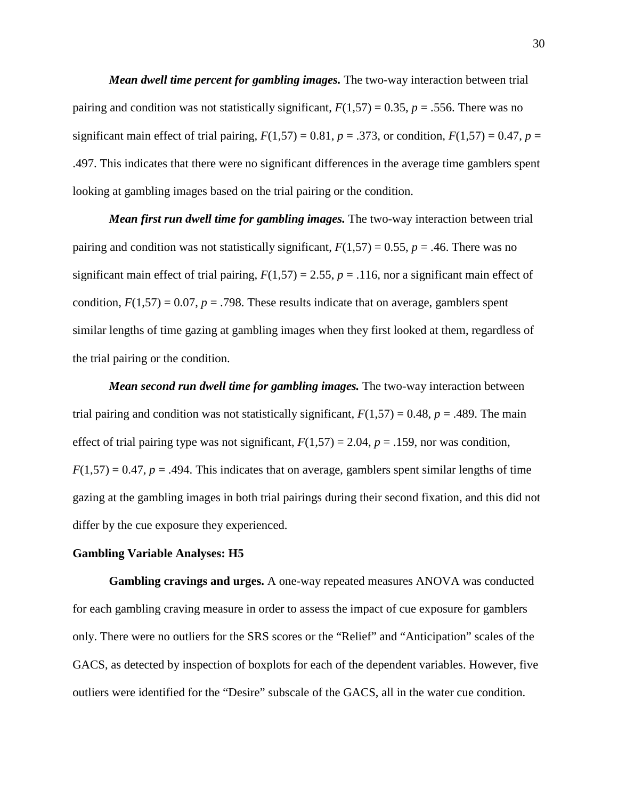*Mean dwell time percent for gambling images.* The two-way interaction between trial pairing and condition was not statistically significant,  $F(1,57) = 0.35$ ,  $p = .556$ . There was no significant main effect of trial pairing,  $F(1,57) = 0.81$ ,  $p = .373$ , or condition,  $F(1,57) = 0.47$ ,  $p =$ .497. This indicates that there were no significant differences in the average time gamblers spent looking at gambling images based on the trial pairing or the condition.

*Mean first run dwell time for gambling images.* The two-way interaction between trial pairing and condition was not statistically significant,  $F(1,57) = 0.55$ ,  $p = .46$ . There was no significant main effect of trial pairing,  $F(1,57) = 2.55$ ,  $p = .116$ , nor a significant main effect of condition,  $F(1,57) = 0.07$ ,  $p = .798$ . These results indicate that on average, gamblers spent similar lengths of time gazing at gambling images when they first looked at them, regardless of the trial pairing or the condition.

*Mean second run dwell time for gambling images.* The two-way interaction between trial pairing and condition was not statistically significant,  $F(1,57) = 0.48$ ,  $p = .489$ . The main effect of trial pairing type was not significant,  $F(1,57) = 2.04$ ,  $p = .159$ , nor was condition,  $F(1,57) = 0.47$ ,  $p = .494$ . This indicates that on average, gamblers spent similar lengths of time gazing at the gambling images in both trial pairings during their second fixation, and this did not differ by the cue exposure they experienced.

#### **Gambling Variable Analyses: H5**

**Gambling cravings and urges.** A one-way repeated measures ANOVA was conducted for each gambling craving measure in order to assess the impact of cue exposure for gamblers only. There were no outliers for the SRS scores or the "Relief" and "Anticipation" scales of the GACS, as detected by inspection of boxplots for each of the dependent variables. However, five outliers were identified for the "Desire" subscale of the GACS, all in the water cue condition.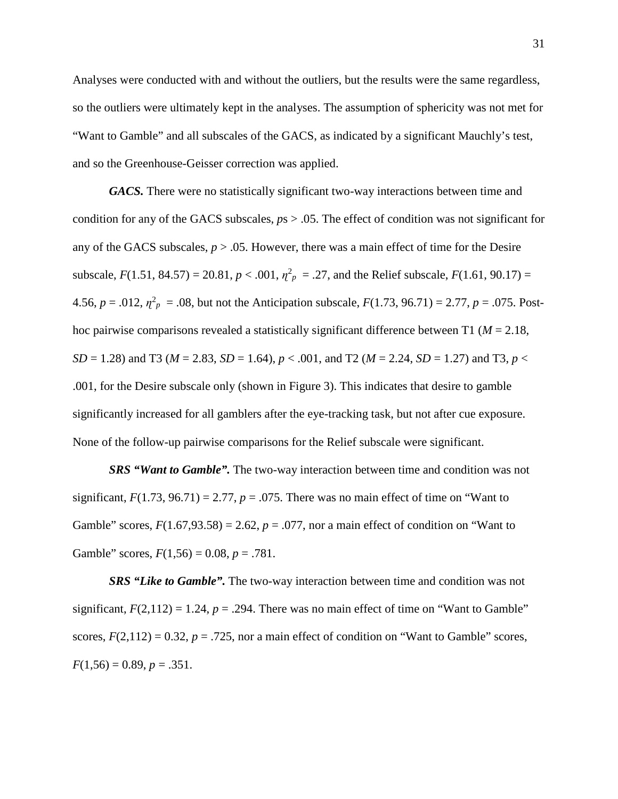Analyses were conducted with and without the outliers, but the results were the same regardless, so the outliers were ultimately kept in the analyses. The assumption of sphericity was not met for "Want to Gamble" and all subscales of the GACS, as indicated by a significant Mauchly's test, and so the Greenhouse-Geisser correction was applied.

*GACS.* There were no statistically significant two-way interactions between time and condition for any of the GACS subscales, *p*s > .05. The effect of condition was not significant for any of the GACS subscales,  $p > 0.05$ . However, there was a main effect of time for the Desire subscale,  $F(1.51, 84.57) = 20.81, p < .001, \eta^2_p = .27$ , and the Relief subscale,  $F(1.61, 90.17) =$ 4.56,  $p = .012$ ,  $\eta^2$  = .08, but not the Anticipation subscale,  $F(1.73, 96.71) = 2.77$ ,  $p = .075$ . Posthoc pairwise comparisons revealed a statistically significant difference between T1 (*M* = 2.18, *SD* = 1.28) and T3 ( $M = 2.83$ ,  $SD = 1.64$ ),  $p < .001$ , and T2 ( $M = 2.24$ ,  $SD = 1.27$ ) and T3,  $p <$ .001, for the Desire subscale only (shown in Figure 3). This indicates that desire to gamble significantly increased for all gamblers after the eye-tracking task, but not after cue exposure. None of the follow-up pairwise comparisons for the Relief subscale were significant.

*SRS "Want to Gamble".* The two-way interaction between time and condition was not significant,  $F(1.73, 96.71) = 2.77$ ,  $p = .075$ . There was no main effect of time on "Want to" Gamble" scores,  $F(1.67, 93.58) = 2.62$ ,  $p = .077$ , nor a main effect of condition on "Want to Gamble" scores,  $F(1,56) = 0.08$ ,  $p = .781$ .

*SRS "Like to Gamble".* The two-way interaction between time and condition was not significant,  $F(2,112) = 1.24$ ,  $p = .294$ . There was no main effect of time on "Want to Gamble" scores,  $F(2,112) = 0.32$ ,  $p = .725$ , nor a main effect of condition on "Want to Gamble" scores,  $F(1,56) = 0.89, p = .351.$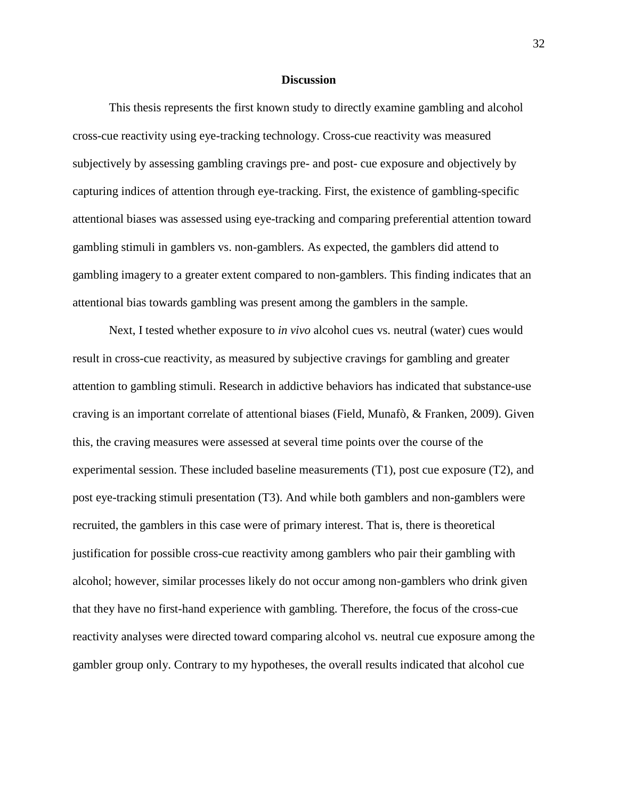#### **Discussion**

This thesis represents the first known study to directly examine gambling and alcohol cross-cue reactivity using eye-tracking technology. Cross-cue reactivity was measured subjectively by assessing gambling cravings pre- and post- cue exposure and objectively by capturing indices of attention through eye-tracking. First, the existence of gambling-specific attentional biases was assessed using eye-tracking and comparing preferential attention toward gambling stimuli in gamblers vs. non-gamblers. As expected, the gamblers did attend to gambling imagery to a greater extent compared to non-gamblers. This finding indicates that an attentional bias towards gambling was present among the gamblers in the sample.

Next, I tested whether exposure to *in vivo* alcohol cues vs. neutral (water) cues would result in cross-cue reactivity, as measured by subjective cravings for gambling and greater attention to gambling stimuli. Research in addictive behaviors has indicated that substance-use craving is an important correlate of attentional biases (Field, Munafò, & Franken, 2009). Given this, the craving measures were assessed at several time points over the course of the experimental session. These included baseline measurements (T1), post cue exposure (T2), and post eye-tracking stimuli presentation (T3). And while both gamblers and non-gamblers were recruited, the gamblers in this case were of primary interest. That is, there is theoretical justification for possible cross-cue reactivity among gamblers who pair their gambling with alcohol; however, similar processes likely do not occur among non-gamblers who drink given that they have no first-hand experience with gambling. Therefore, the focus of the cross-cue reactivity analyses were directed toward comparing alcohol vs. neutral cue exposure among the gambler group only. Contrary to my hypotheses, the overall results indicated that alcohol cue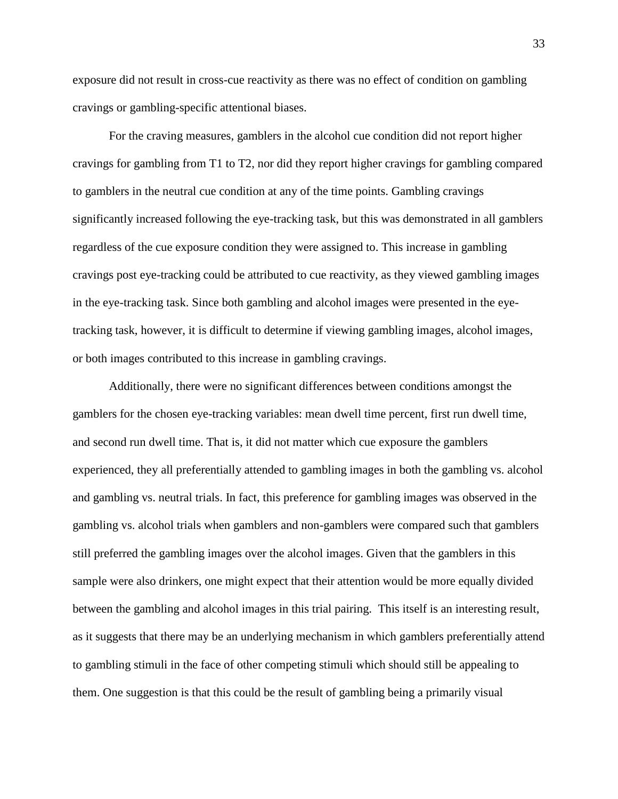exposure did not result in cross-cue reactivity as there was no effect of condition on gambling cravings or gambling-specific attentional biases.

For the craving measures, gamblers in the alcohol cue condition did not report higher cravings for gambling from T1 to T2, nor did they report higher cravings for gambling compared to gamblers in the neutral cue condition at any of the time points. Gambling cravings significantly increased following the eye-tracking task, but this was demonstrated in all gamblers regardless of the cue exposure condition they were assigned to. This increase in gambling cravings post eye-tracking could be attributed to cue reactivity, as they viewed gambling images in the eye-tracking task. Since both gambling and alcohol images were presented in the eyetracking task, however, it is difficult to determine if viewing gambling images, alcohol images, or both images contributed to this increase in gambling cravings.

Additionally, there were no significant differences between conditions amongst the gamblers for the chosen eye-tracking variables: mean dwell time percent, first run dwell time, and second run dwell time. That is, it did not matter which cue exposure the gamblers experienced, they all preferentially attended to gambling images in both the gambling vs. alcohol and gambling vs. neutral trials. In fact, this preference for gambling images was observed in the gambling vs. alcohol trials when gamblers and non-gamblers were compared such that gamblers still preferred the gambling images over the alcohol images. Given that the gamblers in this sample were also drinkers, one might expect that their attention would be more equally divided between the gambling and alcohol images in this trial pairing. This itself is an interesting result, as it suggests that there may be an underlying mechanism in which gamblers preferentially attend to gambling stimuli in the face of other competing stimuli which should still be appealing to them. One suggestion is that this could be the result of gambling being a primarily visual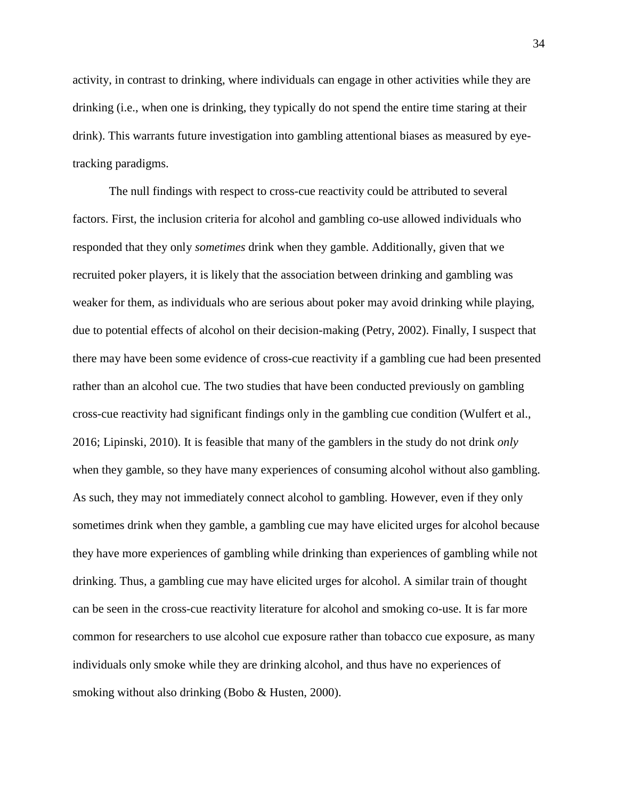activity, in contrast to drinking, where individuals can engage in other activities while they are drinking (i.e., when one is drinking, they typically do not spend the entire time staring at their drink). This warrants future investigation into gambling attentional biases as measured by eyetracking paradigms.

The null findings with respect to cross-cue reactivity could be attributed to several factors. First, the inclusion criteria for alcohol and gambling co-use allowed individuals who responded that they only *sometimes* drink when they gamble. Additionally, given that we recruited poker players, it is likely that the association between drinking and gambling was weaker for them, as individuals who are serious about poker may avoid drinking while playing, due to potential effects of alcohol on their decision-making (Petry, 2002). Finally, I suspect that there may have been some evidence of cross-cue reactivity if a gambling cue had been presented rather than an alcohol cue. The two studies that have been conducted previously on gambling cross-cue reactivity had significant findings only in the gambling cue condition (Wulfert et al., 2016; Lipinski, 2010). It is feasible that many of the gamblers in the study do not drink *only* when they gamble, so they have many experiences of consuming alcohol without also gambling. As such, they may not immediately connect alcohol to gambling. However, even if they only sometimes drink when they gamble, a gambling cue may have elicited urges for alcohol because they have more experiences of gambling while drinking than experiences of gambling while not drinking. Thus, a gambling cue may have elicited urges for alcohol. A similar train of thought can be seen in the cross-cue reactivity literature for alcohol and smoking co-use. It is far more common for researchers to use alcohol cue exposure rather than tobacco cue exposure, as many individuals only smoke while they are drinking alcohol, and thus have no experiences of smoking without also drinking (Bobo & Husten, 2000).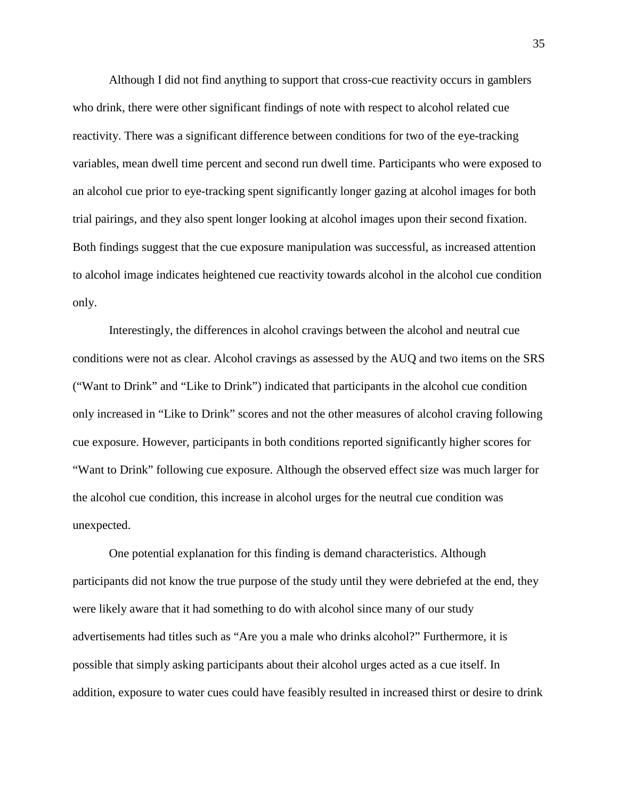Although I did not find anything to support that cross-cue reactivity occurs in gamblers who drink, there were other significant findings of note with respect to alcohol related cue reactivity. There was a significant difference between conditions for two of the eye-tracking variables, mean dwell time percent and second run dwell time. Participants who were exposed to an alcohol cue prior to eye-tracking spent significantly longer gazing at alcohol images for both trial pairings, and they also spent longer looking at alcohol images upon their second fixation. Both findings suggest that the cue exposure manipulation was successful, as increased attention to alcohol image indicates heightened cue reactivity towards alcohol in the alcohol cue condition only.

Interestingly, the differences in alcohol cravings between the alcohol and neutral cue conditions were not as clear. Alcohol cravings as assessed by the AUQ and two items on the SRS ("Want to Drink" and "Like to Drink") indicated that participants in the alcohol cue condition only increased in "Like to Drink" scores and not the other measures of alcohol craving following cue exposure. However, participants in both conditions reported significantly higher scores for "Want to Drink" following cue exposure. Although the observed effect size was much larger for the alcohol cue condition, this increase in alcohol urges for the neutral cue condition was unexpected.

One potential explanation for this finding is demand characteristics. Although participants did not know the true purpose of the study until they were debriefed at the end, they were likely aware that it had something to do with alcohol since many of our study advertisements had titles such as "Are you a male who drinks alcohol?" Furthermore, it is possible that simply asking participants about their alcohol urges acted as a cue itself. In addition, exposure to water cues could have feasibly resulted in increased thirst or desire to drink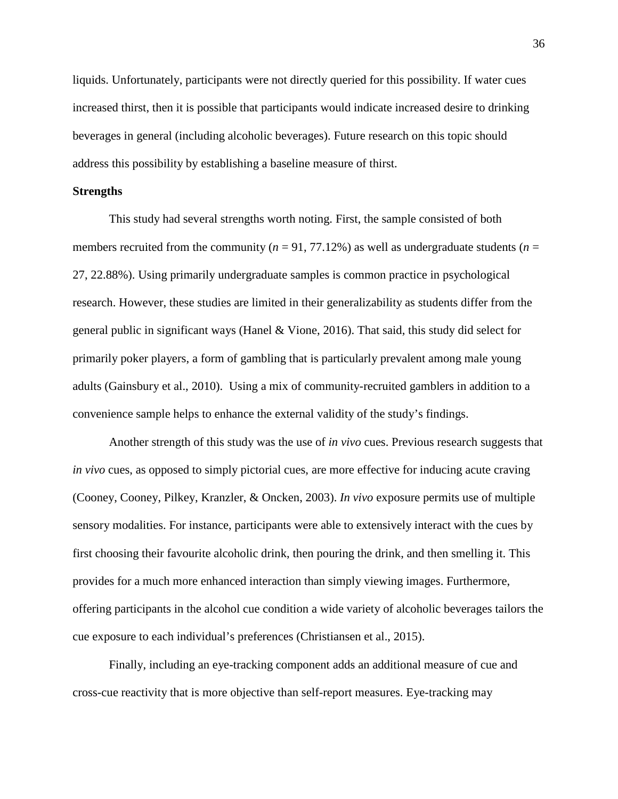liquids. Unfortunately, participants were not directly queried for this possibility. If water cues increased thirst, then it is possible that participants would indicate increased desire to drinking beverages in general (including alcoholic beverages). Future research on this topic should address this possibility by establishing a baseline measure of thirst.

### **Strengths**

This study had several strengths worth noting. First, the sample consisted of both members recruited from the community ( $n = 91, 77.12\%$ ) as well as undergraduate students ( $n =$ 27, 22.88%). Using primarily undergraduate samples is common practice in psychological research. However, these studies are limited in their generalizability as students differ from the general public in significant ways (Hanel & Vione, 2016). That said, this study did select for primarily poker players, a form of gambling that is particularly prevalent among male young adults (Gainsbury et al., 2010). Using a mix of community-recruited gamblers in addition to a convenience sample helps to enhance the external validity of the study's findings.

Another strength of this study was the use of *in vivo* cues. Previous research suggests that *in vivo* cues, as opposed to simply pictorial cues, are more effective for inducing acute craving (Cooney, Cooney, Pilkey, Kranzler, & Oncken, 2003). *In vivo* exposure permits use of multiple sensory modalities. For instance, participants were able to extensively interact with the cues by first choosing their favourite alcoholic drink, then pouring the drink, and then smelling it. This provides for a much more enhanced interaction than simply viewing images. Furthermore, offering participants in the alcohol cue condition a wide variety of alcoholic beverages tailors the cue exposure to each individual's preferences (Christiansen et al., 2015).

Finally, including an eye-tracking component adds an additional measure of cue and cross-cue reactivity that is more objective than self-report measures. Eye-tracking may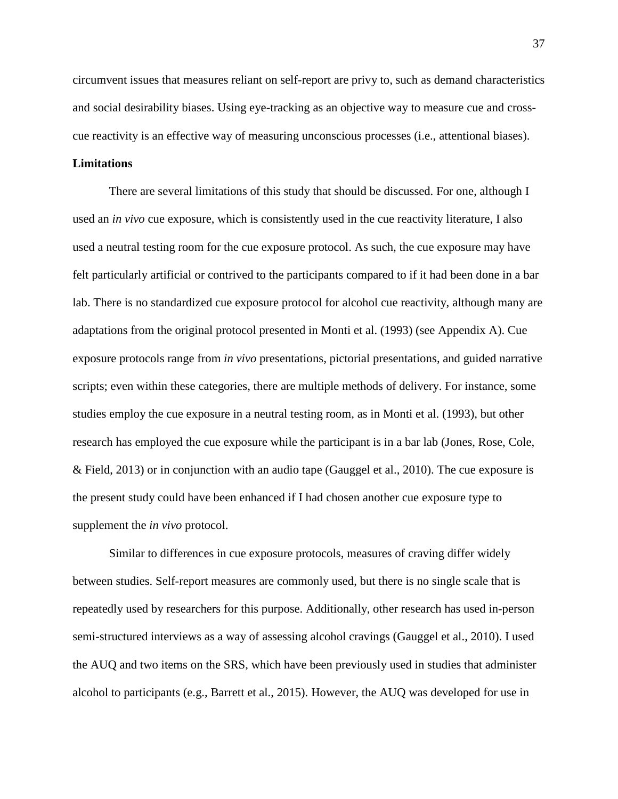circumvent issues that measures reliant on self-report are privy to, such as demand characteristics and social desirability biases. Using eye-tracking as an objective way to measure cue and crosscue reactivity is an effective way of measuring unconscious processes (i.e., attentional biases).

### **Limitations**

There are several limitations of this study that should be discussed. For one, although I used an *in vivo* cue exposure, which is consistently used in the cue reactivity literature, I also used a neutral testing room for the cue exposure protocol. As such, the cue exposure may have felt particularly artificial or contrived to the participants compared to if it had been done in a bar lab. There is no standardized cue exposure protocol for alcohol cue reactivity, although many are adaptations from the original protocol presented in Monti et al. (1993) (see Appendix A). Cue exposure protocols range from *in vivo* presentations, pictorial presentations, and guided narrative scripts; even within these categories, there are multiple methods of delivery. For instance, some studies employ the cue exposure in a neutral testing room, as in Monti et al. (1993), but other research has employed the cue exposure while the participant is in a bar lab (Jones, Rose, Cole, & Field, 2013) or in conjunction with an audio tape (Gauggel et al., 2010). The cue exposure is the present study could have been enhanced if I had chosen another cue exposure type to supplement the *in vivo* protocol.

Similar to differences in cue exposure protocols, measures of craving differ widely between studies. Self-report measures are commonly used, but there is no single scale that is repeatedly used by researchers for this purpose. Additionally, other research has used in-person semi-structured interviews as a way of assessing alcohol cravings (Gauggel et al., 2010). I used the AUQ and two items on the SRS, which have been previously used in studies that administer alcohol to participants (e.g., Barrett et al., 2015). However, the AUQ was developed for use in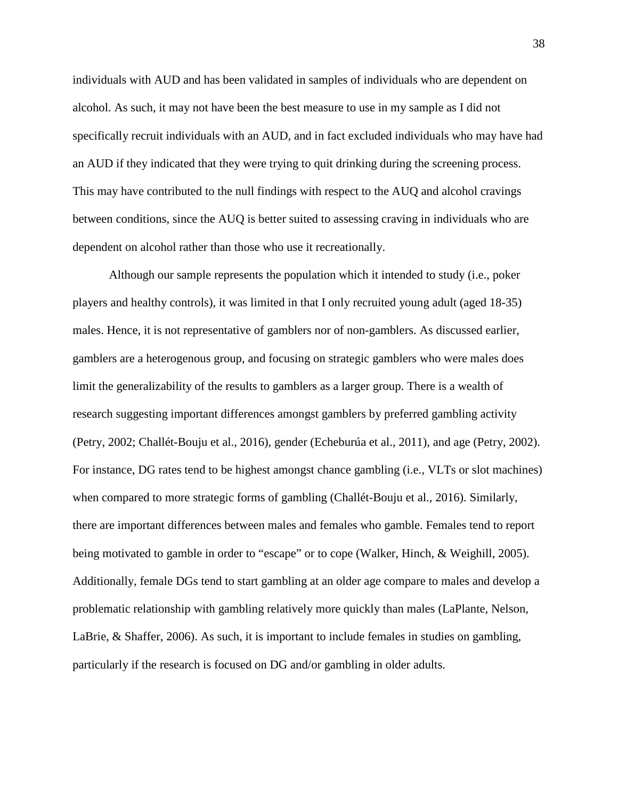individuals with AUD and has been validated in samples of individuals who are dependent on alcohol. As such, it may not have been the best measure to use in my sample as I did not specifically recruit individuals with an AUD, and in fact excluded individuals who may have had an AUD if they indicated that they were trying to quit drinking during the screening process. This may have contributed to the null findings with respect to the AUQ and alcohol cravings between conditions, since the AUQ is better suited to assessing craving in individuals who are dependent on alcohol rather than those who use it recreationally.

Although our sample represents the population which it intended to study (i.e., poker players and healthy controls), it was limited in that I only recruited young adult (aged 18-35) males. Hence, it is not representative of gamblers nor of non-gamblers. As discussed earlier, gamblers are a heterogenous group, and focusing on strategic gamblers who were males does limit the generalizability of the results to gamblers as a larger group. There is a wealth of research suggesting important differences amongst gamblers by preferred gambling activity (Petry, 2002; Challét-Bouju et al., 2016), gender (Echeburúa et al., 2011), and age (Petry, 2002). For instance, DG rates tend to be highest amongst chance gambling (i.e., VLTs or slot machines) when compared to more strategic forms of gambling (Challét-Bouju et al., 2016). Similarly, there are important differences between males and females who gamble. Females tend to report being motivated to gamble in order to "escape" or to cope (Walker, Hinch, & Weighill, 2005). Additionally, female DGs tend to start gambling at an older age compare to males and develop a problematic relationship with gambling relatively more quickly than males (LaPlante, Nelson, LaBrie, & Shaffer, 2006). As such, it is important to include females in studies on gambling, particularly if the research is focused on DG and/or gambling in older adults.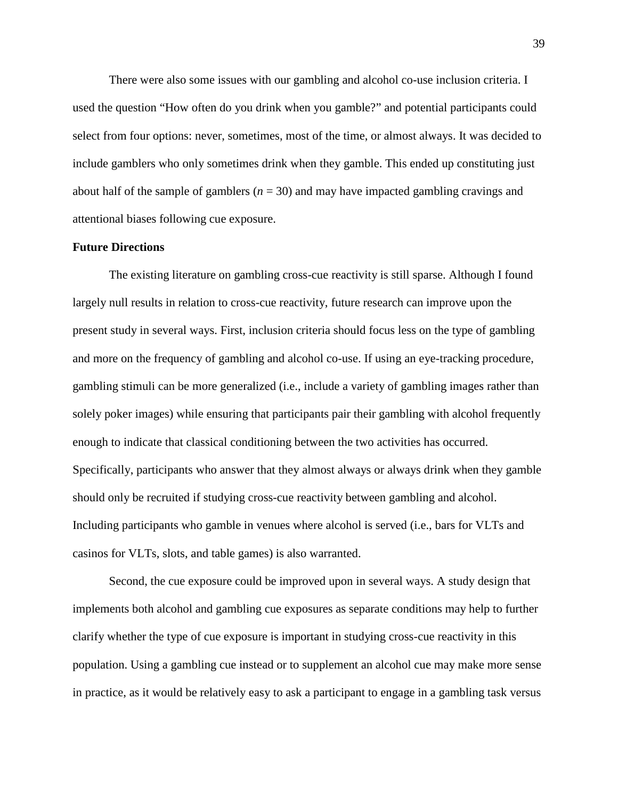There were also some issues with our gambling and alcohol co-use inclusion criteria. I used the question "How often do you drink when you gamble?" and potential participants could select from four options: never, sometimes, most of the time, or almost always. It was decided to include gamblers who only sometimes drink when they gamble. This ended up constituting just about half of the sample of gamblers (*n* = 30) and may have impacted gambling cravings and attentional biases following cue exposure.

#### **Future Directions**

The existing literature on gambling cross-cue reactivity is still sparse. Although I found largely null results in relation to cross-cue reactivity, future research can improve upon the present study in several ways. First, inclusion criteria should focus less on the type of gambling and more on the frequency of gambling and alcohol co-use. If using an eye-tracking procedure, gambling stimuli can be more generalized (i.e., include a variety of gambling images rather than solely poker images) while ensuring that participants pair their gambling with alcohol frequently enough to indicate that classical conditioning between the two activities has occurred. Specifically, participants who answer that they almost always or always drink when they gamble should only be recruited if studying cross-cue reactivity between gambling and alcohol. Including participants who gamble in venues where alcohol is served (i.e., bars for VLTs and casinos for VLTs, slots, and table games) is also warranted.

Second, the cue exposure could be improved upon in several ways. A study design that implements both alcohol and gambling cue exposures as separate conditions may help to further clarify whether the type of cue exposure is important in studying cross-cue reactivity in this population. Using a gambling cue instead or to supplement an alcohol cue may make more sense in practice, as it would be relatively easy to ask a participant to engage in a gambling task versus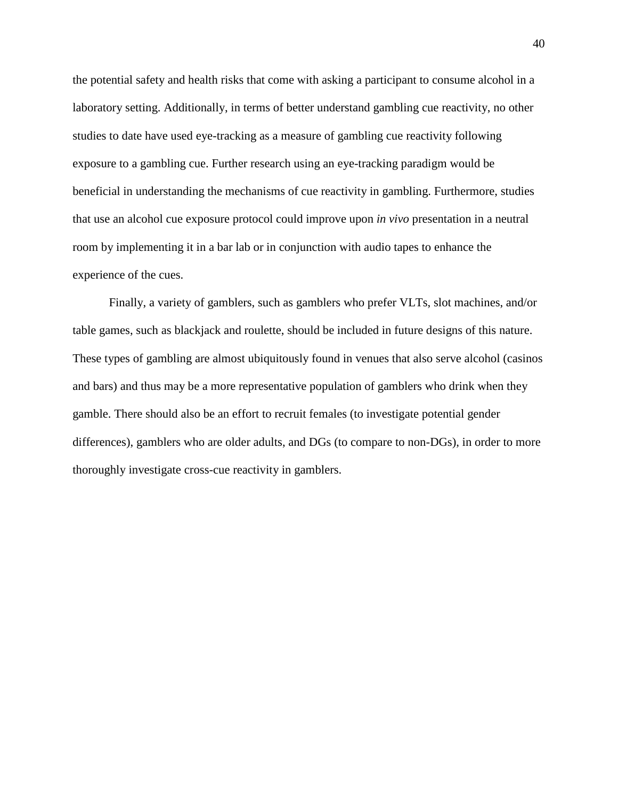the potential safety and health risks that come with asking a participant to consume alcohol in a laboratory setting. Additionally, in terms of better understand gambling cue reactivity, no other studies to date have used eye-tracking as a measure of gambling cue reactivity following exposure to a gambling cue. Further research using an eye-tracking paradigm would be beneficial in understanding the mechanisms of cue reactivity in gambling. Furthermore, studies that use an alcohol cue exposure protocol could improve upon *in vivo* presentation in a neutral room by implementing it in a bar lab or in conjunction with audio tapes to enhance the experience of the cues.

Finally, a variety of gamblers, such as gamblers who prefer VLTs, slot machines, and/or table games, such as blackjack and roulette, should be included in future designs of this nature. These types of gambling are almost ubiquitously found in venues that also serve alcohol (casinos and bars) and thus may be a more representative population of gamblers who drink when they gamble. There should also be an effort to recruit females (to investigate potential gender differences), gamblers who are older adults, and DGs (to compare to non-DGs), in order to more thoroughly investigate cross-cue reactivity in gamblers.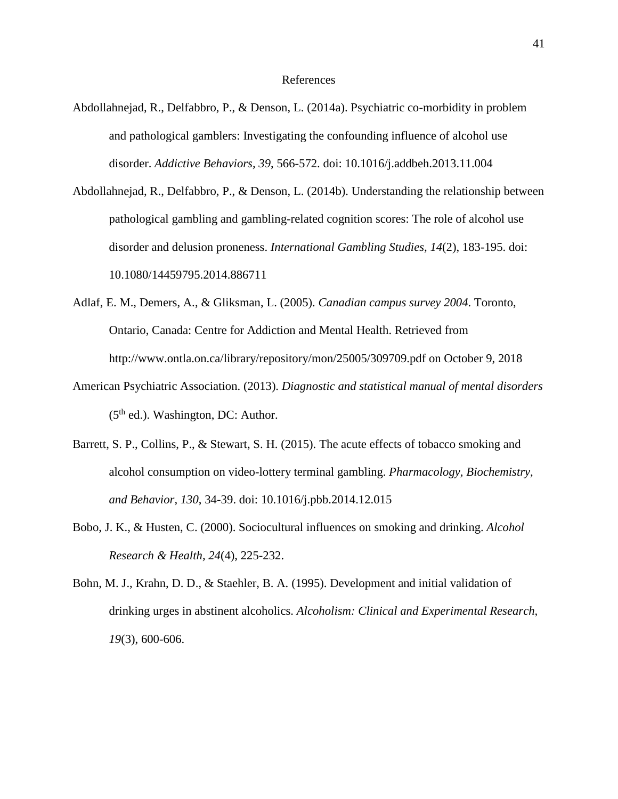- Abdollahnejad, R., Delfabbro, P., & Denson, L. (2014a). Psychiatric co-morbidity in problem and pathological gamblers: Investigating the confounding influence of alcohol use disorder. *Addictive Behaviors, 39*, 566-572. doi: 10.1016/j.addbeh.2013.11.004
- Abdollahnejad, R., Delfabbro, P., & Denson, L. (2014b). Understanding the relationship between pathological gambling and gambling-related cognition scores: The role of alcohol use disorder and delusion proneness. *International Gambling Studies, 14*(2), 183-195. doi: 10.1080/14459795.2014.886711
- Adlaf, E. M., Demers, A., & Gliksman, L. (2005). *Canadian campus survey 2004*. Toronto, Ontario, Canada: Centre for Addiction and Mental Health. Retrieved from http://www.ontla.on.ca/library/repository/mon/25005/309709.pdf on October 9, 2018
- American Psychiatric Association. (2013). *Diagnostic and statistical manual of mental disorders*  $(5<sup>th</sup>$  ed.). Washington, DC: Author.
- Barrett, S. P., Collins, P., & Stewart, S. H. (2015). The acute effects of tobacco smoking and alcohol consumption on video-lottery terminal gambling. *Pharmacology, Biochemistry, and Behavior, 130*, 34-39. doi: 10.1016/j.pbb.2014.12.015
- Bobo, J. K., & Husten, C. (2000). Sociocultural influences on smoking and drinking. *Alcohol Research & Health, 24*(4), 225-232.
- Bohn, M. J., Krahn, D. D., & Staehler, B. A. (1995). Development and initial validation of drinking urges in abstinent alcoholics. *Alcoholism: Clinical and Experimental Research, 19*(3), 600-606.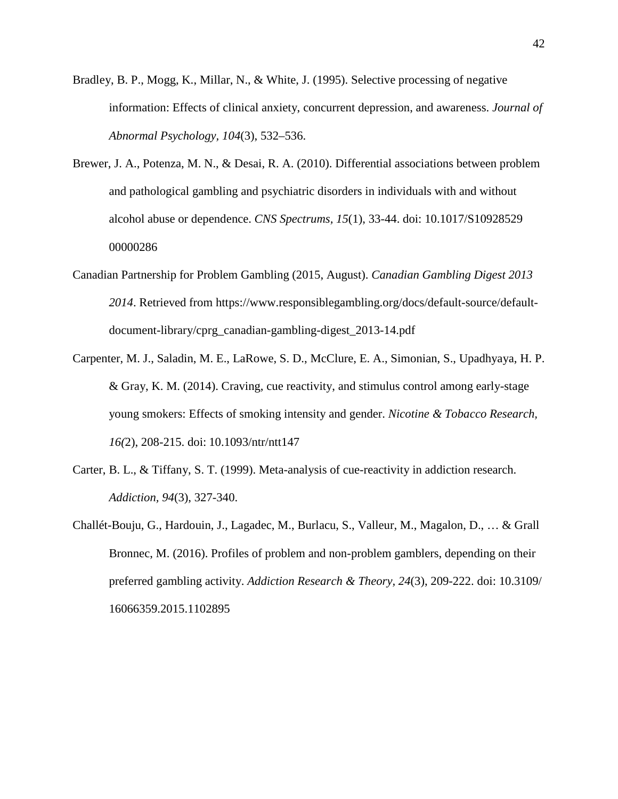- Bradley, B. P., Mogg, K., Millar, N., & White, J. (1995). Selective processing of negative information: Effects of clinical anxiety, concurrent depression, and awareness. *Journal of Abnormal Psychology, 104*(3), 532–536.
- Brewer, J. A., Potenza, M. N., & Desai, R. A. (2010). Differential associations between problem and pathological gambling and psychiatric disorders in individuals with and without alcohol abuse or dependence. *CNS Spectrums, 15*(1), 33-44. doi: 10.1017/S10928529 00000286
- Canadian Partnership for Problem Gambling (2015, August). *Canadian Gambling Digest 2013 2014*. Retrieved from https://www.responsiblegambling.org/docs/default-source/defaultdocument-library/cprg\_canadian-gambling-digest\_2013-14.pdf
- Carpenter, M. J., Saladin, M. E., LaRowe, S. D., McClure, E. A., Simonian, S., Upadhyaya, H. P. & Gray, K. M. (2014). Craving, cue reactivity, and stimulus control among early-stage young smokers: Effects of smoking intensity and gender. *Nicotine & Tobacco Research, 16(*2), 208-215. doi: 10.1093/ntr/ntt147
- Carter, B. L., & Tiffany, S. T. (1999). Meta-analysis of cue-reactivity in addiction research. *Addiction, 94*(3), 327-340.
- Challét-Bouju, G., Hardouin, J., Lagadec, M., Burlacu, S., Valleur, M., Magalon, D., … & Grall Bronnec, M. (2016). Profiles of problem and non-problem gamblers, depending on their preferred gambling activity. *Addiction Research & Theory, 24*(3), 209-222. doi: 10.3109/ 16066359.2015.1102895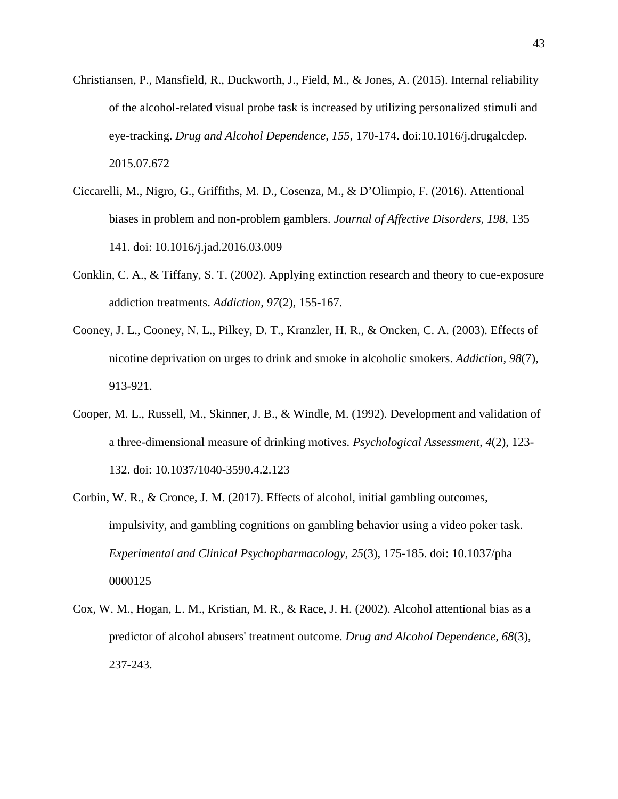- Christiansen, P., Mansfield, R., Duckworth, J., Field, M., & Jones, A. (2015). Internal reliability of the alcohol-related visual probe task is increased by utilizing personalized stimuli and eye-tracking. *Drug and Alcohol Dependence, 155*, 170-174. doi:10.1016/j.drugalcdep. 2015.07.672
- Ciccarelli, M., Nigro, G., Griffiths, M. D., Cosenza, M., & D'Olimpio, F. (2016). Attentional biases in problem and non-problem gamblers. *Journal of Affective Disorders, 198*, 135 141. doi: 10.1016/j.jad.2016.03.009
- Conklin, C. A., & Tiffany, S. T. (2002). Applying extinction research and theory to cue-exposure addiction treatments. *Addiction, 97*(2), 155-167.
- Cooney, J. L., Cooney, N. L., Pilkey, D. T., Kranzler, H. R., & Oncken, C. A. (2003). Effects of nicotine deprivation on urges to drink and smoke in alcoholic smokers. *Addiction, 98*(7), 913-921.
- Cooper, M. L., Russell, M., Skinner, J. B., & Windle, M. (1992). Development and validation of a three-dimensional measure of drinking motives. *Psychological Assessment, 4*(2), 123- 132. doi: 10.1037/1040-3590.4.2.123
- Corbin, W. R., & Cronce, J. M. (2017). Effects of alcohol, initial gambling outcomes, impulsivity, and gambling cognitions on gambling behavior using a video poker task. *Experimental and Clinical Psychopharmacology, 25*(3), 175-185. doi: 10.1037/pha 0000125
- Cox, W. M., Hogan, L. M., Kristian, M. R., & Race, J. H. (2002). Alcohol attentional bias as a predictor of alcohol abusers' treatment outcome. *Drug and Alcohol Dependence, 68*(3), 237-243.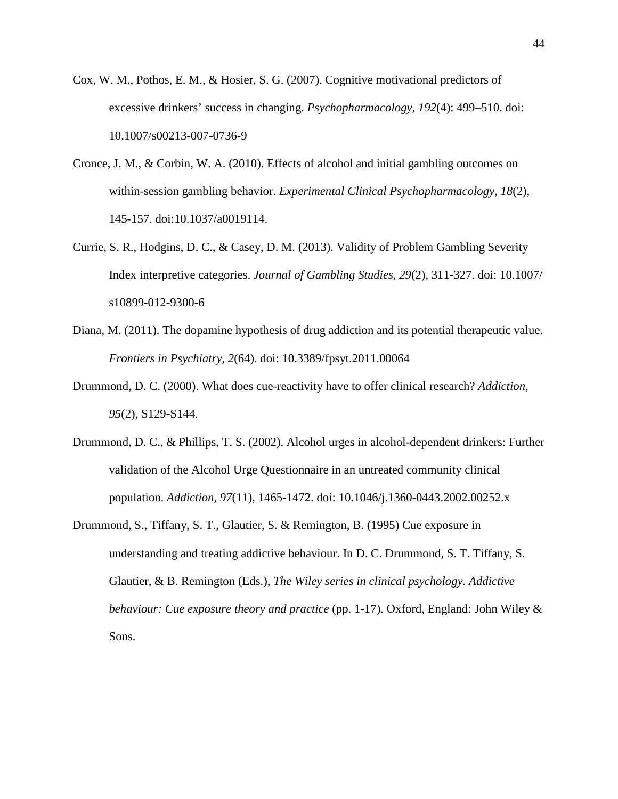- Cox, W. M., Pothos, E. M., & Hosier, S. G. (2007). Cognitive motivational predictors of excessive drinkers' success in changing. *Psychopharmacology, 192*(4): 499–510. doi: 10.1007/s00213-007-0736-9
- Cronce, J. M., & Corbin, W. A. (2010). Effects of alcohol and initial gambling outcomes on within-session gambling behavior. *Experimental Clinical Psychopharmacology, 18*(2), 145-157. doi:10.1037/a0019114.
- Currie, S. R., Hodgins, D. C., & Casey, D. M. (2013). Validity of Problem Gambling Severity Index interpretive categories. *Journal of Gambling Studies, 29*(2), 311-327. doi: 10.1007/ s10899-012-9300-6
- Diana, M. (2011). The dopamine hypothesis of drug addiction and its potential therapeutic value. *Frontiers in Psychiatry, 2*(64). doi: 10.3389/fpsyt.2011.00064
- Drummond, D. C. (2000). What does cue-reactivity have to offer clinical research? *Addiction, 95*(2), S129-S144.
- Drummond, D. C., & Phillips, T. S. (2002). Alcohol urges in alcohol-dependent drinkers: Further validation of the Alcohol Urge Questionnaire in an untreated community clinical population. *Addiction, 97*(11), 1465-1472. doi: 10.1046/j.1360-0443.2002.00252.x
- Drummond, S., Tiffany, S. T., Glautier, S. & Remington, B. (1995) Cue exposure in understanding and treating addictive behaviour. In D. C. Drummond, S. T. Tiffany, S. Glautier, & B. Remington (Eds.), *The Wiley series in clinical psychology. Addictive behaviour: Cue exposure theory and practice* (pp. 1-17). Oxford, England: John Wiley & Sons.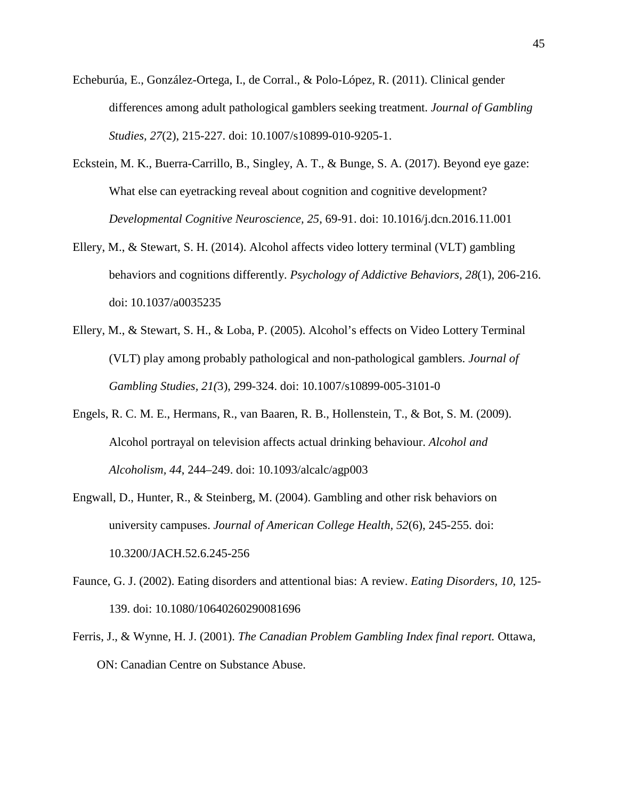- Echeburúa, E., González-Ortega, I., de Corral., & Polo-López, R. (2011). Clinical gender differences among adult pathological gamblers seeking treatment. *Journal of Gambling Studies, 27*(2), 215-227. doi: 10.1007/s10899-010-9205-1.
- Eckstein, M. K., Buerra-Carrillo, B., Singley, A. T., & Bunge, S. A. (2017). Beyond eye gaze: What else can eyetracking reveal about cognition and cognitive development? *Developmental Cognitive Neuroscience, 25*, 69-91. doi: 10.1016/j.dcn.2016.11.001
- Ellery, M., & Stewart, S. H. (2014). Alcohol affects video lottery terminal (VLT) gambling behaviors and cognitions differently. *Psychology of Addictive Behaviors, 28*(1), 206-216. doi: 10.1037/a0035235
- Ellery, M., & Stewart, S. H., & Loba, P. (2005). Alcohol's effects on Video Lottery Terminal (VLT) play among probably pathological and non-pathological gamblers. *Journal of Gambling Studies, 21(*3), 299-324. doi: 10.1007/s10899-005-3101-0
- Engels, R. C. M. E., Hermans, R., van Baaren, R. B., Hollenstein, T., & Bot, S. M. (2009). Alcohol portrayal on television affects actual drinking behaviour. *Alcohol and Alcoholism, 44*, 244–249. doi: 10.1093/alcalc/agp003
- Engwall, D., Hunter, R., & Steinberg, M. (2004). Gambling and other risk behaviors on university campuses. *Journal of American College Health, 52*(6), 245-255. doi: 10.3200/JACH.52.6.245-256
- Faunce, G. J. (2002). Eating disorders and attentional bias: A review. *Eating Disorders, 10*, 125- 139. doi: 10.1080/10640260290081696
- Ferris, J., & Wynne, H. J. (2001). *The Canadian Problem Gambling Index final report.* Ottawa, ON: Canadian Centre on Substance Abuse.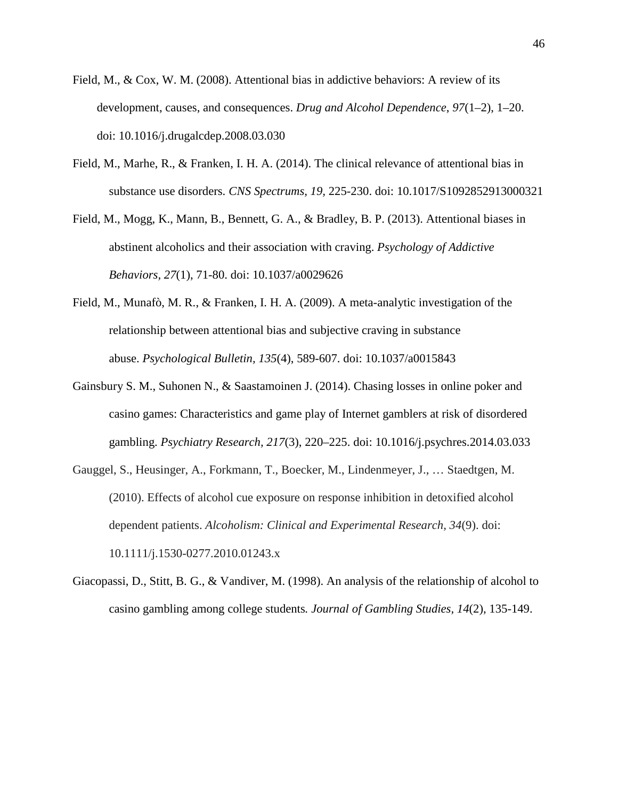- Field, M., & Cox, W. M. (2008). Attentional bias in addictive behaviors: A review of its development, causes, and consequences. *Drug and Alcohol Dependence*, *97*(1–2), 1–20. doi: 10.1016/j.drugalcdep.2008.03.030
- Field, M., Marhe, R., & Franken, I. H. A. (2014). The clinical relevance of attentional bias in substance use disorders. *CNS Spectrums, 19,* 225-230. doi: 10.1017/S1092852913000321
- Field, M., Mogg, K., Mann, B., Bennett, G. A., & Bradley, B. P. (2013). Attentional biases in abstinent alcoholics and their association with craving. *Psychology of Addictive Behaviors, 27*(1), 71-80. doi: 10.1037/a0029626
- Field, M., Munafò, M. R., & Franken, I. H. A. (2009). A meta-analytic investigation of the relationship between attentional bias and subjective craving in substance abuse. *Psychological Bulletin, 135*(4), 589-607. doi: 10.1037/a0015843
- Gainsbury S. M., Suhonen N., & Saastamoinen J. (2014). Chasing losses in online poker and casino games: Characteristics and game play of Internet gamblers at risk of disordered gambling. *Psychiatry Research, 217*(3), 220–225. doi: 10.1016/j.psychres.2014.03.033
- Gauggel, S., Heusinger, A., Forkmann, T., Boecker, M., Lindenmeyer, J., … Staedtgen, M. (2010). Effects of alcohol cue exposure on response inhibition in detoxified alcohol dependent patients. *Alcoholism: Clinical and Experimental Research, 34*(9). doi: 10.1111/j.1530-0277.2010.01243.x
- Giacopassi, D., Stitt, B. G., & Vandiver, M. (1998). An analysis of the relationship of alcohol to casino gambling among college students*. Journal of Gambling Studies, 14*(2), 135-149.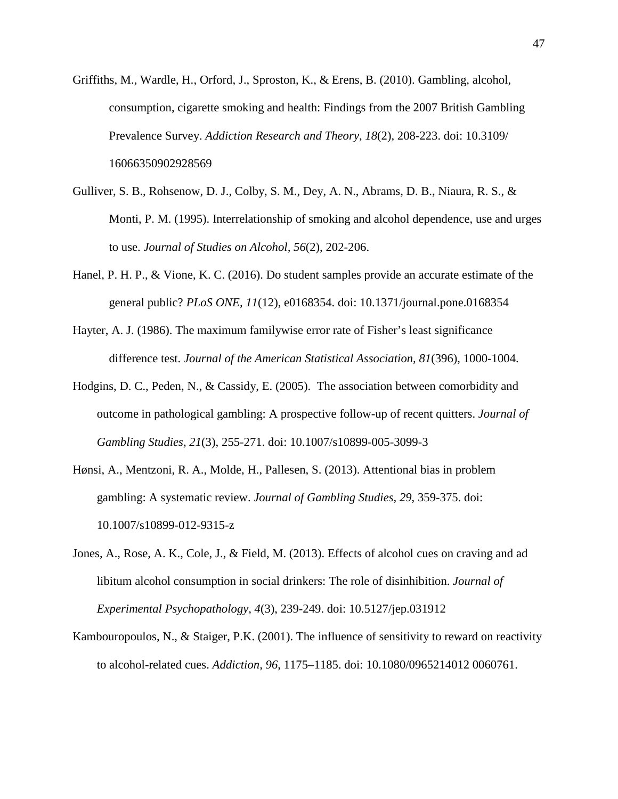- Griffiths, M., Wardle, H., Orford, J., Sproston, K., & Erens, B. (2010). Gambling, alcohol, consumption, cigarette smoking and health: Findings from the 2007 British Gambling Prevalence Survey. *Addiction Research and Theory, 18*(2), 208-223. doi: 10.3109/ 16066350902928569
- Gulliver, S. B., Rohsenow, D. J., Colby, S. M., Dey, A. N., Abrams, D. B., Niaura, R. S., & Monti, P. M. (1995). Interrelationship of smoking and alcohol dependence, use and urges to use. *Journal of Studies on Alcohol, 56*(2), 202-206.
- Hanel, P. H. P., & Vione, K. C. (2016). Do student samples provide an accurate estimate of the general public? *PLoS ONE, 11*(12), e0168354. doi: 10.1371/journal.pone.0168354
- Hayter, A. J. (1986). The maximum familywise error rate of Fisher's least significance difference test. *Journal of the American Statistical Association, 81*(396), 1000-1004.
- Hodgins, D. C., Peden, N., & Cassidy, E. (2005). The association between comorbidity and outcome in pathological gambling: A prospective follow-up of recent quitters. *Journal of Gambling Studies, 21*(3), 255-271. doi: 10.1007/s10899-005-3099-3
- Hønsi, A., Mentzoni, R. A., Molde, H., Pallesen, S. (2013). Attentional bias in problem gambling: A systematic review. *Journal of Gambling Studies, 29*, 359-375. doi: 10.1007/s10899-012-9315-z
- Jones, A., Rose, A. K., Cole, J., & Field, M. (2013). Effects of alcohol cues on craving and ad libitum alcohol consumption in social drinkers: The role of disinhibition. *Journal of Experimental Psychopathology, 4*(3), 239-249. doi: 10.5127/jep.031912
- Kambouropoulos, N., & Staiger, P.K. (2001). The influence of sensitivity to reward on reactivity to alcohol-related cues. *Addiction, 96*, 1175–1185. doi: 10.1080/0965214012 0060761.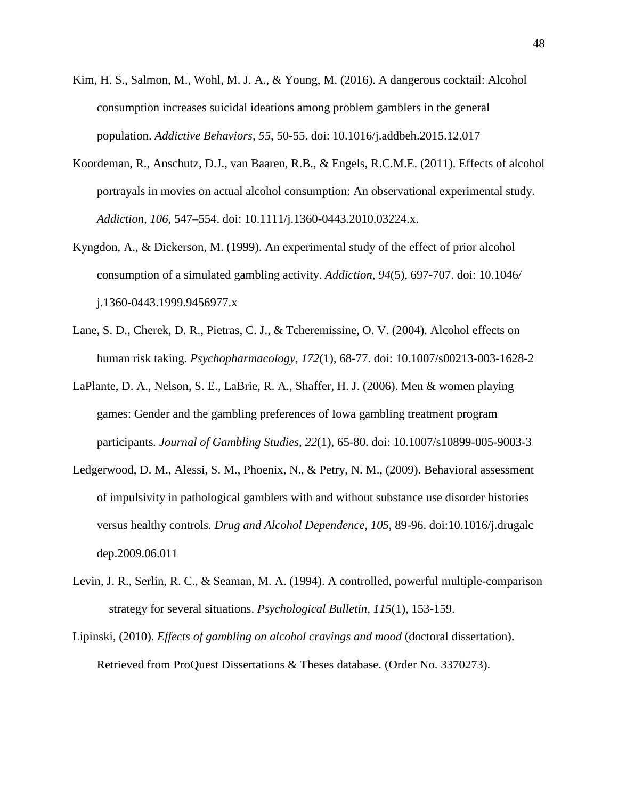- Kim, H. S., Salmon, M., Wohl, M. J. A., & Young, M. (2016). A dangerous cocktail: Alcohol consumption increases suicidal ideations among problem gamblers in the general population. *Addictive Behaviors, 55,* 50-55. doi: 10.1016/j.addbeh.2015.12.017
- Koordeman, R., Anschutz, D.J., van Baaren, R.B., & Engels, R.C.M.E. (2011). Effects of alcohol portrayals in movies on actual alcohol consumption: An observational experimental study. *Addiction, 106*, 547–554. doi: 10.1111/j.1360-0443.2010.03224.x.
- Kyngdon, A., & Dickerson, M. (1999). An experimental study of the effect of prior alcohol consumption of a simulated gambling activity. *Addiction, 94*(5), 697-707. doi: 10.1046/ j.1360-0443.1999.9456977.x
- Lane, S. D., Cherek, D. R., Pietras, C. J., & Tcheremissine, O. V. (2004). Alcohol effects on human risk taking. *Psychopharmacology, 172*(1), 68-77. doi: 10.1007/s00213-003-1628-2
- LaPlante, D. A., Nelson, S. E., LaBrie, R. A., Shaffer, H. J. (2006). Men & women playing games: Gender and the gambling preferences of Iowa gambling treatment program participants*. Journal of Gambling Studies, 22*(1), 65-80. doi: 10.1007/s10899-005-9003-3
- Ledgerwood, D. M., Alessi, S. M., Phoenix, N., & Petry, N. M., (2009). Behavioral assessment of impulsivity in pathological gamblers with and without substance use disorder histories versus healthy controls*. Drug and Alcohol Dependence, 105*, 89-96. doi:10.1016/j.drugalc dep.2009.06.011
- Levin, J. R., Serlin, R. C., & Seaman, M. A. (1994). A controlled, powerful multiple-comparison strategy for several situations. *Psychological Bulletin, 115*(1), 153-159.
- Lipinski, (2010). *Effects of gambling on alcohol cravings and mood* (doctoral dissertation). Retrieved from ProQuest Dissertations & Theses database. (Order No. 3370273).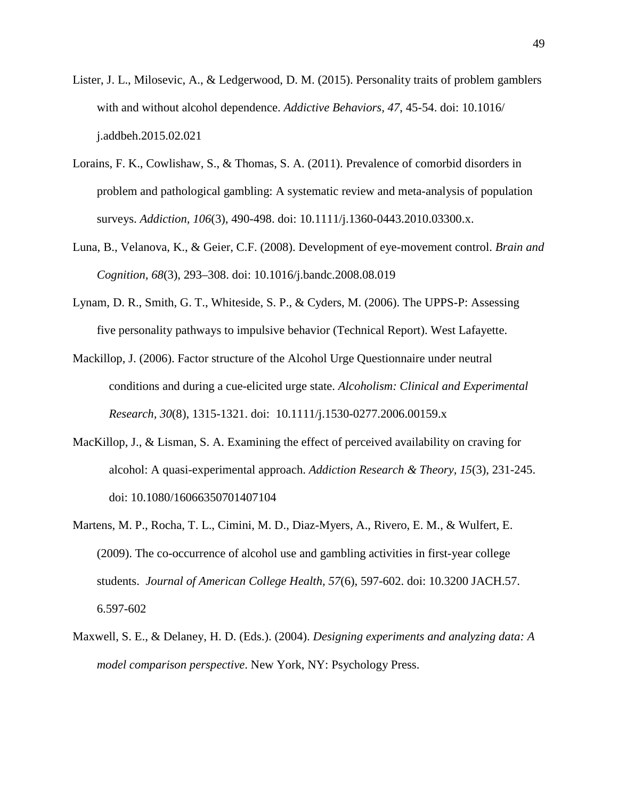- Lister, J. L., Milosevic, A., & Ledgerwood, D. M. (2015). Personality traits of problem gamblers with and without alcohol dependence. *Addictive Behaviors, 47*, 45-54. doi: 10.1016/ j.addbeh.2015.02.021
- Lorains, F. K., Cowlishaw, S., & Thomas, S. A. (2011). Prevalence of comorbid disorders in problem and pathological gambling: A systematic review and meta-analysis of population surveys. *Addiction, 106*(3), 490-498. doi: 10.1111/j.1360-0443.2010.03300.x.
- Luna, B., Velanova, K., & Geier, C.F. (2008). Development of eye-movement control. *Brain and Cognition, 68*(3), 293–308. doi: 10.1016/j.bandc.2008.08.019
- Lynam, D. R., Smith, G. T., Whiteside, S. P., & Cyders, M. (2006). The UPPS-P: Assessing five personality pathways to impulsive behavior (Technical Report). West Lafayette.
- Mackillop, J. (2006). Factor structure of the Alcohol Urge Questionnaire under neutral conditions and during a cue-elicited urge state. *Alcoholism: Clinical and Experimental Research, 30*(8), 1315-1321. doi: 10.1111/j.1530-0277.2006.00159.x
- MacKillop, J., & Lisman, S. A. Examining the effect of perceived availability on craving for alcohol: A quasi-experimental approach. *Addiction Research & Theory, 15*(3), 231-245. doi: 10.1080/16066350701407104
- Martens, M. P., Rocha, T. L., Cimini, M. D., Diaz-Myers, A., Rivero, E. M., & Wulfert, E. (2009). The co-occurrence of alcohol use and gambling activities in first-year college students. *Journal of American College Health, 57*(6), 597-602. doi: 10.3200 JACH.57. 6.597-602
- Maxwell, S. E., & Delaney, H. D. (Eds.). (2004). *Designing experiments and analyzing data: A model comparison perspective*. New York, NY: Psychology Press.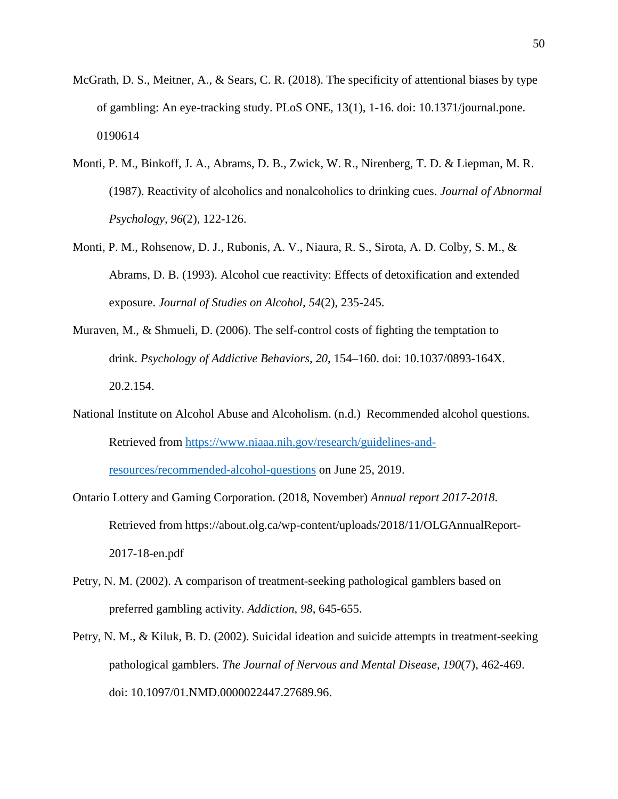- McGrath, D. S., Meitner, A., & Sears, C. R. (2018). The specificity of attentional biases by type of gambling: An eye-tracking study. PLoS ONE, 13(1), 1-16. doi: 10.1371/journal.pone. 0190614
- Monti, P. M., Binkoff, J. A., Abrams, D. B., Zwick, W. R., Nirenberg, T. D. & Liepman, M. R. (1987). Reactivity of alcoholics and nonalcoholics to drinking cues. *Journal of Abnormal Psychology, 96*(2), 122-126.
- Monti, P. M., Rohsenow, D. J., Rubonis, A. V., Niaura, R. S., Sirota, A. D. Colby, S. M., & Abrams, D. B. (1993). Alcohol cue reactivity: Effects of detoxification and extended exposure. *Journal of Studies on Alcohol, 54*(2), 235-245.
- Muraven, M., & Shmueli, D. (2006). The self-control costs of fighting the temptation to drink. *Psychology of Addictive Behaviors, 20*, 154–160. doi: 10.1037/0893-164X. 20.2.154.
- National Institute on Alcohol Abuse and Alcoholism. (n.d.) Recommended alcohol questions. Retrieved from [https://www.niaaa.nih.gov/research/guidelines-and-](https://www.niaaa.nih.gov/research/guidelines-and-resources/recommended-alcohol-questions)

[resources/recommended-alcohol-questions](https://www.niaaa.nih.gov/research/guidelines-and-resources/recommended-alcohol-questions) on June 25, 2019.

- Ontario Lottery and Gaming Corporation. (2018, November) *Annual report 2017-2018*. Retrieved from https://about.olg.ca/wp-content/uploads/2018/11/OLGAnnualReport-2017-18-en.pdf
- Petry, N. M. (2002). A comparison of treatment-seeking pathological gamblers based on preferred gambling activity. *Addiction, 98*, 645-655.
- Petry, N. M., & Kiluk, B. D. (2002). Suicidal ideation and suicide attempts in treatment-seeking pathological gamblers. *The Journal of Nervous and Mental Disease, 190*(7), 462-469. doi: 10.1097/01.NMD.0000022447.27689.96.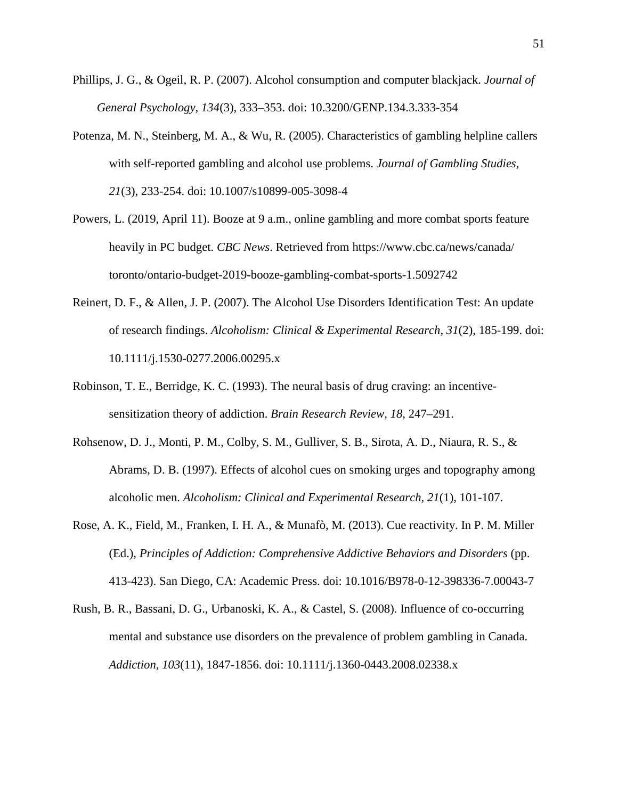- Phillips, J. G., & Ogeil, R. P. (2007). Alcohol consumption and computer blackjack. *Journal of General Psychology*, *134*(3), 333–353. doi: 10.3200/GENP.134.3.333-354
- Potenza, M. N., Steinberg, M. A., & Wu, R. (2005). Characteristics of gambling helpline callers with self-reported gambling and alcohol use problems. *Journal of Gambling Studies, 21*(3), 233-254. doi: 10.1007/s10899-005-3098-4
- Powers, L. (2019, April 11). Booze at 9 a.m., online gambling and more combat sports feature heavily in PC budget. *CBC News*. Retrieved from https://www.cbc.ca/news/canada/ toronto/ontario-budget-2019-booze-gambling-combat-sports-1.5092742
- Reinert, D. F., & Allen, J. P. (2007). The Alcohol Use Disorders Identification Test: An update of research findings. *Alcoholism: Clinical & Experimental Research, 31*(2), 185-199. doi: 10.1111/j.1530-0277.2006.00295.x
- Robinson, T. E., Berridge, K. C. (1993). The neural basis of drug craving: an incentivesensitization theory of addiction. *Brain Research Review, 18*, 247–291.
- Rohsenow, D. J., Monti, P. M., Colby, S. M., Gulliver, S. B., Sirota, A. D., Niaura, R. S., & Abrams, D. B. (1997). Effects of alcohol cues on smoking urges and topography among alcoholic men. *Alcoholism: Clinical and Experimental Research, 21*(1), 101-107.
- Rose, A. K., Field, M., Franken, I. H. A., & Munafò, M. (2013). Cue reactivity. In P. M. Miller (Ed.), *Principles of Addiction: Comprehensive Addictive Behaviors and Disorders* (pp. 413-423). San Diego, CA: Academic Press. doi: 10.1016/B978-0-12-398336-7.00043-7
- Rush, B. R., Bassani, D. G., Urbanoski, K. A., & Castel, S. (2008). Influence of co-occurring mental and substance use disorders on the prevalence of problem gambling in Canada. *Addiction, 103*(11), 1847-1856. doi: 10.1111/j.1360-0443.2008.02338.x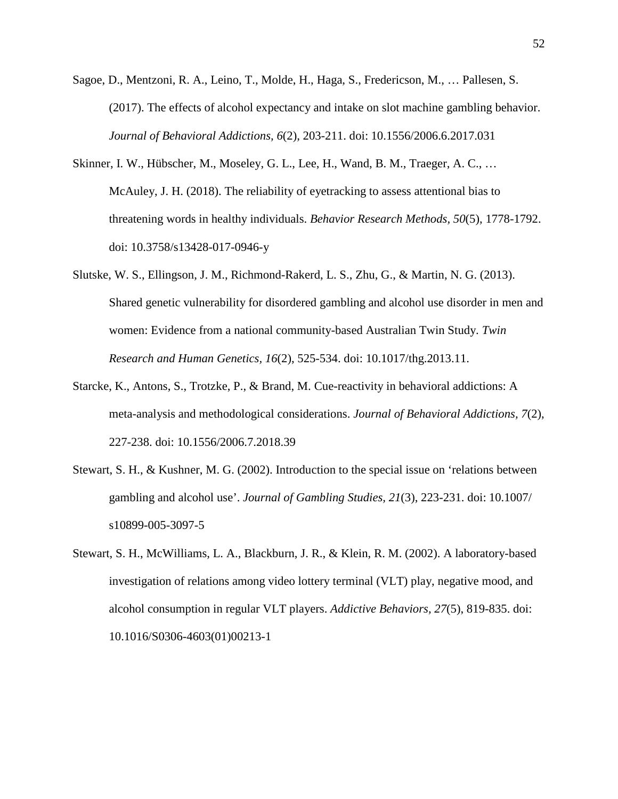- Sagoe, D., Mentzoni, R. A., Leino, T., Molde, H., Haga, S., Fredericson, M., … Pallesen, S. (2017). The effects of alcohol expectancy and intake on slot machine gambling behavior. *Journal of Behavioral Addictions, 6*(2), 203-211. doi: 10.1556/2006.6.2017.031
- Skinner, I. W., Hübscher, M., Moseley, G. L., Lee, H., Wand, B. M., Traeger, A. C., … McAuley, J. H. (2018). The reliability of eyetracking to assess attentional bias to threatening words in healthy individuals. *Behavior Research Methods, 50*(5), 1778-1792. doi: 10.3758/s13428-017-0946-y
- Slutske, W. S., Ellingson, J. M., Richmond-Rakerd, L. S., Zhu, G., & Martin, N. G. (2013). Shared genetic vulnerability for disordered gambling and alcohol use disorder in men and women: Evidence from a national community-based Australian Twin Study. *Twin Research and Human Genetics, 16*(2), 525-534. doi: 10.1017/thg.2013.11.
- Starcke, K., Antons, S., Trotzke, P., & Brand, M. Cue-reactivity in behavioral addictions: A meta-analysis and methodological considerations. *Journal of Behavioral Addictions, 7*(2), 227-238. doi: 10.1556/2006.7.2018.39
- Stewart, S. H., & Kushner, M. G. (2002). Introduction to the special issue on 'relations between gambling and alcohol use'. *Journal of Gambling Studies, 21*(3), 223-231. doi: 10.1007/ s10899-005-3097-5
- Stewart, S. H., McWilliams, L. A., Blackburn, J. R., & Klein, R. M. (2002). A laboratory-based investigation of relations among video lottery terminal (VLT) play, negative mood, and alcohol consumption in regular VLT players. *Addictive Behaviors, 27*(5), 819-835. doi: 10.1016/S0306-4603(01)00213-1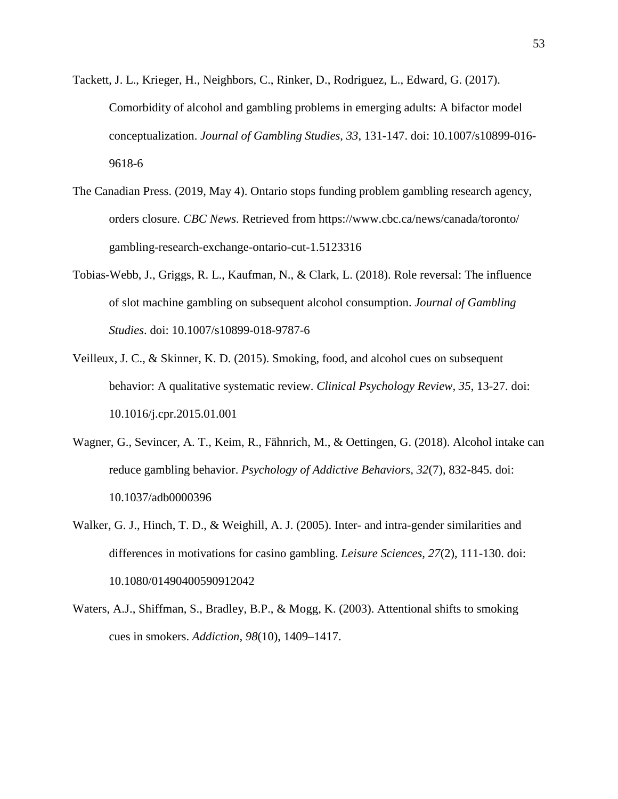- Tackett, J. L., Krieger, H., Neighbors, C., Rinker, D., Rodriguez, L., Edward, G. (2017). Comorbidity of alcohol and gambling problems in emerging adults: A bifactor model conceptualization. *Journal of Gambling Studies, 33*, 131-147. doi: 10.1007/s10899-016- 9618-6
- The Canadian Press. (2019, May 4). Ontario stops funding problem gambling research agency, orders closure. *CBC News*. Retrieved from https://www.cbc.ca/news/canada/toronto/ gambling-research-exchange-ontario-cut-1.5123316
- Tobias-Webb, J., Griggs, R. L., Kaufman, N., & Clark, L. (2018). Role reversal: The influence of slot machine gambling on subsequent alcohol consumption. *Journal of Gambling Studies*. doi: 10.1007/s10899-018-9787-6
- Veilleux, J. C., & Skinner, K. D. (2015). Smoking, food, and alcohol cues on subsequent behavior: A qualitative systematic review. *Clinical Psychology Review, 35*, 13-27. doi: 10.1016/j.cpr.2015.01.001
- Wagner, G., Sevincer, A. T., Keim, R., Fähnrich, M., & Oettingen, G. (2018). Alcohol intake can reduce gambling behavior. *Psychology of Addictive Behaviors, 32*(7), 832-845. doi: 10.1037/adb0000396
- Walker, G. J., Hinch, T. D., & Weighill, A. J. (2005). Inter- and intra-gender similarities and differences in motivations for casino gambling. *Leisure Sciences, 27*(2), 111-130. doi: 10.1080/01490400590912042
- Waters, A.J., Shiffman, S., Bradley, B.P., & Mogg, K. (2003). Attentional shifts to smoking cues in smokers. *Addiction, 98*(10), 1409–1417.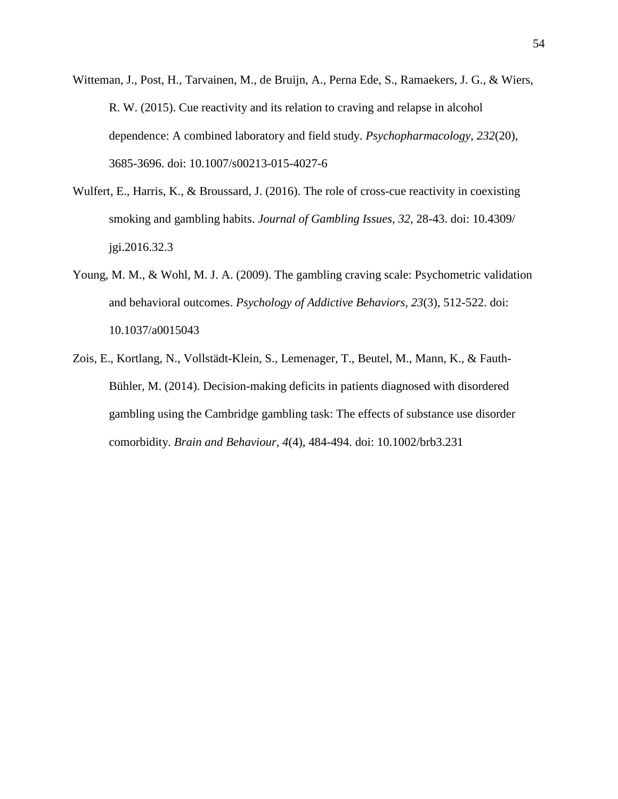- Witteman, J., Post, H., Tarvainen, M., de Bruijn, A., Perna Ede, S., Ramaekers, J. G., & Wiers, R. W. (2015). Cue reactivity and its relation to craving and relapse in alcohol dependence: A combined laboratory and field study. *Psychopharmacology, 232*(20), 3685-3696. doi: 10.1007/s00213-015-4027-6
- Wulfert, E., Harris, K., & Broussard, J. (2016). The role of cross-cue reactivity in coexisting smoking and gambling habits. *Journal of Gambling Issues, 32*, 28-43. doi: 10.4309/ jgi.2016.32.3
- Young, M. M., & Wohl, M. J. A. (2009). The gambling craving scale: Psychometric validation and behavioral outcomes. *Psychology of Addictive Behaviors, 23*(3), 512-522. doi: 10.1037/a0015043
- Zois, E., Kortlang, N., Vollstädt-Klein, S., Lemenager, T., Beutel, M., Mann, K., & Fauth-Bühler, M. (2014). Decision-making deficits in patients diagnosed with disordered gambling using the Cambridge gambling task: The effects of substance use disorder comorbidity. *Brain and Behaviour, 4*(4), 484-494. doi: 10.1002/brb3.231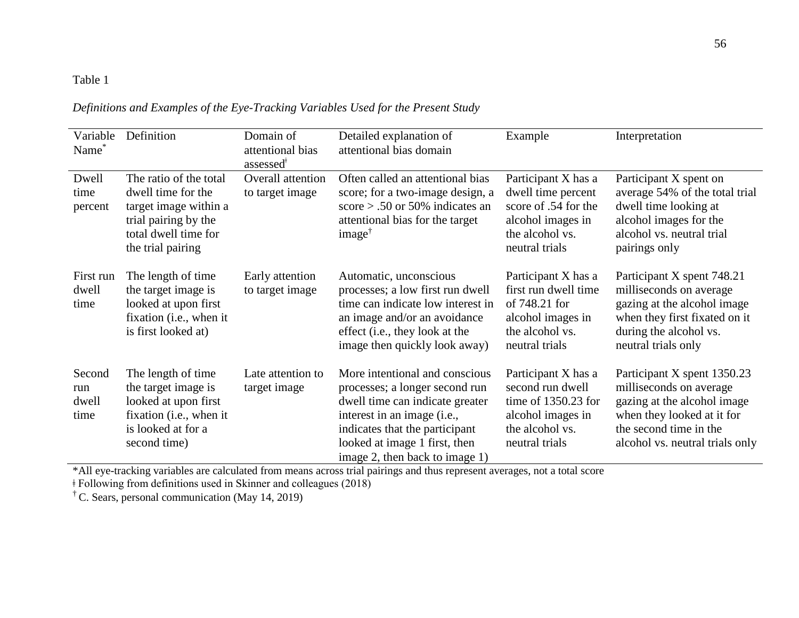# Table 1

| Definitions and Examples of the Eye-Tracking Variables Used for the Present Study |  |  |  |  |
|-----------------------------------------------------------------------------------|--|--|--|--|
|                                                                                   |  |  |  |  |

| Variable<br>Name <sup>*</sup>  | Definition                                                                                                                                 | Domain of<br>attentional bias<br>assessed <sup>#</sup> | Detailed explanation of<br>attentional bias domain                                                                                                                                                                                      | Example                                                                                                                     | Interpretation                                                                                                                                                                   |
|--------------------------------|--------------------------------------------------------------------------------------------------------------------------------------------|--------------------------------------------------------|-----------------------------------------------------------------------------------------------------------------------------------------------------------------------------------------------------------------------------------------|-----------------------------------------------------------------------------------------------------------------------------|----------------------------------------------------------------------------------------------------------------------------------------------------------------------------------|
| Dwell<br>time<br>percent       | The ratio of the total<br>dwell time for the<br>target image within a<br>trial pairing by the<br>total dwell time for<br>the trial pairing | Overall attention<br>to target image                   | Often called an attentional bias<br>score; for a two-image design, a<br>score $> .50$ or 50% indicates an<br>attentional bias for the target<br>$image^{\dagger}$                                                                       | Participant X has a<br>dwell time percent<br>score of .54 for the<br>alcohol images in<br>the alcohol vs.<br>neutral trials | Participant X spent on<br>average 54% of the total trial<br>dwell time looking at<br>alcohol images for the<br>alcohol vs. neutral trial<br>pairings only                        |
| First run<br>dwell<br>time     | The length of time<br>the target image is<br>looked at upon first<br>fixation (i.e., when it<br>is first looked at)                        | Early attention<br>to target image                     | Automatic, unconscious<br>processes; a low first run dwell<br>time can indicate low interest in<br>an image and/or an avoidance<br>effect (i.e., they look at the<br>image then quickly look away)                                      | Participant X has a<br>first run dwell time<br>of 748.21 for<br>alcohol images in<br>the alcohol vs.<br>neutral trials      | Participant X spent 748.21<br>milliseconds on average<br>gazing at the alcohol image<br>when they first fixated on it<br>during the alcohol vs.<br>neutral trials only           |
| Second<br>run<br>dwell<br>time | The length of time<br>the target image is<br>looked at upon first<br>fixation (i.e., when it<br>is looked at for a<br>second time)         | Late attention to<br>target image                      | More intentional and conscious<br>processes; a longer second run<br>dwell time can indicate greater<br>interest in an image (i.e.,<br>indicates that the participant<br>looked at image 1 first, then<br>image 2, then back to image 1) | Participant X has a<br>second run dwell<br>time of $1350.23$ for<br>alcohol images in<br>the alcohol vs.<br>neutral trials  | Participant X spent 1350.23<br>milliseconds on average<br>gazing at the alcohol image<br>when they looked at it for<br>the second time in the<br>alcohol vs. neutral trials only |

\*All eye-tracking variables are calculated from means across trial pairings and thus represent averages, not a total score

ǂ Following from definitions used in Skinner and colleagues (2018)

† C. Sears, personal communication (May 14, 2019)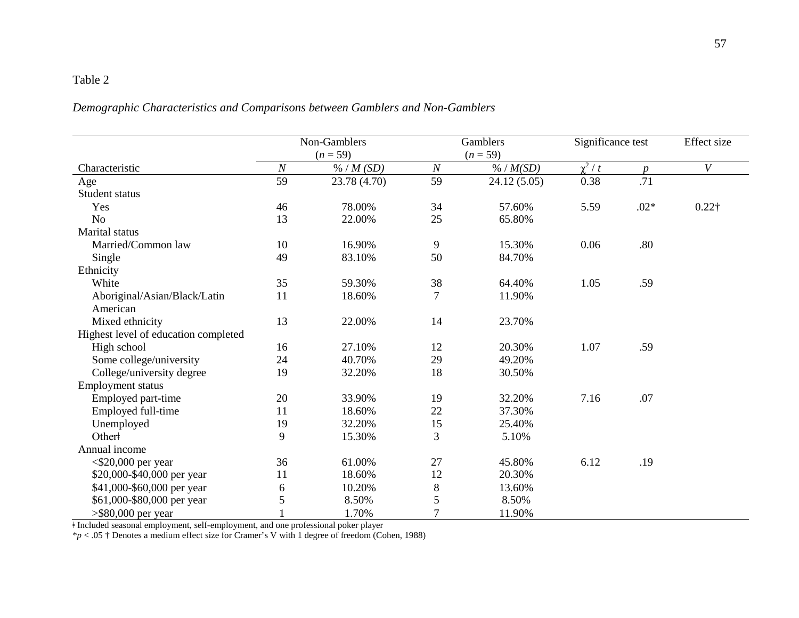# Table 2

# *Demographic Characteristics and Comparisons between Gamblers and Non-Gamblers*

|                                      | Non-Gamblers     |              | Gamblers       |             | Significance test |                  | Effect size      |
|--------------------------------------|------------------|--------------|----------------|-------------|-------------------|------------------|------------------|
|                                      | $(n = 59)$       |              | $(n = 59)$     |             |                   |                  |                  |
| Characteristic                       | $\boldsymbol{N}$ | % / M(SD)    | $\cal N$       | % / M(SD)   | $\chi^2/t$        | $\boldsymbol{p}$ | $\boldsymbol{V}$ |
| Age                                  | 59               | 23.78 (4.70) | 59             | 24.12(5.05) | 0.38              | .71              |                  |
| Student status                       |                  |              |                |             |                   |                  |                  |
| Yes                                  | 46               | 78.00%       | 34             | 57.60%      | 5.59              | $.02*$           | $0.22\dagger$    |
| N <sub>o</sub>                       | 13               | 22.00%       | 25             | 65.80%      |                   |                  |                  |
| Marital status                       |                  |              |                |             |                   |                  |                  |
| Married/Common law                   | 10               | 16.90%       | 9              | 15.30%      | 0.06              | .80              |                  |
| Single                               | 49               | 83.10%       | 50             | 84.70%      |                   |                  |                  |
| Ethnicity                            |                  |              |                |             |                   |                  |                  |
| White                                | 35               | 59.30%       | 38             | 64.40%      | 1.05              | .59              |                  |
| Aboriginal/Asian/Black/Latin         | 11               | 18.60%       | $\tau$         | 11.90%      |                   |                  |                  |
| American                             |                  |              |                |             |                   |                  |                  |
| Mixed ethnicity                      | 13               | 22.00%       | 14             | 23.70%      |                   |                  |                  |
| Highest level of education completed |                  |              |                |             |                   |                  |                  |
| High school                          | 16               | 27.10%       | 12             | 20.30%      | 1.07              | .59              |                  |
| Some college/university              | 24               | 40.70%       | 29             | 49.20%      |                   |                  |                  |
| College/university degree            | 19               | 32.20%       | 18             | 30.50%      |                   |                  |                  |
| Employment status                    |                  |              |                |             |                   |                  |                  |
| Employed part-time                   | 20               | 33.90%       | 19             | 32.20%      | 7.16              | .07              |                  |
| Employed full-time                   | 11               | 18.60%       | 22             | 37.30%      |                   |                  |                  |
| Unemployed                           | 19               | 32.20%       | 15             | 25.40%      |                   |                  |                  |
| Other+                               | 9                | 15.30%       | 3              | 5.10%       |                   |                  |                  |
| Annual income                        |                  |              |                |             |                   |                  |                  |
| $<$ \$20,000 per year                | 36               | 61.00%       | 27             | 45.80%      | 6.12              | .19              |                  |
| \$20,000-\$40,000 per year           | 11               | 18.60%       | 12             | 20.30%      |                   |                  |                  |
| \$41,000-\$60,000 per year           | 6                | 10.20%       | $8\,$          | 13.60%      |                   |                  |                  |
| \$61,000-\$80,000 per year           | 5                | 8.50%        | 5              | 8.50%       |                   |                  |                  |
| $>$ \$80,000 per year                |                  | 1.70%        | $\overline{7}$ | 11.90%      |                   |                  |                  |

ǂ Included seasonal employment, self-employment, and one professional poker player

\**p* < .05 † Denotes a medium effect size for Cramer's V with 1 degree of freedom (Cohen, 1988)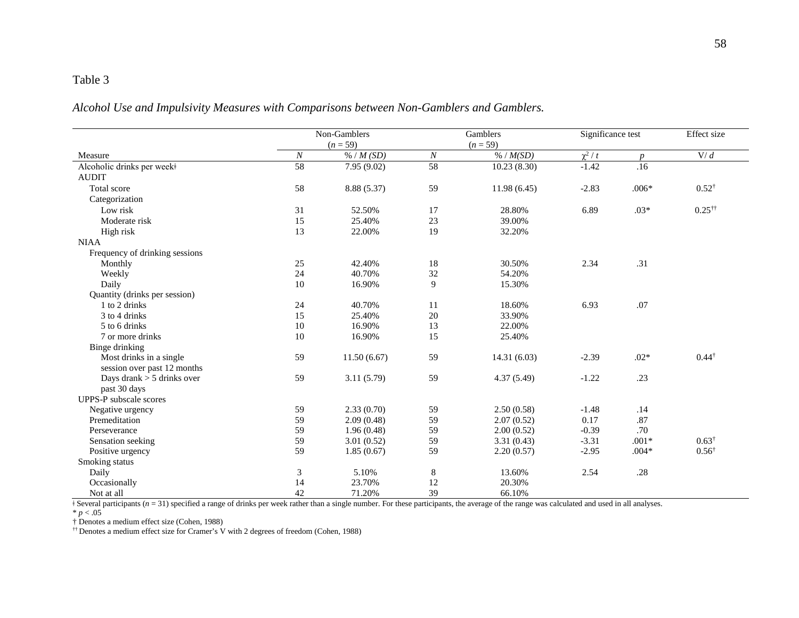## Table 3

*Alcohol Use and Impulsivity Measures with Comparisons between Non-Gamblers and Gamblers.*

|                                | Non-Gamblers     |             | Gamblers         |              | Significance test |                  | Effect size          |
|--------------------------------|------------------|-------------|------------------|--------------|-------------------|------------------|----------------------|
|                                |                  | $(n = 59)$  |                  | $(n = 59)$   |                   |                  |                      |
| Measure                        | $\boldsymbol{N}$ | % / M(SD)   | $\boldsymbol{N}$ | % / M(SD)    | $\chi^2/t$        | $\boldsymbol{p}$ | V/d                  |
| Alcoholic drinks per week+     | 58               | 7.95(9.02)  | 58               | 10.23(8.30)  | $-1.42$           | .16              |                      |
| <b>AUDIT</b>                   |                  |             |                  |              |                   |                  |                      |
| Total score                    | 58               | 8.88 (5.37) | 59               | 11.98(6.45)  | $-2.83$           | $.006*$          | $0.52^{\dagger}$     |
| Categorization                 |                  |             |                  |              |                   |                  |                      |
| Low risk                       | 31               | 52.50%      | 17               | 28.80%       | 6.89              | $.03*$           | $0.25$ <sup>††</sup> |
| Moderate risk                  | 15               | 25.40%      | 23               | 39.00%       |                   |                  |                      |
| High risk                      | 13               | 22.00%      | 19               | 32.20%       |                   |                  |                      |
| <b>NIAA</b>                    |                  |             |                  |              |                   |                  |                      |
| Frequency of drinking sessions |                  |             |                  |              |                   |                  |                      |
| Monthly                        | 25               | 42.40%      | $18\,$           | 30.50%       | 2.34              | .31              |                      |
| Weekly                         | 24               | 40.70%      | 32               | 54.20%       |                   |                  |                      |
| Daily                          | 10               | 16.90%      | 9                | 15.30%       |                   |                  |                      |
| Quantity (drinks per session)  |                  |             |                  |              |                   |                  |                      |
| 1 to 2 drinks                  | 24               | 40.70%      | 11               | 18.60%       | 6.93              | .07              |                      |
| 3 to 4 drinks                  | 15               | 25.40%      | 20               | 33.90%       |                   |                  |                      |
| 5 to 6 drinks                  | 10               | 16.90%      | 13               | 22.00%       |                   |                  |                      |
| 7 or more drinks               | 10               | 16.90%      | 15               | 25.40%       |                   |                  |                      |
| Binge drinking                 |                  |             |                  |              |                   |                  |                      |
| Most drinks in a single        | 59               | 11.50(6.67) | 59               | 14.31 (6.03) | $-2.39$           | $.02*$           | $0.44^{\dagger}$     |
| session over past 12 months    |                  |             |                  |              |                   |                  |                      |
| Days drank $> 5$ drinks over   | 59               | 3.11(5.79)  | 59               | 4.37(5.49)   | $-1.22$           | .23              |                      |
| past 30 days                   |                  |             |                  |              |                   |                  |                      |
| <b>UPPS-P</b> subscale scores  |                  |             |                  |              |                   |                  |                      |
| Negative urgency               | 59               | 2.33(0.70)  | 59               | 2.50(0.58)   | $-1.48$           | .14              |                      |
| Premeditation                  | 59               | 2.09(0.48)  | 59               | 2.07(0.52)   | 0.17              | .87              |                      |
| Perseverance                   | 59               | 1.96(0.48)  | 59               | 2.00(0.52)   | $-0.39$           | .70              |                      |
| Sensation seeking              | 59               | 3.01(0.52)  | 59               | 3.31(0.43)   | $-3.31$           | $.001*$          | $0.63^{\dagger}$     |
| Positive urgency               | 59               | 1.85(0.67)  | 59               | 2.20(0.57)   | $-2.95$           | $.004*$          | $0.56^{\dagger}$     |
| Smoking status                 |                  |             |                  |              |                   |                  |                      |
| Daily                          | 3                | 5.10%       | $\,8\,$          | 13.60%       | 2.54              | .28              |                      |
| Occasionally                   | 14               | 23.70%      | 12               | 20.30%       |                   |                  |                      |
| Not at all                     | 42               | 71.20%      | 39               | 66.10%       |                   |                  |                      |

ǂ Several participants (*n* = 31) specified a range of drinks per week rather than a single number. For these participants, the average of the range was calculated and used in all analyses.

 $* p < .05$ 

† Denotes a medium effect size (Cohen, 1988)

†† Denotes a medium effect size for Cramer's V with 2 degrees of freedom (Cohen, 1988)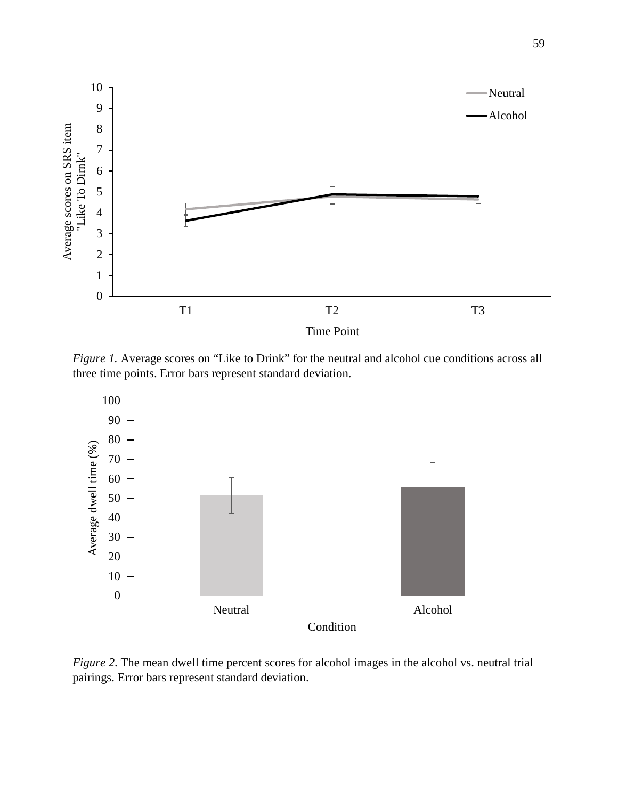

*Figure 1.* Average scores on "Like to Drink" for the neutral and alcohol cue conditions across all three time points. Error bars represent standard deviation.



*Figure 2*. The mean dwell time percent scores for alcohol images in the alcohol vs. neutral trial pairings. Error bars represent standard deviation.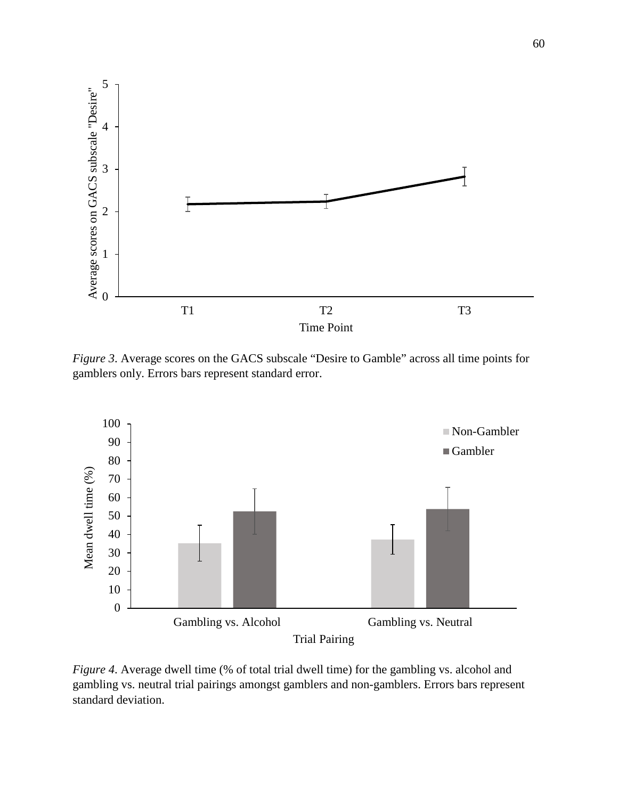

*Figure 3*. Average scores on the GACS subscale "Desire to Gamble" across all time points for gamblers only. Errors bars represent standard error.



*Figure 4*. Average dwell time (% of total trial dwell time) for the gambling vs. alcohol and gambling vs. neutral trial pairings amongst gamblers and non-gamblers. Errors bars represent standard deviation.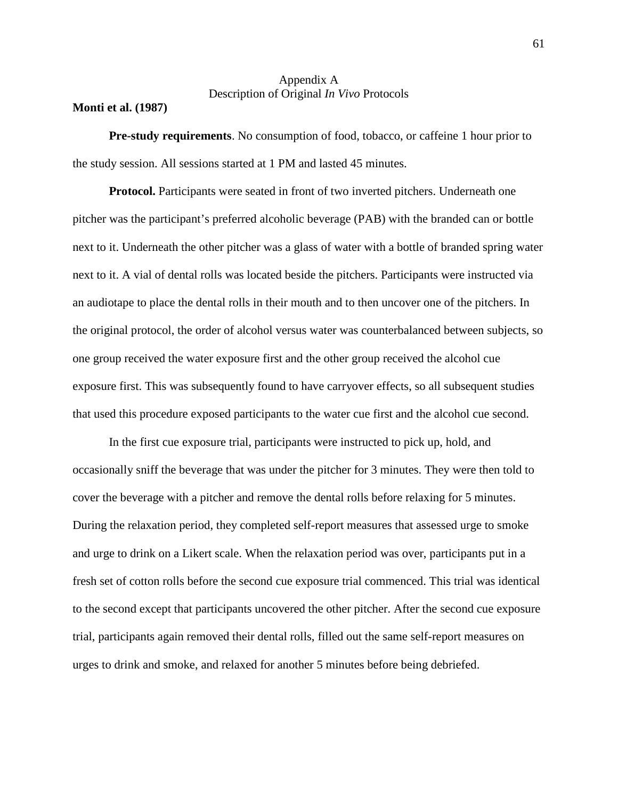### Appendix A Description of Original *In Vivo* Protocols

#### **Monti et al. (1987)**

**Pre-study requirements**. No consumption of food, tobacco, or caffeine 1 hour prior to the study session. All sessions started at 1 PM and lasted 45 minutes.

**Protocol.** Participants were seated in front of two inverted pitchers. Underneath one pitcher was the participant's preferred alcoholic beverage (PAB) with the branded can or bottle next to it. Underneath the other pitcher was a glass of water with a bottle of branded spring water next to it. A vial of dental rolls was located beside the pitchers. Participants were instructed via an audiotape to place the dental rolls in their mouth and to then uncover one of the pitchers. In the original protocol, the order of alcohol versus water was counterbalanced between subjects, so one group received the water exposure first and the other group received the alcohol cue exposure first. This was subsequently found to have carryover effects, so all subsequent studies that used this procedure exposed participants to the water cue first and the alcohol cue second.

In the first cue exposure trial, participants were instructed to pick up, hold, and occasionally sniff the beverage that was under the pitcher for 3 minutes. They were then told to cover the beverage with a pitcher and remove the dental rolls before relaxing for 5 minutes. During the relaxation period, they completed self-report measures that assessed urge to smoke and urge to drink on a Likert scale. When the relaxation period was over, participants put in a fresh set of cotton rolls before the second cue exposure trial commenced. This trial was identical to the second except that participants uncovered the other pitcher. After the second cue exposure trial, participants again removed their dental rolls, filled out the same self-report measures on urges to drink and smoke, and relaxed for another 5 minutes before being debriefed.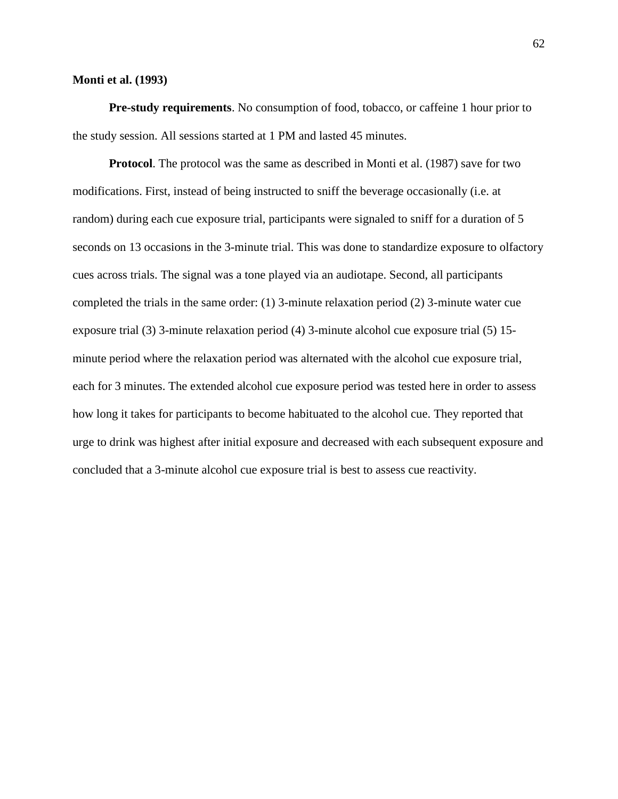#### **Monti et al. (1993)**

**Pre-study requirements**. No consumption of food, tobacco, or caffeine 1 hour prior to the study session. All sessions started at 1 PM and lasted 45 minutes.

**Protocol**. The protocol was the same as described in Monti et al. (1987) save for two modifications. First, instead of being instructed to sniff the beverage occasionally (i.e. at random) during each cue exposure trial, participants were signaled to sniff for a duration of 5 seconds on 13 occasions in the 3-minute trial. This was done to standardize exposure to olfactory cues across trials. The signal was a tone played via an audiotape. Second, all participants completed the trials in the same order: (1) 3-minute relaxation period (2) 3-minute water cue exposure trial (3) 3-minute relaxation period (4) 3-minute alcohol cue exposure trial (5) 15 minute period where the relaxation period was alternated with the alcohol cue exposure trial, each for 3 minutes. The extended alcohol cue exposure period was tested here in order to assess how long it takes for participants to become habituated to the alcohol cue. They reported that urge to drink was highest after initial exposure and decreased with each subsequent exposure and concluded that a 3-minute alcohol cue exposure trial is best to assess cue reactivity.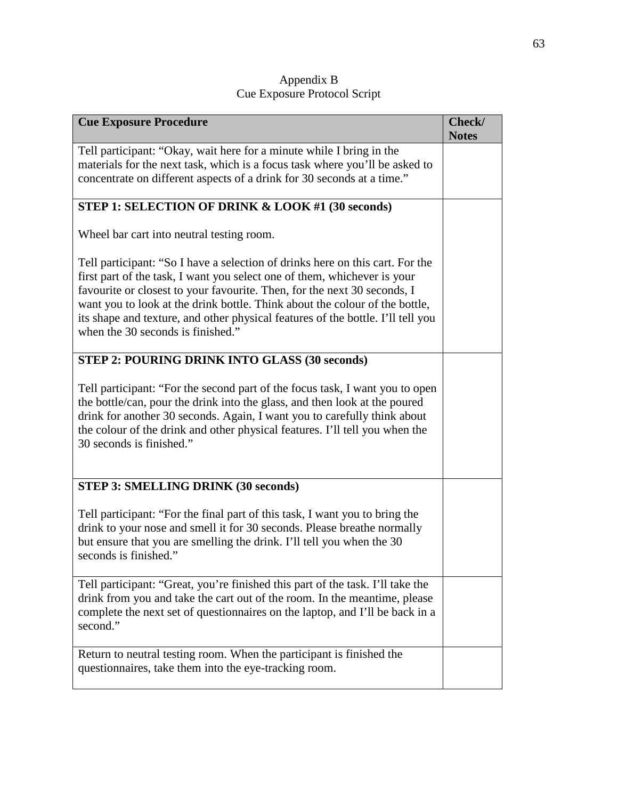| Appendix B                   |  |
|------------------------------|--|
| Cue Exposure Protocol Script |  |

| <b>Cue Exposure Procedure</b>                                                                                                                                                                                                                                                                                                                                                                                                                | Check/<br><b>Notes</b> |
|----------------------------------------------------------------------------------------------------------------------------------------------------------------------------------------------------------------------------------------------------------------------------------------------------------------------------------------------------------------------------------------------------------------------------------------------|------------------------|
| Tell participant: "Okay, wait here for a minute while I bring in the<br>materials for the next task, which is a focus task where you'll be asked to<br>concentrate on different aspects of a drink for 30 seconds at a time."                                                                                                                                                                                                                |                        |
| STEP 1: SELECTION OF DRINK & LOOK #1 (30 seconds)                                                                                                                                                                                                                                                                                                                                                                                            |                        |
| Wheel bar cart into neutral testing room.                                                                                                                                                                                                                                                                                                                                                                                                    |                        |
| Tell participant: "So I have a selection of drinks here on this cart. For the<br>first part of the task, I want you select one of them, whichever is your<br>favourite or closest to your favourite. Then, for the next 30 seconds, I<br>want you to look at the drink bottle. Think about the colour of the bottle,<br>its shape and texture, and other physical features of the bottle. I'll tell you<br>when the 30 seconds is finished." |                        |
| <b>STEP 2: POURING DRINK INTO GLASS (30 seconds)</b>                                                                                                                                                                                                                                                                                                                                                                                         |                        |
| Tell participant: "For the second part of the focus task, I want you to open<br>the bottle/can, pour the drink into the glass, and then look at the poured<br>drink for another 30 seconds. Again, I want you to carefully think about<br>the colour of the drink and other physical features. I'll tell you when the<br>30 seconds is finished."                                                                                            |                        |
| <b>STEP 3: SMELLING DRINK (30 seconds)</b>                                                                                                                                                                                                                                                                                                                                                                                                   |                        |
| Tell participant: "For the final part of this task, I want you to bring the<br>drink to your nose and smell it for 30 seconds. Please breathe normally<br>but ensure that you are smelling the drink. I'll tell you when the 30<br>seconds is finished."                                                                                                                                                                                     |                        |
| Tell participant: "Great, you're finished this part of the task. I'll take the<br>drink from you and take the cart out of the room. In the meantime, please<br>complete the next set of questionnaires on the laptop, and I'll be back in a<br>second."                                                                                                                                                                                      |                        |
| Return to neutral testing room. When the participant is finished the<br>questionnaires, take them into the eye-tracking room.                                                                                                                                                                                                                                                                                                                |                        |